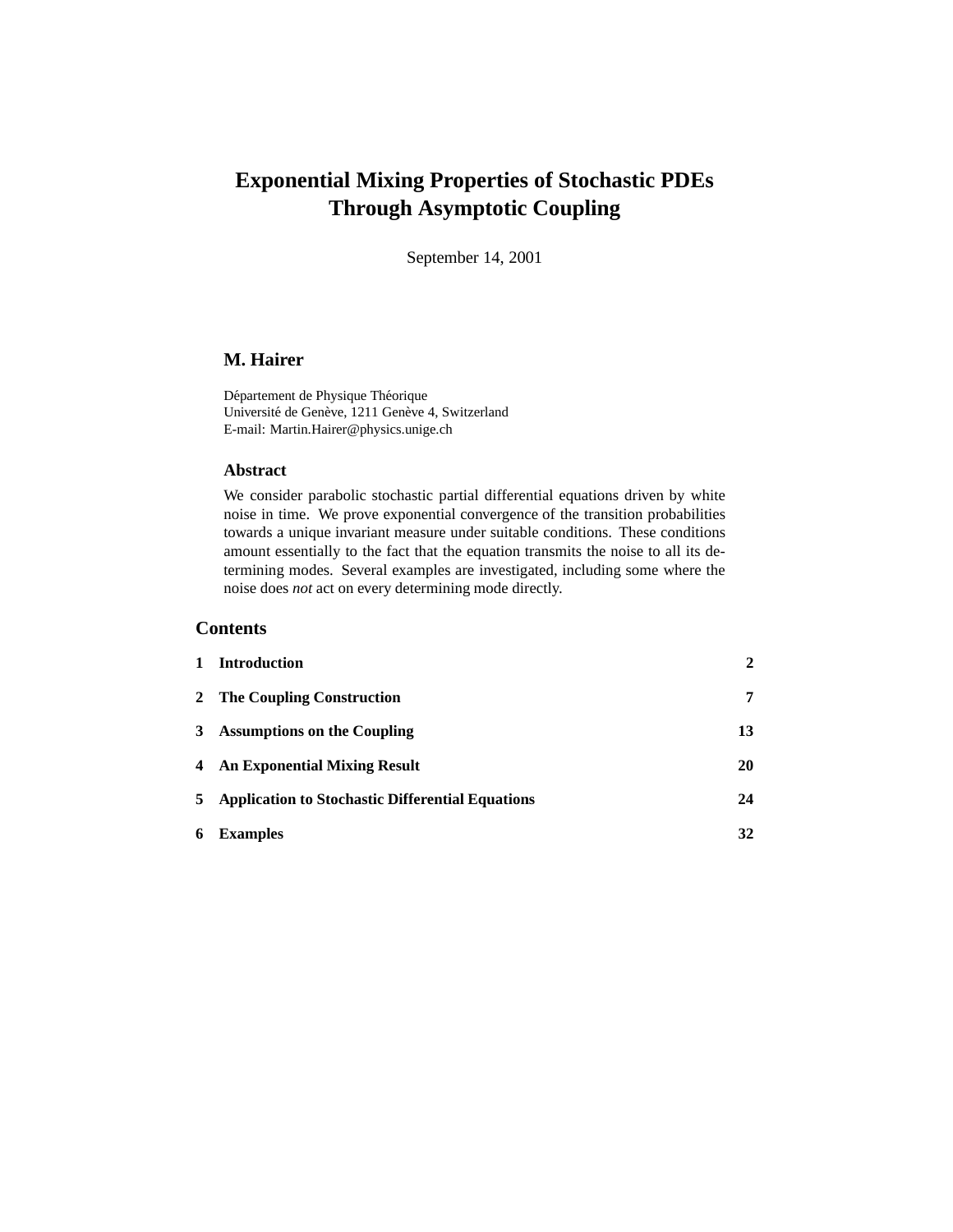# **Exponential Mixing Properties of Stochastic PDEs Through Asymptotic Coupling**

September 14, 2001

# **M. Hairer**

Département de Physique Théorique Université de Genève, 1211 Genève 4, Switzerland E-mail: Martin.Hairer@physics.unige.ch

# **Abstract**

We consider parabolic stochastic partial differential equations driven by white noise in time. We prove exponential convergence of the transition probabilities towards a unique invariant measure under suitable conditions. These conditions amount essentially to the fact that the equation transmits the noise to all its determining modes. Several examples are investigated, including some where the noise does *not* act on every determining mode directly.

# **Contents**

| $\mathbf{1}$ | <b>Introduction</b>                                | $\mathbf{2}$ |
|--------------|----------------------------------------------------|--------------|
|              | 2 The Coupling Construction                        | 7            |
|              | 3 Assumptions on the Coupling                      | 13           |
|              | 4 An Exponential Mixing Result                     | 20           |
|              | 5 Application to Stochastic Differential Equations | 24           |
| 6            | <b>Examples</b>                                    | 32           |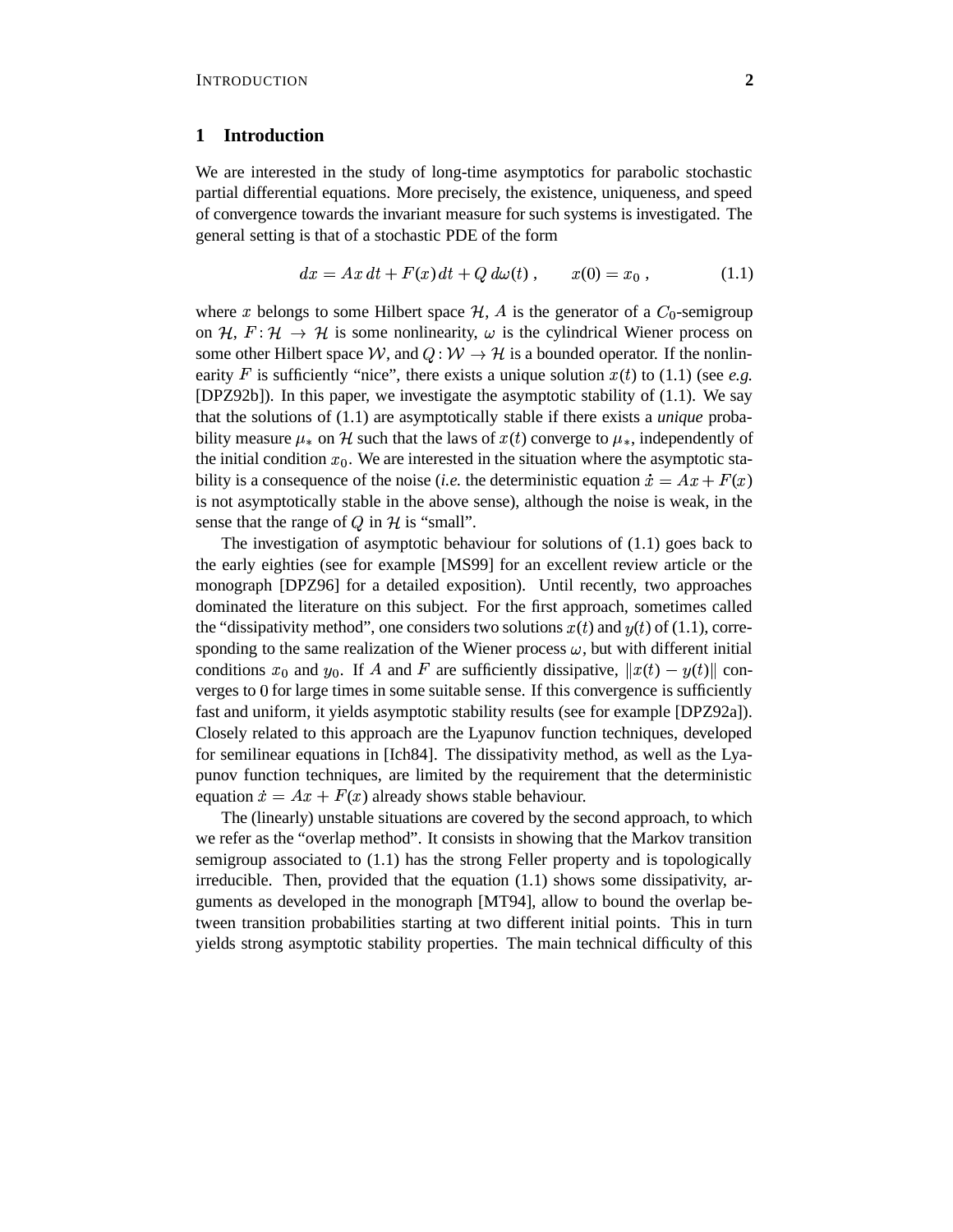#### **1 Introduction**

We are interested in the study of long-time asymptotics for parabolic stochastic partial differential equations. More precisely, the existence, uniqueness, and speed of convergence towards the invariant measure for such systems is investigated. The general setting is that of a stochastic PDE of the form

$$
dx = Ax dt + F(x) dt + Q d\omega(t), \qquad x(0) = x_0,
$$
 (1.1)

where x belongs to some Hilbert space  $H$ , A is the generator of a  $C_0$ -semigroup on H,  $F: \mathcal{H} \to \mathcal{H}$  is some nonlinearity,  $\omega$  is the cylindrical Wiener process on some other Hilbert space W, and  $Q: W \to H$  is a bounded operator. If the nonlinearity  $F$  is sufficiently "nice", there exists a unique solution  $x(t)$  to (1.1) (see *e.g.* [DPZ92b]). In this paper, we investigate the asymptotic stability of (1.1). We say that the solutions of (1.1) are asymptotically stable if there exists a *unique* probability measure  $\mu_*$  on H such that the laws of  $x(t)$  converge to  $\mu_*$ , independently of the initial condition  $x_0$ . We are interested in the situation where the asymptotic stability is a consequence of the noise *(i.e.* the deterministic equation  $\dot{x} = Ax + F(x)$ is not asymptotically stable in the above sense), although the noise is weak, in the sense that the range of  $Q$  in  $H$  is "small".

The investigation of asymptotic behaviour for solutions of (1.1) goes back to the early eighties (see for example [MS99] for an excellent review article or the monograph [DPZ96] for a detailed exposition). Until recently, two approaches dominated the literature on this subject. For the first approach, sometimes called the "dissipativity method", one considers two solutions  $x(t)$  and  $y(t)$  of (1.1), corresponding to the same realization of the Wiener process  $\omega$ , but with different initial conditions  $x_0$  and  $y_0$ . If A and F are sufficiently dissipative,  $||x(t) - y(t)||$  converges to  $0$  for large times in some suitable sense. If this convergence is sufficiently fast and uniform, it yields asymptotic stability results (see for example [DPZ92a]). Closely related to this approach are the Lyapunov function techniques, developed for semilinear equations in [Ich84]. The dissipativity method, as well as the Lyapunov function techniques, are limited by the requirement that the deterministic equation  $\dot{x} = Ax + F(x)$  already shows stable behaviour.

The (linearly) unstable situations are covered by the second approach, to which we refer as the "overlap method". It consists in showing that the Markov transition semigroup associated to (1.1) has the strong Feller property and is topologically irreducible. Then, provided that the equation (1.1) shows some dissipativity, arguments as developed in the monograph [MT94], allow to bound the overlap between transition probabilities starting at two different initial points. This in turn yields strong asymptotic stability properties. The main technical difficulty of this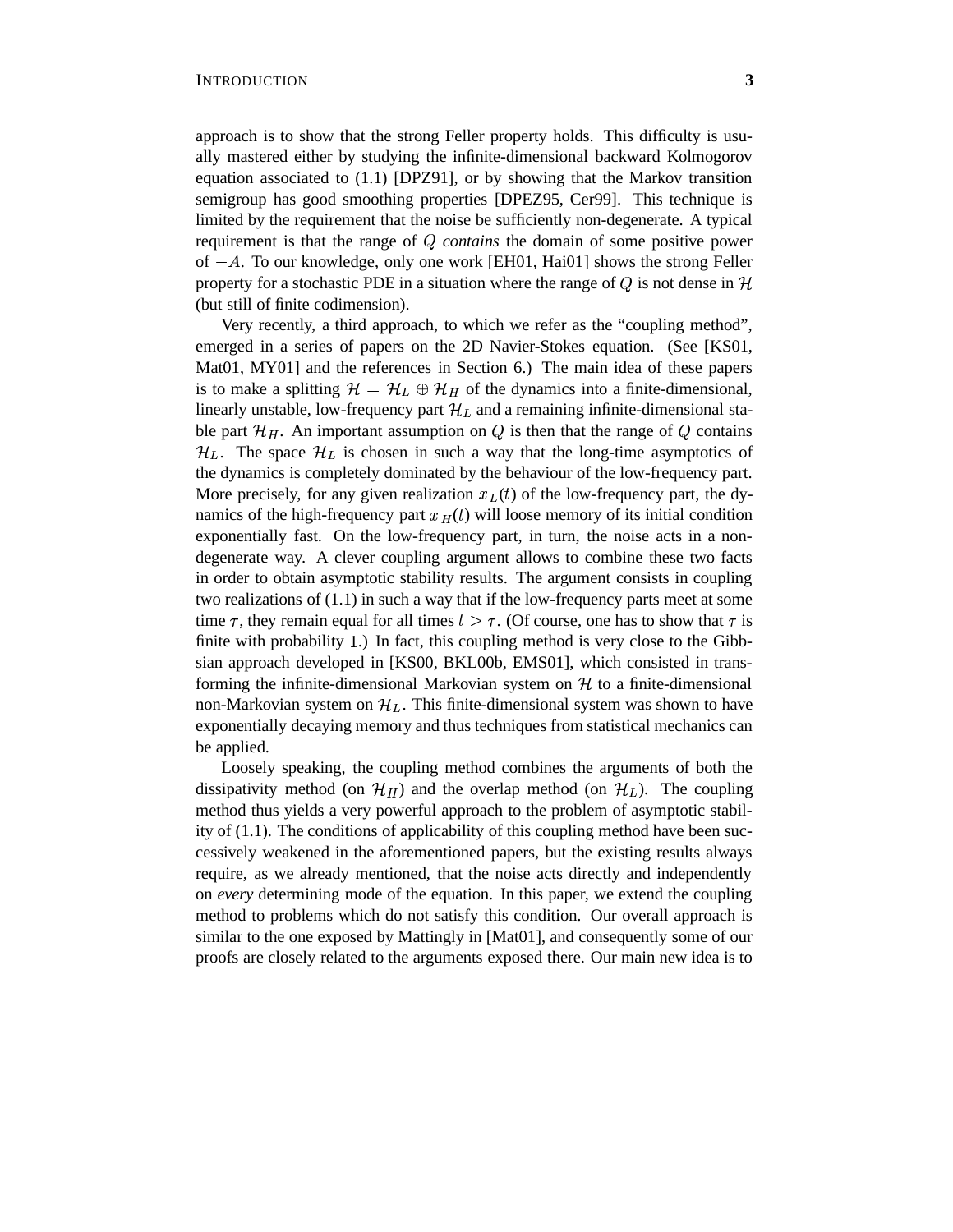approach is to show that the strong Feller property holds. This difficulty is usually mastered either by studying the infinite-dimensional backward Kolmogorov equation associated to (1.1) [DPZ91], or by showing that the Markov transition semigroup has good smoothing properties [DPEZ95, Cer99]. This technique is limited by the requirement that the noise be sufficiently non-degenerate. A typical requirement is that the range of Q contains the domain of some positive power of  $-A$ . To our knowledge, only one work [EH01, Hai01] shows the strong Feller property for a stochastic PDE in a situation where the range of  $Q$  is not dense in  $\mathcal H$ (but still of finite codimension).

Very recently, a third approach, to which we refer as the "coupling method", emerged in a series of papers on the 2D Navier-Stokes equation. (See [KS01, Mat01, MY01] and the references in Section 6.) The main idea of these papers is to make a splitting  $\mathcal{H} = \mathcal{H}_L \oplus \mathcal{H}_H$  of the dynamics into a finite-dimensional, linearly unstable, low-frequency part  $\mathcal{H}_L$  and a remaining infinite-dimensional stable part  $\mathcal{H}_H$ . An important assumption on Q is then that the range of Q contains  $\mathcal{H}_L$ . The space  $\mathcal{H}_L$  is chosen in such a way that the long-time asymptotics of the dynamics is completely dominated by the behaviour of the low-frequency part. More precisely, for any given realization  $x<sub>L</sub>(t)$  of the low-frequency part, the dynamics of the high-frequency part  $x_H(t)$  will loose memory of its initial condition exponentially fast. On the low-frequency part, in turn, the noise acts in a nondegenerate way. A clever coupling argument allows to combine these two facts in order to obtain asymptotic stability results. The argument consists in coupling two realizations of (1.1) in such a way that if the low-frequency parts meet at some time  $\tau$ , they remain equal for all times  $t > \tau$ . (Of course, one has to show that  $\tau$  is finite with probability 1.) In fact, this coupling method is very close to the Gibbsian approach developed in [KS00, BKL00b, EMS01], which consisted in transforming the infinite-dimensional Markovian system on  $H$  to a finite-dimensional non-Markovian system on  $\mathcal{H}_L$ . This finite-dimensional system was shown to have exponentially decaying memory and thus techniques from statistical mechanics can be applied.

Loosely speaking, the coupling method combines the arguments of both the dissipativity method (on  $\mathcal{H}_H$ ) and the overlap method (on  $\mathcal{H}_L$ ). The coupling method thus yields a very powerful approach to the problem of asymptotic stability of (1.1). The conditions of applicability of this coupling method have been successively weakened in the aforementioned papers, but the existing results always require, as we already mentioned, that the noise acts directly and independently on *every* determining mode of the equation. In this paper, we extend the coupling method to problems which do not satisfy this condition. Our overall approach is similar to the one exposed by Mattingly in [Mat01], and consequently some of our proofs are closely related to the arguments exposed there. Our main new idea is to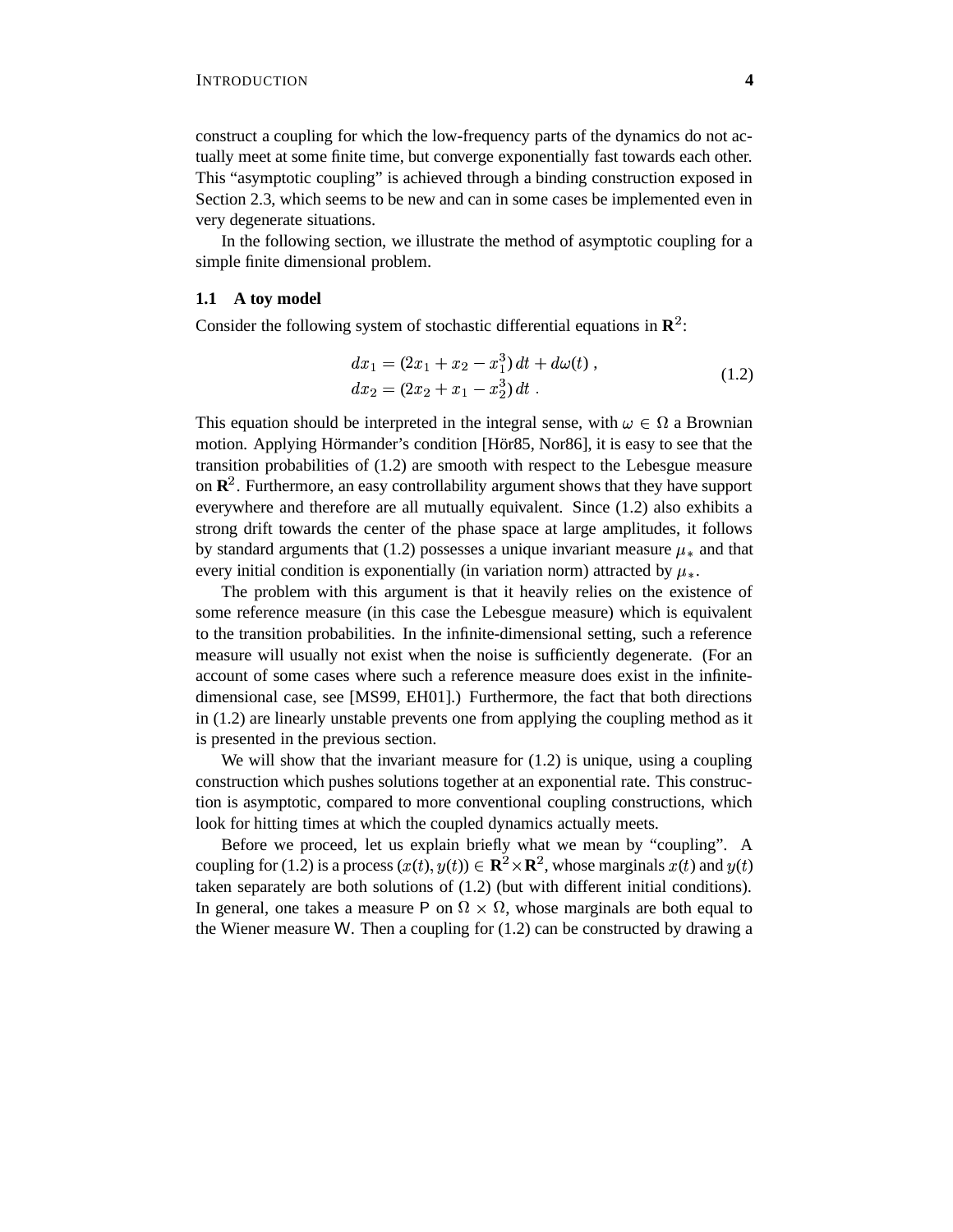construct a coupling for which the low-frequency parts of the dynamics do not actually meet at some finite time, but converge exponentially fast towards each other. This "asymptotic coupling" is achieved through a binding construction exposed in Section 2.3, which seems to be new and can in some cases be implemented even in very degenerate situations.

In the following section, we illustrate the method of asymptotic coupling for a simple finite dimensional problem.

# **1.1 A toy model**

Consider the following system of stochastic differential equations in  $\mathbb{R}^2$ :

$$
dx_1 = (2x_1 + x_2 - x_1^3) dt + d\omega(t),
$$
  
\n
$$
dx_2 = (2x_2 + x_1 - x_2^3) dt.
$$
\n(1.2)

This equation should be interpreted in the integral sense, with  $\omega \in \Omega$  a Brownian motion. Applying Hörmander's condition [Hör85, Nor86], it is easy to see that the transition probabilities of (1.2) are smooth with respect to the Lebesgue measure on **R** . Furthermore, an easy controllability argument shows that they have support everywhere and therefore are all mutually equivalent. Since (1.2) also exhibits a strong drift towards the center of the phase space at large amplitudes, it follows by standard arguments that (1.2) possesses a unique invariant measure  $\mu_*$  and that every initial condition is exponentially (in variation norm) attracted by  $\mu_*$ .

The problem with this argument is that it heavily relies on the existence of some reference measure (in this case the Lebesgue measure) which is equivalent to the transition probabilities. In the infinite-dimensional setting, such a reference measure will usually not exist when the noise is sufficiently degenerate. (For an account of some cases where such a reference measure does exist in the infinitedimensional case, see [MS99, EH01].) Furthermore, the fact that both directions in (1.2) are linearly unstable prevents one from applying the coupling method as it is presented in the previous section.

We will show that the invariant measure for  $(1.2)$  is unique, using a coupling construction which pushes solutions together at an exponential rate. This construction is asymptotic, compared to more conventional coupling constructions, which look for hitting times at which the coupled dynamics actually meets.

Before we proceed, let us explain briefly what we mean by "coupling". A coupling for (1.2) is a process  $(x(t), y(t)) \in \mathbb{R}^2 \times \mathbb{R}^2$ , whose marginals  $x(t)$  and  $y(t)$ taken separately are both solutions of (1.2) (but with different initial conditions). In general, one takes a measure P on  $\Omega \times \Omega$ , whose marginals are both equal to the Wiener measure W. Then a coupling for  $(1.2)$  can be constructed by drawing a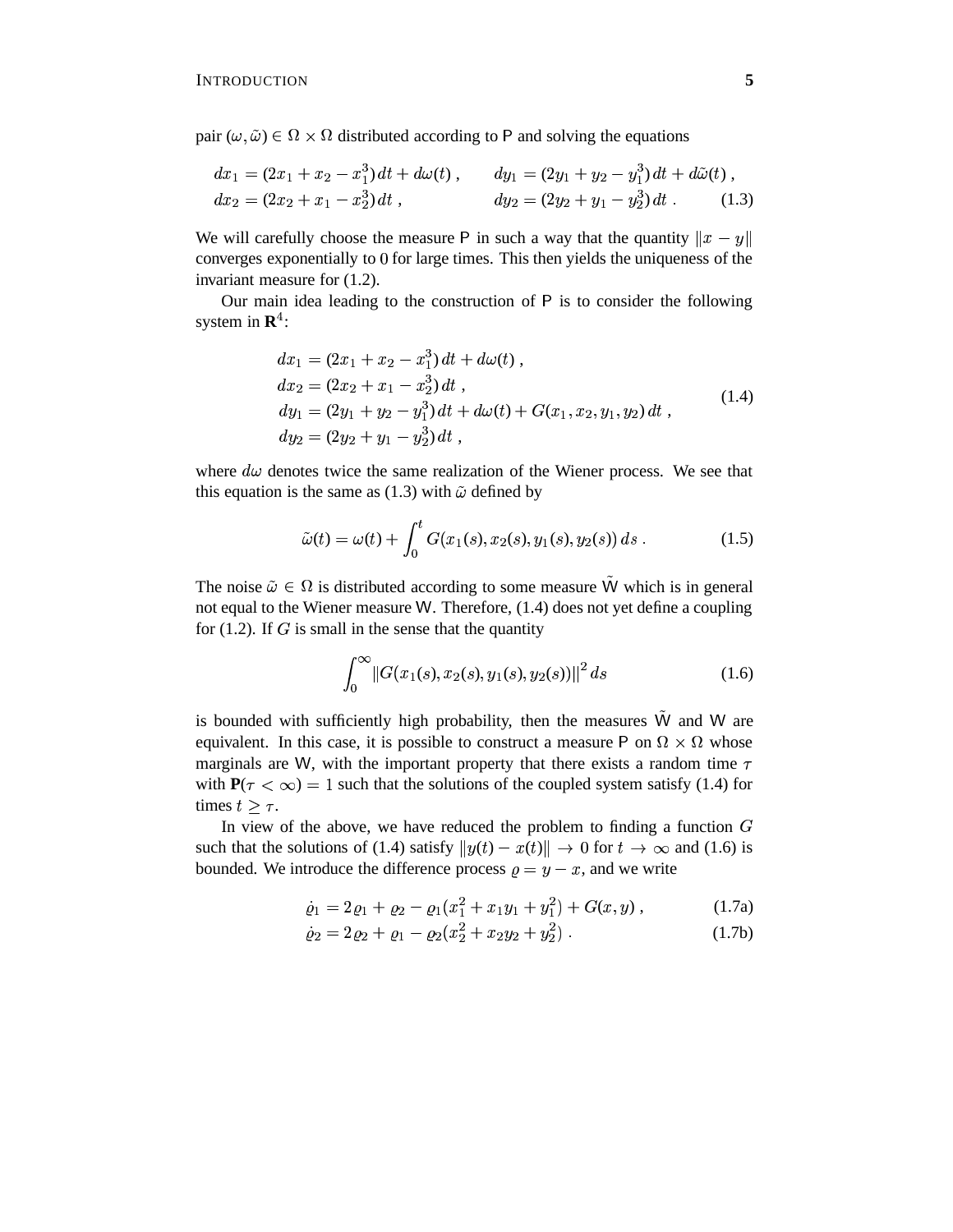pair  $(\omega, \tilde{\omega}) \in \Omega \times \Omega$  distributed according to P and solving the equations

$$
dx_1 = (2x_1 + x_2 - x_1^3) dt + d\omega(t), \qquad dy_1 = (2y_1 + y_2 - y_1^3) dt + d\tilde{\omega}(t),
$$
  
\n
$$
dx_2 = (2x_2 + x_1 - x_2^3) dt, \qquad dy_2 = (2y_2 + y_1 - y_2^3) dt.
$$
 (1.3)

We will carefully choose the measure P in such a way that the quantity  $||x - y||$ converges exponentially to 0 for large times. This then yields the uniqueness of the invariant measure for (1.2).

Our main idea leading to the construction of  $P$  is to consider the following system in **R** :

$$
dx_1 = (2x_1 + x_2 - x_1^3) dt + d\omega(t),
$$
  
\n
$$
dx_2 = (2x_2 + x_1 - x_2^3) dt,
$$
  
\n
$$
dy_1 = (2y_1 + y_2 - y_1^3) dt + d\omega(t) + G(x_1, x_2, y_1, y_2) dt,
$$
  
\n
$$
dy_2 = (2y_2 + y_1 - y_2^3) dt,
$$
\n(1.4)

where  $d\omega$  denotes twice the same realization of the Wiener process. We see that this equation is the same as (1.3) with  $\tilde{\omega}$  defined by

$$
\tilde{\omega}(t) = \omega(t) + \int_0^t G(x_1(s), x_2(s), y_1(s), y_2(s)) ds . \tag{1.5}
$$

The noise  $\tilde{\omega} \in \Omega$  is distributed according to some measure  $\tilde{W}$  which is in general not equal to the Wiener measure W. Therefore,  $(1.4)$  does not yet define a coupling for  $(1.2)$ . If G is small in the sense that the quantity

$$
\int_0^\infty \left\|G(x_1(s), x_2(s), y_1(s), y_2(s))\right\|^2 ds\tag{1.6}
$$

is bounded with sufficiently high probability, then the measures  $\tilde{W}$  and W are equivalent. In this case, it is possible to construct a measure P on  $\Omega \times \Omega$  whose marginals are W, with the important property that there exists a random time  $\tau$ with  $P(\tau < \infty) = 1$  such that the solutions of the coupled system satisfy (1.4) for times  $t > \tau$ .

In view of the above, we have reduced the problem to finding a function  $G$ such that the solutions of (1.4) satisfy  $||y(t) - x(t)|| \to 0$  for  $t \to \infty$  and (1.6) is bounded. We introduce the difference process  $\rho = y - x$ , and we write

$$
\dot{\varrho}_1 = 2\varrho_1 + \varrho_2 - \varrho_1(x_1^2 + x_1y_1 + y_1^2) + G(x, y) , \qquad (1.7a)
$$

$$
\dot{\varrho}_2 = 2\varrho_2 + \varrho_1 - \varrho_2(x_2^2 + x_2y_2 + y_2^2) \tag{1.7b}
$$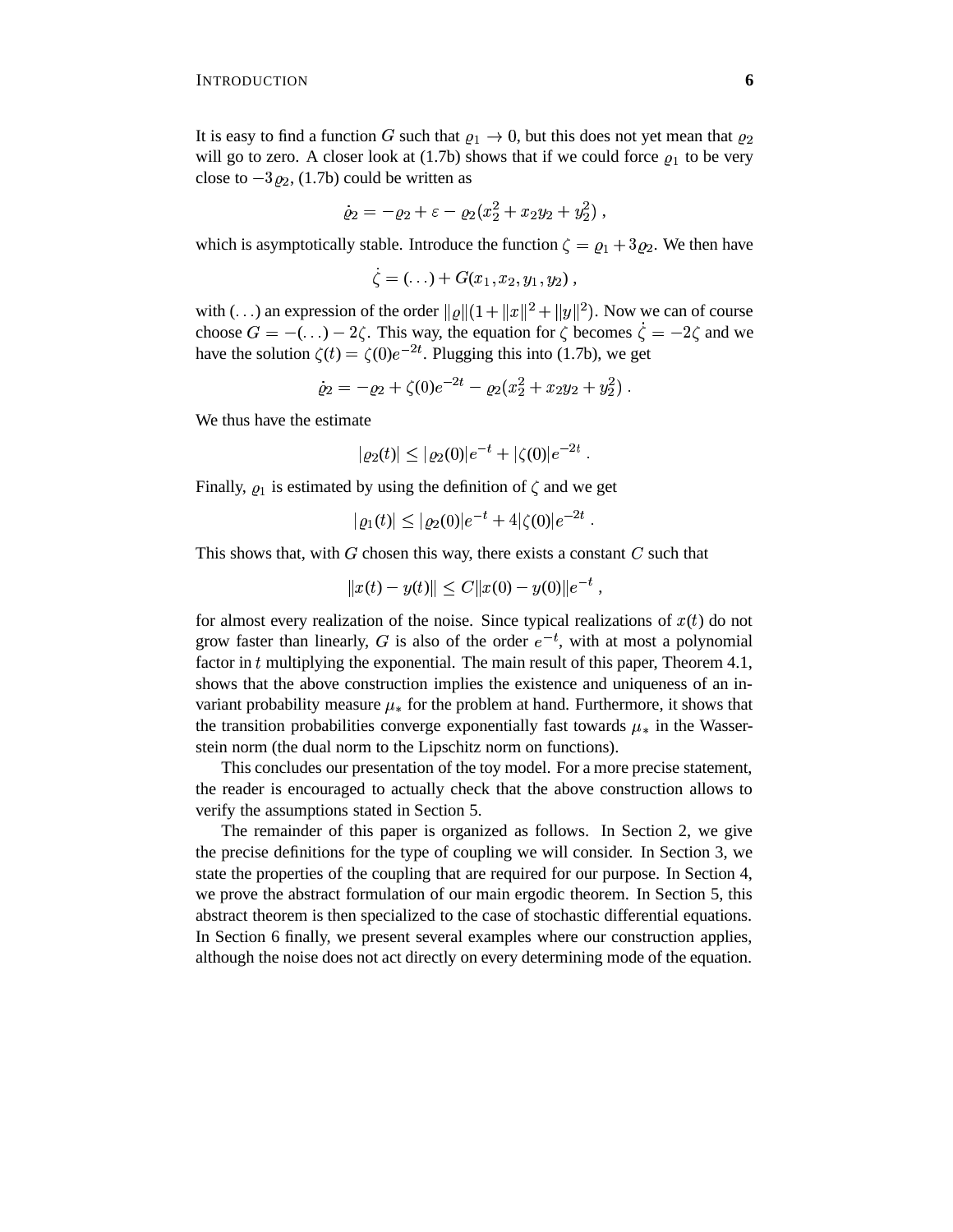It is easy to find a function G such that  $\varrho_1 \to 0$ , but this does not yet mean that  $\varrho_2$ will go to zero. A closer look at  $(1.7b)$  shows that if we could force  $\rho_1$  to be very close to  $-3\varrho_2$ , (1.7b) could be written as

$$
\dot{\varrho}_2 = - \varrho_2 + \varepsilon - \varrho_2 (x_2^2 + x_2 y_2 + y_2^2) \; ,
$$

which is asymptotically stable. Introduce the function  $\zeta = \varrho_1 + 3\varrho_2$ . We then have

$$
\zeta = (\ldots) + G(x_1, x_2, y_1, y_2) ,
$$

with (...) an expression of the order  $||\varrho||(1+||x||^2+||y||^2)$ . Now we can of course choose  $G = -(\ldots) - 2\zeta$ . This way, the equation for  $\zeta$  becomes  $\zeta = -2\zeta$  and we have the solution  $\zeta(t) = \zeta(0)e^{-2t}$ . Plugging this into (1.7b), we get

$$
\dot{\varrho}_2 = -\varrho_2 + \zeta(0)e^{-2t} - \varrho_2(x_2^2 + x_2y_2 + y_2^2).
$$

We thus have the estimate

$$
|\varrho_2(t)| \leq |\varrho_2(0)|e^{-t} + |\zeta(0)|e^{-2t} .
$$

Finally,  $\rho_1$  is estimated by using the definition of  $\zeta$  and we get

$$
|\varrho_1(t)| \leq |\varrho_2(0)|e^{-t} + 4|\zeta(0)|e^{-2t} .
$$

This shows that, with  $G$  chosen this way, there exists a constant  $C$  such that

$$
||x(t) - y(t)|| \le C||x(0) - y(0)||e^{-t},
$$

for almost every realization of the noise. Since typical realizations of  $x(t)$  do not grow faster than linearly, G is also of the order  $e^{-t}$ , with at most a polynomial factor in  $t$  multiplying the exponential. The main result of this paper, Theorem 4.1, shows that the above construction implies the existence and uniqueness of an invariant probability measure  $\mu_*$  for the problem at hand. Furthermore, it shows that the transition probabilities converge exponentially fast towards  $\mu_*$  in the Wasserstein norm (the dual norm to the Lipschitz norm on functions).

This concludes our presentation of the toy model. For a more precise statement, the reader is encouraged to actually check that the above construction allows to verify the assumptions stated in Section 5.

The remainder of this paper is organized as follows. In Section 2, we give the precise definitions for the type of coupling we will consider. In Section 3, we state the properties of the coupling that are required for our purpose. In Section 4, we prove the abstract formulation of our main ergodic theorem. In Section 5, this abstract theorem is then specialized to the case of stochastic differential equations. In Section 6 finally, we present several examples where our construction applies, although the noise does not act directly on every determining mode of the equation.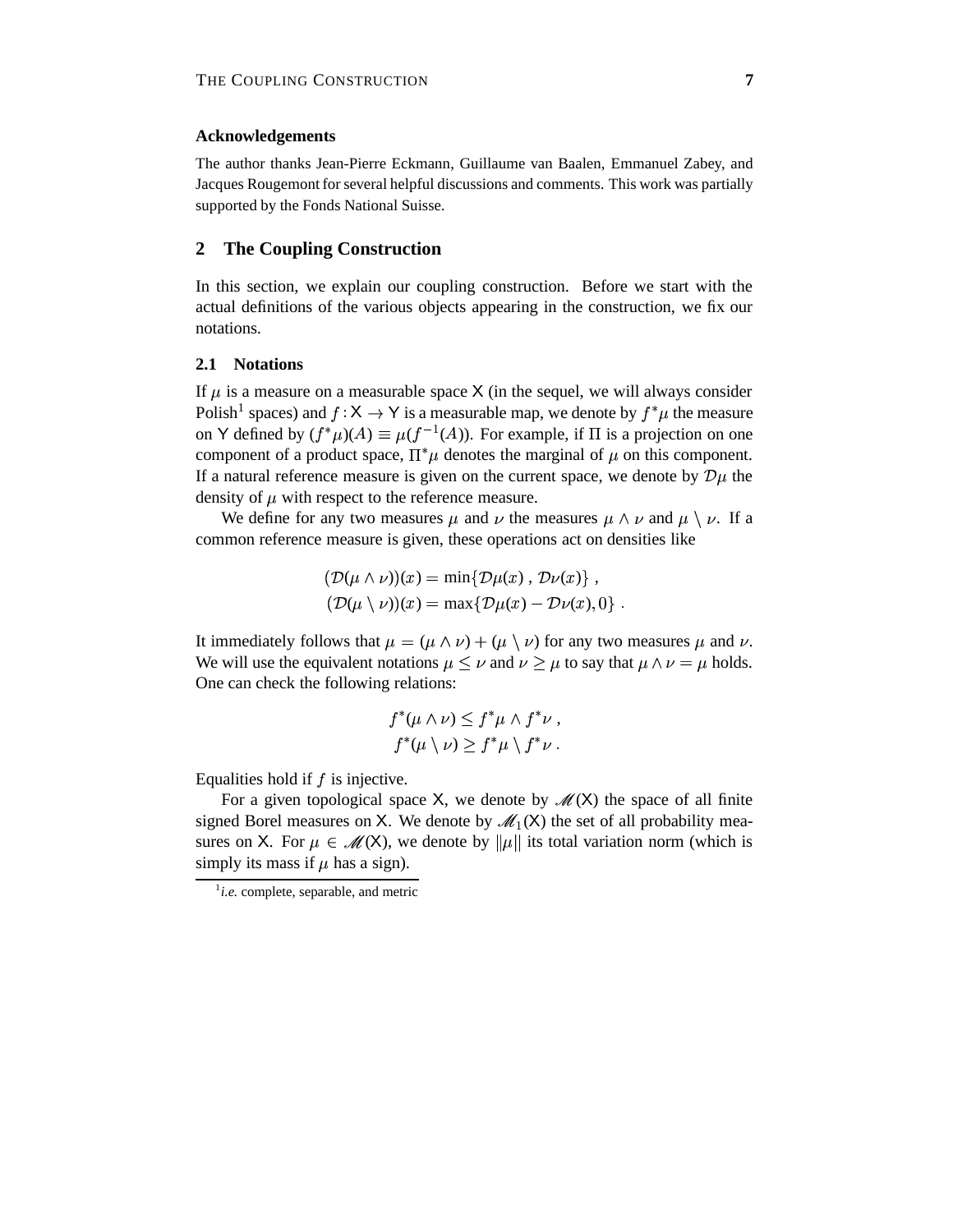# **Acknowledgements**

The author thanks Jean-Pierre Eckmann, Guillaume van Baalen, Emmanuel Zabey, and Jacques Rougemont for several helpful discussions and comments. This work was partially supported by the Fonds National Suisse.

# **2 The Coupling Construction**

In this section, we explain our coupling construction. Before we start with the actual definitions of the various objects appearing in the construction, we fix our notations.

#### **2.1 Notations**

If  $\mu$  is a measure on a measurable space X (in the sequel, we will always consider Polish<sup>1</sup> spaces) and  $f: X \to Y$  is a measurable map, we denote by  $f^*\mu$  the measure on Y defined by  $(f^*\mu)(A) \equiv \mu(f^{-1}(A))$ . For example, if  $\Pi$  is a projection on one component of a product space,  $\Pi^*\mu$  denotes the marginal of  $\mu$  on this component. If a natural reference measure is given on the current space, we denote by  $\mathcal{D}\mu$  the density of  $\mu$  with respect to the reference measure.

We define for any two measures  $\mu$  and  $\nu$  the measures  $\mu \wedge \nu$  and  $\mu \setminus \nu$ . If a common reference measure is given, these operations act on densities like

$$
(\mathcal{D}(\mu \wedge \nu))(x) = \min{\{\mathcal{D}\mu(x), \mathcal{D}\nu(x)\}},
$$
  

$$
(\mathcal{D}(\mu \setminus \nu))(x) = \max{\{\mathcal{D}\mu(x) - \mathcal{D}\nu(x), 0\}}.
$$

It immediately follows that  $\mu = (\mu \wedge \nu) + (\mu \vee \nu)$  for any two measures  $\mu$  and  $\nu$ . We will use the equivalent notations  $\mu \leq \nu$  and  $\nu \geq \mu$  to say that  $\mu \wedge \nu = \mu$  holds. One can check the following relations:

$$
f^*(\mu \wedge \nu) \leq f^*\mu \wedge f^*\nu,
$$
  

$$
f^*(\mu \setminus \nu) \geq f^*\mu \setminus f^*\nu.
$$

Equalities hold if  $f$  is injective.

For a given topological space X, we denote by  $\mathcal{M}(X)$  the space of all finite signed Borel measures on X. We denote by  $\mathscr{M}_1(X)$  the set of all probability measures on X. For  $\mu \in \mathcal{M}(X)$ , we denote by  $\|\mu\|$  its total variation norm (which is simply its mass if  $\mu$  has a sign).

 $i.e.$  complete, separable, and metric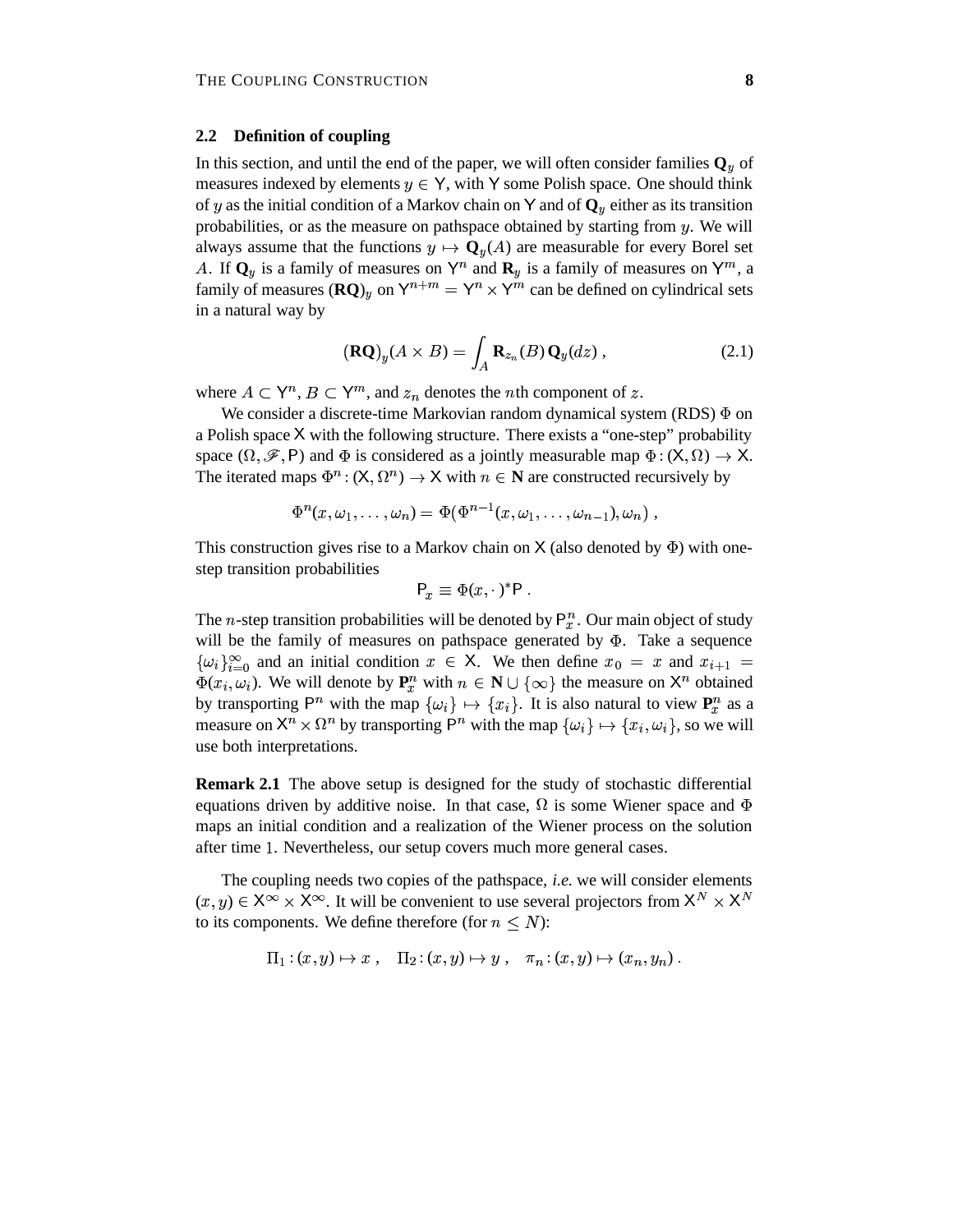#### **2.2 Definition of coupling**

In this section, and until the end of the paper, we will often consider families  $\mathbf{Q}_y$  of measures indexed by elements  $y \in Y$ , with Y some Polish space. One should think of y as the initial condition of a Markov chain on Y and of  $\mathbf{Q}_v$  either as its transition probabilities, or as the measure on pathspace obtained by starting from  $y$ . We will always assume that the functions  $y \mapsto \mathbf{Q}_y(A)$  are measurable for every Borel set A. If  $\mathbf{Q}_y$  is a family of measures on  $\mathsf{Y}^n$  and  $\mathbf{R}_y$  is a family of measures on  $\mathsf{Y}^m$ , a family of measures  $(\mathbf{RQ})_y$  on  $\mathsf{Y}^{n+m} = \mathsf{Y}^n \times \mathsf{Y}^m$  can be  $Y^m$  can be defined on cylindrical sets in a natural way by

$$
(\mathbf{R}\mathbf{Q})_y(A \times B) = \int_A \mathbf{R}_{z_n}(B) \mathbf{Q}_y(dz), \qquad (2.1)
$$

where  $A \subset \mathsf{Y}^n$ ,  $B \subset \mathsf{Y}^m$ , and  $z_n$  denotes the *n*th component of z.

We consider a discrete-time Markovian random dynamical system (RDS)  $\Phi$  on a Polish space X with the following structure. There exists a "one-step" probability space  $(\Omega, \mathscr{F}, P)$  and  $\Phi$  is considered as a jointly measurable map  $\Phi : (X, \Omega) \to X$ . The iterated maps  $\Phi^n : (X, \Omega^n) \to X$  with  $n \in \mathbb{N}$  are constructed recursively by

$$
\Phi^n(x,\omega_1,\ldots,\omega_n)=\Phi(\Phi^{n-1}(x,\omega_1,\ldots,\omega_{n-1}),\omega_n)\;,
$$

This construction gives rise to a Markov chain on  $X$  (also denoted by  $\Phi$ ) with onestep transition probabilities

$$
P_x \equiv \Phi(x, \cdot)^* P.
$$

The *n*-step transition probabilities will be denoted by  $P_x^n$ . Our main object of study will be the family of measures on pathspace generated by  $\Phi$ . Take a sequence  $\{\omega_i\}_{i=0}^{\infty}$  and an initial condition  $x \in X$ . We then define  $x_0 = x$  and  $x_{i+1} = x$  $\Phi(x_i, \omega_i)$ . We will denote by  $P_x^n$  with  $n \in \mathbb{N} \cup \{\infty\}$  the measure on  $\mathsf{X}^n$  obtained by transporting  $P^n$  with the map  $\{\omega_i\} \mapsto \{x_i\}$ . It is also natural to view  $P_x^n$  as a measure on  $X^n \times \Omega^n$  by transporting  $P^n$  with the map  $\{\omega_i\} \mapsto \{x_i, \omega_i\}$ , so we will use both interpretations.

**Remark 2.1** The above setup is designed for the study of stochastic differential equations driven by additive noise. In that case,  $\Omega$  is some Wiener space and  $\Phi$ maps an initial condition and a realization of the Wiener process on the solution after time 1. Nevertheless, our setup covers much more general cases.

The coupling needs two copies of the pathspace, *i.e.* we will consider elements  $(x, y) \in X^{\infty} \times X^{\infty}$ . It will be convenient to use several projectors from  $X^N \times X^N$ to its components. We define therefore (for  $n \leq N$ ):

$$
\Pi_1: (x, y) \mapsto x \ , \quad \Pi_2: (x, y) \mapsto y \ , \quad \pi_n: (x, y) \mapsto (x_n, y_n) \ .
$$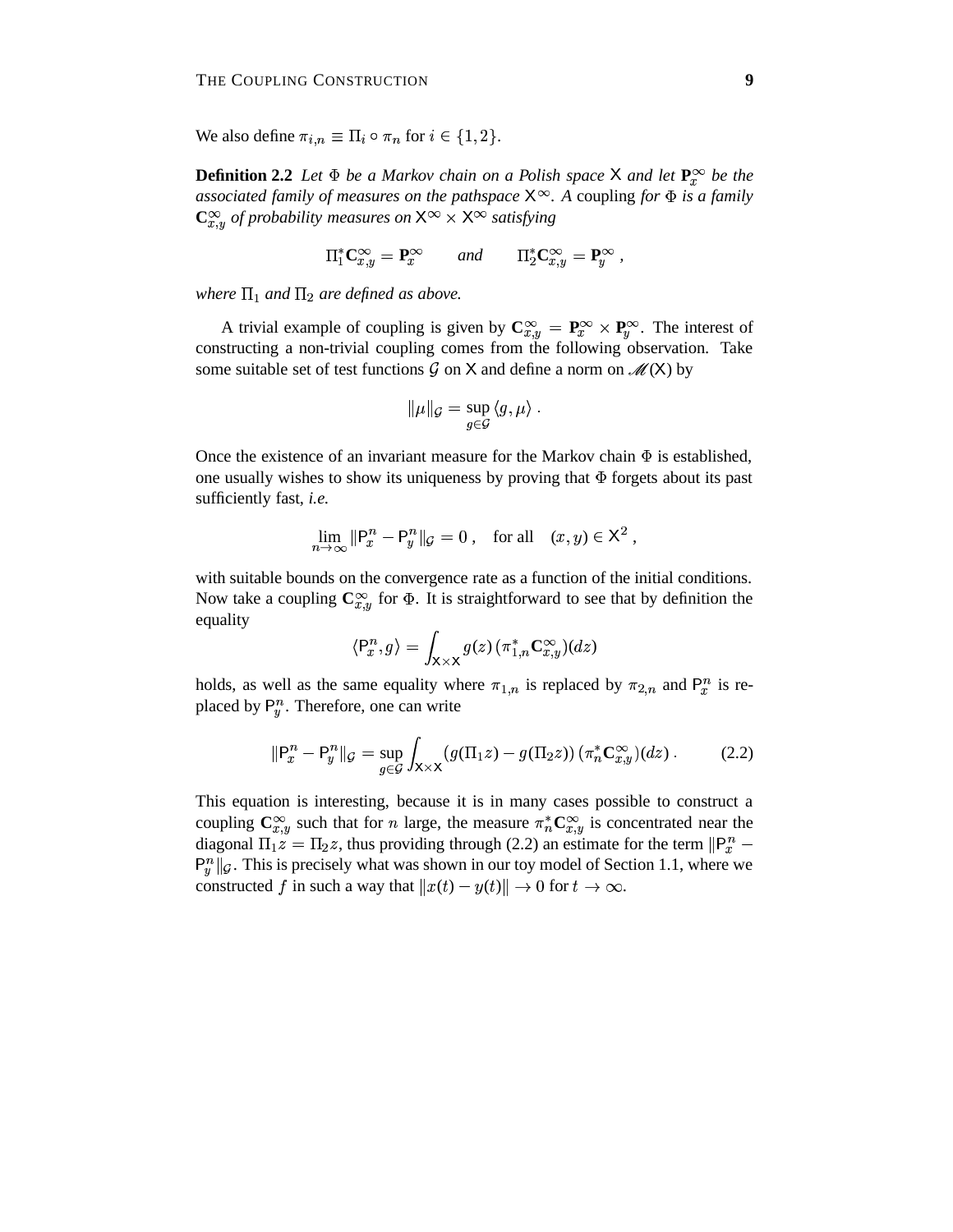We also define  $\pi_{i,n} \equiv \Pi_i \circ \pi_n$  for  $i \in \{1,2\}$ .

**Definition 2.2** Let  $\Phi$  be a Markov chain on a Polish space X and let  $\mathbf{P}_x^{\infty}$  be the *associated family of measures on the pathspace . A* coupling *for is a family*  $\mathbb{C}_{x,y}^{\infty}$  *of probability measures on*  $X^{\infty} \times X^{\infty}$  *satisfying* 

$$
\Pi_1^* \mathbf{C}_{x,y}^{\infty} = \mathbf{P}_x^{\infty} \quad \text{and} \quad \Pi_2^* \mathbf{C}_{x,y}^{\infty} = \mathbf{P}_y^{\infty} ,
$$

where  $\Pi_1$  and  $\Pi_2$  are defined as above.

A trivial example of coupling is given by  $\mathbf{C}_{x,y}^{\infty} = \mathbf{P}_x^{\infty} \times \mathbf{P}_y^{\infty}$ . The interest of constructing a non-trivial coupling comes from the following observation. Take some suitable set of test functions  $\mathcal G$  on  $X$  and define a norm on  $\mathscr M(X)$  by

$$
\|\mu\|_{\mathcal{G}} = \sup_{g \in \mathcal{G}} \langle g, \mu \rangle \ .
$$

Once the existence of an invariant measure for the Markov chain  $\Phi$  is established, one usually wishes to show its uniqueness by proving that  $\Phi$  forgets about its past sufficiently fast, *i.e.*

$$
\lim_{n \to \infty} \|\mathsf{P}_x^n - \mathsf{P}_y^n\|_{\mathcal{G}} = 0 \;, \quad \text{for all} \quad (x, y) \in \mathsf{X}^2 \;,
$$

with suitable bounds on the convergence rate as a function of the initial conditions. Now take a coupling  $\mathbb{C}_{x,y}^{\infty}$  for  $\Phi$ . It is straightforward to see that by definition the equality

$$
\langle \mathsf{P}^n_x , g \rangle = \int_{\mathsf{X} \times \mathsf{X}} g(z) \, (\pi^*_{1,n} \mathbf{C}^\infty_{x,y})(dz)
$$

holds, as well as the same equality where  $\pi_{1,n}$  is replaced by  $\pi_{2,n}$  and  $P_n^n$  is replaced by  $P_n^n$ . Therefore, one can write

$$
\|\mathsf{P}_{x}^{n}-\mathsf{P}_{y}^{n}\|_{\mathcal{G}}=\sup_{g\in\mathcal{G}}\int_{\mathsf{X}\times\mathsf{X}}\left(g(\Pi_{1}z)-g(\Pi_{2}z)\right)(\pi_{n}^{*}\mathbf{C}_{x,y}^{\infty})(dz). \tag{2.2}
$$

This equation is interesting, because it is in many cases possible to construct a coupling  $\mathbb{C}_{x,y}^{\infty}$  such that for *n* large, the measure  $\pi_n^* \mathbb{C}_{x,y}^{\infty}$  is concentrated near the diagonal  $\Pi_1 z = \Pi_2 z$ , thus providing through (2.2) an estimate for the term  $\|\mathsf{P}_x^n \mathbb{P}^n_{\nu} \|_{\mathcal{G}}$ . This is precisely what was shown in our toy model of Section 1.1, where we constructed f in such a way that  $||x(t) - y(t)|| \to 0$  for  $t \to \infty$ .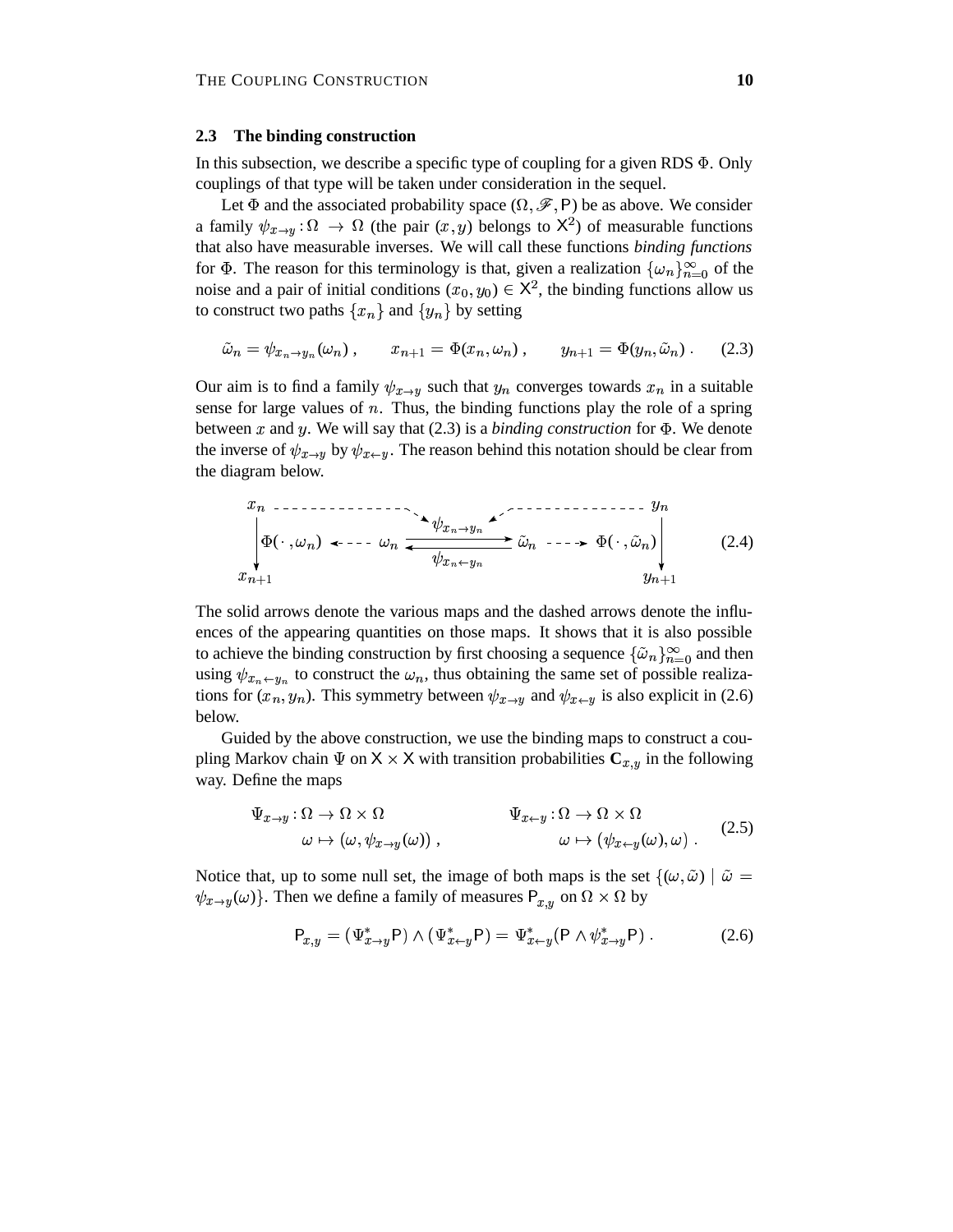#### **2.3 The binding construction**

In this subsection, we describe a specific type of coupling for a given RDS  $\Phi$ . Only couplings of that type will be taken under consideration in the sequel.

Let  $\Phi$  and the associated probability space  $(\Omega, \mathscr{F}, P)$  be as above. We consider a family  $\psi_{x\to y}$ :  $\Omega \to \Omega$  (the pair  $(x, y)$  belongs to  $X^2$ ) of measurable functions that also have measurable inverses. We will call these functions *binding functions* for  $\Phi$ . The reason for this terminology is that, given a realization  $\{\omega_n\}_{n=0}^{\infty}$  of the noise and a pair of initial conditions  $(x_0, y_0) \in \mathsf{X}^2$ , the binding functions allow us to construct two paths  $\{x_n\}$  and  $\{y_n\}$  by setting

$$
\tilde{\omega}_n = \psi_{x_n \to y_n}(\omega_n), \qquad x_{n+1} = \Phi(x_n, \omega_n), \qquad y_{n+1} = \Phi(y_n, \tilde{\omega}_n). \tag{2.3}
$$

Our aim is to find a family  $\psi_{x\to y}$  such that  $y_n$  converges towards  $x_n$  in a suitable sense for large values of  $n$ . Thus, the binding functions play the role of a spring between x and y. We will say that  $(2.3)$  is a *binding construction* for  $\Phi$ . We denote the inverse of  $\psi_{x\to y}$  by  $\psi_{x\leftarrow y}$ . The reason behind this notation should be clear from the diagram below.

$$
x_n \longrightarrow y_n
$$
  
\n
$$
\phi(\cdot, \omega_n) \longleftarrow \cdots \longleftarrow \omega_n \xleftarrow[y_{x_n \to y_n}]{\sim} \tilde{\omega}_n \longrightarrow \Phi(\cdot, \tilde{\omega}_n)
$$
  
\n
$$
x_{n+1}
$$
 (2.4)

The solid arrows denote the various maps and the dashed arrows denote the influences of the appearing quantities on those maps. It shows that it is also possible to achieve the binding construction by first choosing a sequence  $\{\tilde{\omega}_n\}_{n=0}^{\infty}$  and then using  $\psi_{x_n \leftarrow y_n}$  to construct the  $\omega_n$ , thus obtaining the same set of possible realizations for  $(x_n, y_n)$ . This symmetry between  $\psi_{x \to y}$  and  $\psi_{x \leftarrow y}$  is also explicit in (2.6) below.

Guided by the above construction, we use the binding maps to construct a coupling Markov chain  $\Psi$  on  $X \times X$  with transition probabilities  $C_{x,y}$  in the following way. Define the maps

$$
\Psi_{x \to y} : \Omega \to \Omega \times \Omega \qquad \Psi_{x \gets y} : \Omega \to \Omega \times \Omega \qquad (2.5)
$$
  

$$
\omega \mapsto (\omega, \psi_{x \to y}(\omega)), \qquad \omega \mapsto (\psi_{x \gets y}(\omega), \omega) .
$$

Notice that, up to some null set, the image of both maps is the set  ${(\omega, \tilde{\omega}) | \tilde{\omega} =}$  $\psi_{x\to y}(\omega)$ . Then we define a family of measures  $P_{x,y}$  on  $\Omega \times \Omega$  by

$$
\mathsf{P}_{x,y} = (\Psi^*_{x \to y} \mathsf{P}) \wedge (\Psi^*_{x \gets y} \mathsf{P}) = \Psi^*_{x \gets y} (\mathsf{P} \wedge \psi^*_{x \to y} \mathsf{P}) \ . \tag{2.6}
$$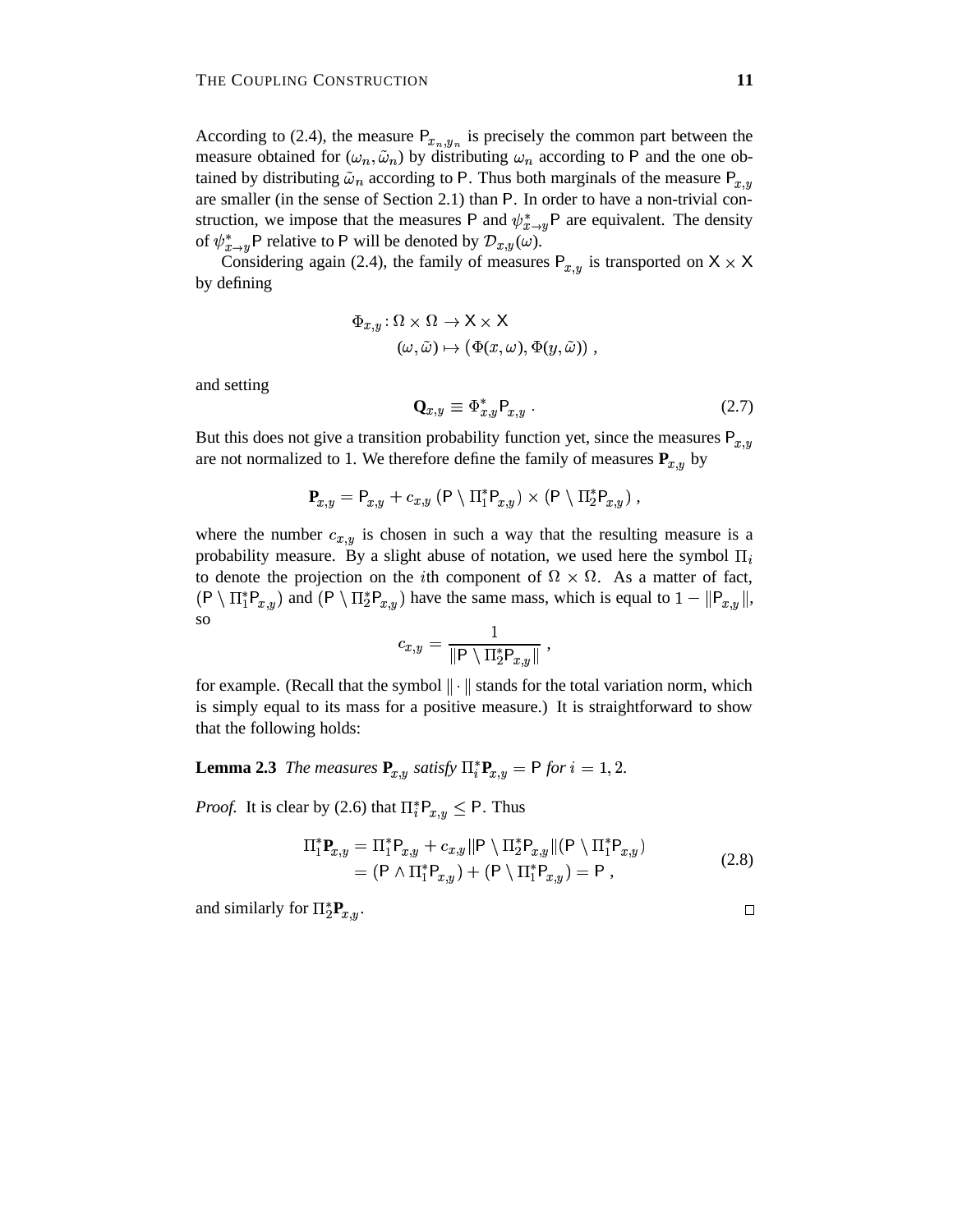According to (2.4), the measure  $P_{x_n,y_n}$  is precisely the common part between the measure obtained for  $(\omega_n, \tilde{\omega}_n)$  by distributing  $\omega_n$  according to P and the one obtained by distributing  $\tilde{\omega}_n$  according to P. Thus both marginals of the measure  $P_{x,y}$ are smaller (in the sense of Section 2.1) than  $P$ . In order to have a non-trivial construction, we impose that the measures P and  $\psi_{x\to u}^*$ P are equivalent. The density of  $\psi_{x\to y}^*$ P relative to P will be denoted by  $\mathcal{D}_{x,y}(\omega)$ .

Considering again (2.4), the family of measures  $P_{x,y}$  is transported on  $X \times X$ by defining

$$
\Phi_{x,y}: \Omega \times \Omega \to \mathsf{X} \times \mathsf{X}
$$

$$
(\omega, \tilde{\omega}) \mapsto (\Phi(x, \omega), \Phi(y, \tilde{\omega})) ,
$$

and setting

$$
\mathbf{Q}_{x,y} \equiv \Phi_{x,y}^* \mathsf{P}_{x,y} \ . \tag{2.7}
$$

But this does not give a transition probability function yet, since the measures  $P_{x,y}$ are not normalized to 1. We therefore define the family of measures  $P_{x,y}$  by

$$
\mathbf{P}_{x,y} = \mathsf{P}_{x,y} + c_{x,y} \left( \mathsf{P} \setminus \Pi_1^* \mathsf{P}_{x,y} \right) \times \left( \mathsf{P} \setminus \Pi_2^* \mathsf{P}_{x,y} \right),
$$

where the number  $c_{x,y}$  is chosen in such a way that the resulting measure is a probability measure. By a slight abuse of notation, we used here the symbol  $\Pi_i$ to denote the projection on the *i*th component of  $\Omega \times \Omega$ . As a matter of fact,  $(P \setminus \Pi_1^* P_{x,y})$  and  $(P \setminus \Pi_2^* P_{x,y})$  have the same mass, which is equal to  $1-\|P_{x,y}\|$ , so

$$
c_{x,y} = \frac{1}{\|\mathsf{P} \setminus \Pi_2^* \mathsf{P}_{x,y}\|} \;,
$$

for example. (Recall that the symbol  $\|\cdot\|$  stands for the total variation norm, which is simply equal to its mass for a positive measure.) It is straightforward to show that the following holds:

**Lemma 2.3** *The measures*  $P_{x,y}$  *satisfy*  $\prod_{i=1}^{n} P_{x,y} = P$  *for*  $i = 1, 2$ .

*Proof.* It is clear by (2.6) that  $\prod_{i=1}^{8} P_{x,y} \leq P$ . Thus

$$
\Pi_1^* \mathbf{P}_{x,y} = \Pi_1^* \mathbf{P}_{x,y} + c_{x,y} \|\mathbf{P} \setminus \Pi_2^* \mathbf{P}_{x,y} \| (\mathbf{P} \setminus \Pi_1^* \mathbf{P}_{x,y})
$$
  
= (\mathbf{P} \wedge \Pi\_1^\* \mathbf{P}\_{x,y}) + (\mathbf{P} \setminus \Pi\_1^\* \mathbf{P}\_{x,y}) = \mathbf{P}, \t(2.8)

and similarly for  $\Pi_2^* P_{x,y}$ .

 $\Box$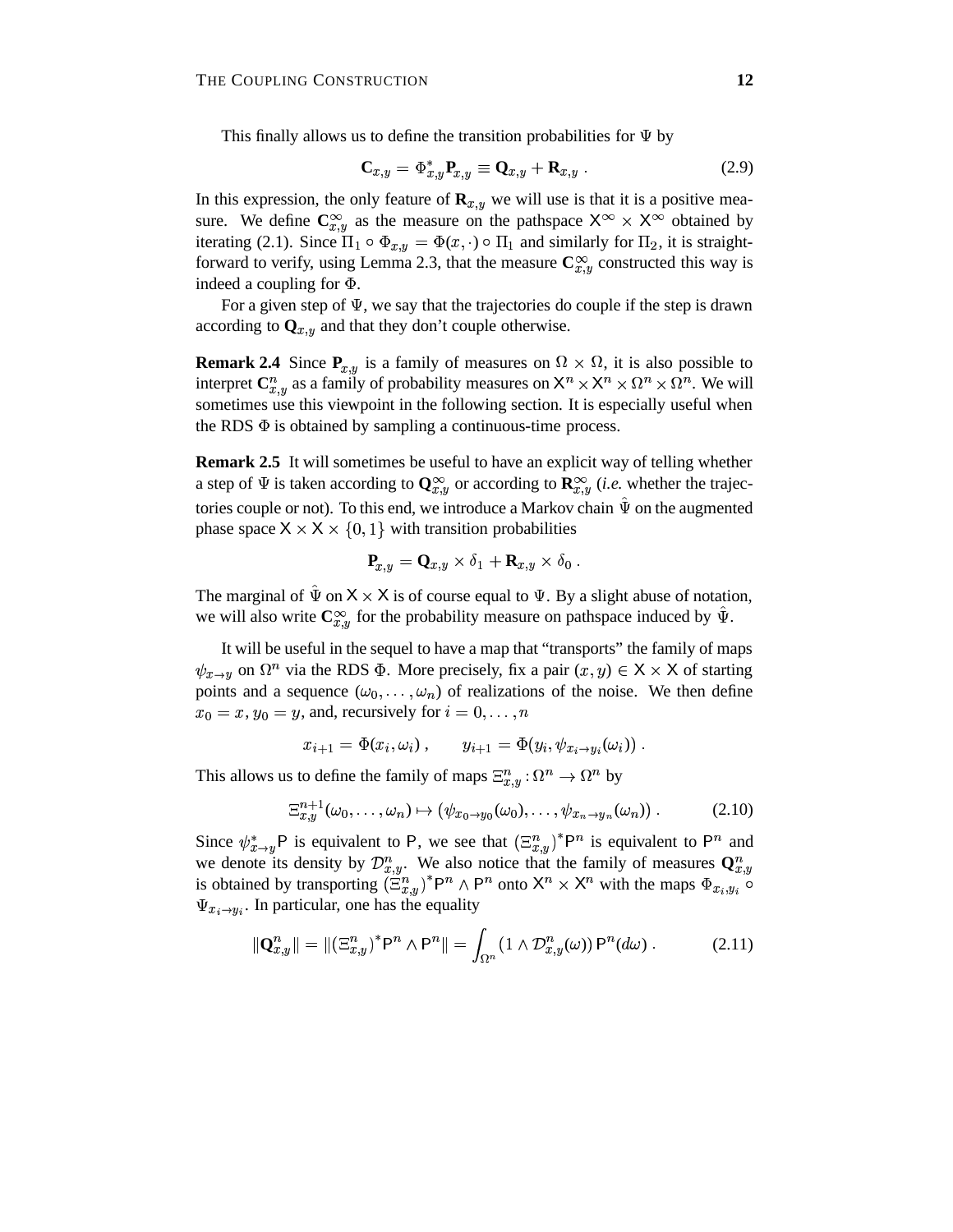This finally allows us to define the transition probabilities for  $\Psi$  by

$$
\mathbf{C}_{x,y} = \Phi_{x,y}^* \mathbf{P}_{x,y} \equiv \mathbf{Q}_{x,y} + \mathbf{R}_{x,y} \ . \tag{2.9}
$$

In this expression, the only feature of  $\mathbf{R}_{x,y}$  we will use is that it is a positive measure. We define  $\mathbb{C}_{x,y}^{\infty}$  as the measure on the pathspace  $X^{\infty} \times X^{\infty}$  obtained by iterating (2.1). Since  $\Pi_1 \circ \Phi_{x,y} = \Phi(x, \cdot) \circ \Pi_1$  and similarly for  $\Pi_2$ , it is straightforward to verify, using Lemma 2.3, that the measure  $\mathbb{C}_{x,y}^{\infty}$  constructed this way is indeed a coupling for  $\Phi$ .

For a given step of  $\Psi$ , we say that the trajectories do couple if the step is drawn according to  $\mathbf{Q}_{x,y}$  and that they don't couple otherwise.

**Remark 2.4** Since  $P_{x,y}$  is a family of measures on  $\Omega \times \Omega$ , it is also possible to interpret  $\mathbb{C}_{x,y}^n$  as a family of probability measures on  $\mathsf{X}^n \times \mathsf{X}^n \times \Omega^n \times \Omega^n$ . We will sometimes use this viewpoint in the following section. It is especially useful when the RDS  $\Phi$  is obtained by sampling a continuous-time process.

**Remark 2.5** It will sometimes be useful to have an explicit way of telling whether a step of  $\Psi$  is taken according to  $\mathbf{Q}_{x,y}^{\infty}$  or according to  $\mathbf{R}_{x,y}^{\infty}$  *(i.e.* whether the trajectories couple or not). To this end, we introduce a Markov chain  $\hat{\Psi}$  on the augmented phase space  $X \times X \times \{0, 1\}$  with transition probabilities

$$
\mathbf{P}_{x,y} = \mathbf{Q}_{x,y} \times \delta_1 + \mathbf{R}_{x,y} \times \delta_0.
$$

The marginal of  $\hat{\Psi}$  on  $X \times X$  is of course equal to  $\Psi$ . By a slight abuse of notation, we will also write  $\mathbf{C}^{\infty}_{x,y}$  for the probability measure on pathspace induced by  $\hat{\Psi}$ .

It will be useful in the sequel to have a map that "transports" the family of maps  $\psi_{x\to y}$  on  $\Omega^n$  via the RDS  $\Phi$ . More precisely, fix a pair  $(x, y) \in X \times X$  of starting points and a sequence  $(\omega_0, \dots, \omega_n)$  of realizations of the noise. We then define  $x_0 = x, y_0 = y$ , and, recursively for  $i = 0, \dots, n$ 

$$
x_{i+1} = \Phi(x_i, \omega_i), \qquad y_{i+1} = \Phi(y_i, \psi_{x_i \to y_i}(\omega_i)).
$$

This allows us to define the family of maps  $\Xi_{x,y}^n : \Omega^n \to \Omega^n$  by

$$
\Xi_{x,y}^{n+1}(\omega_0,\ldots,\omega_n)\mapsto (\psi_{x_0\to y_0}(\omega_0),\ldots,\psi_{x_n\to y_n}(\omega_n))\ .\hspace{1cm} (2.10)
$$

Since  $\psi_{x\to y}^* P$  is equivalent to P, we see that  $(\Xi_{x,y}^n)^* P^n$  is equivalent to  $P^n$  and we denote its density by  $\mathcal{D}_{x,y}^n$ . We also notice that the family of measures  $\mathbf{Q}_{x,y}^n$ is obtained by transporting  $(\Xi_{n}^{n})^* P^n \wedge P^n$  onto  $X^n \times X^n$  with the maps  $\Phi_{x_i,y_i}$  of  $\Psi_{x_i \to y_i}$ . In particular, one has the equality

$$
\|\mathbf{Q}_{x,y}^n\| = \|(\Xi_{x,y}^n)^* \mathsf{P}^n \wedge \mathsf{P}^n\| = \int_{\Omega^n} (1 \wedge \mathcal{D}_{x,y}^n(\omega)) \mathsf{P}^n(d\omega) . \tag{2.11}
$$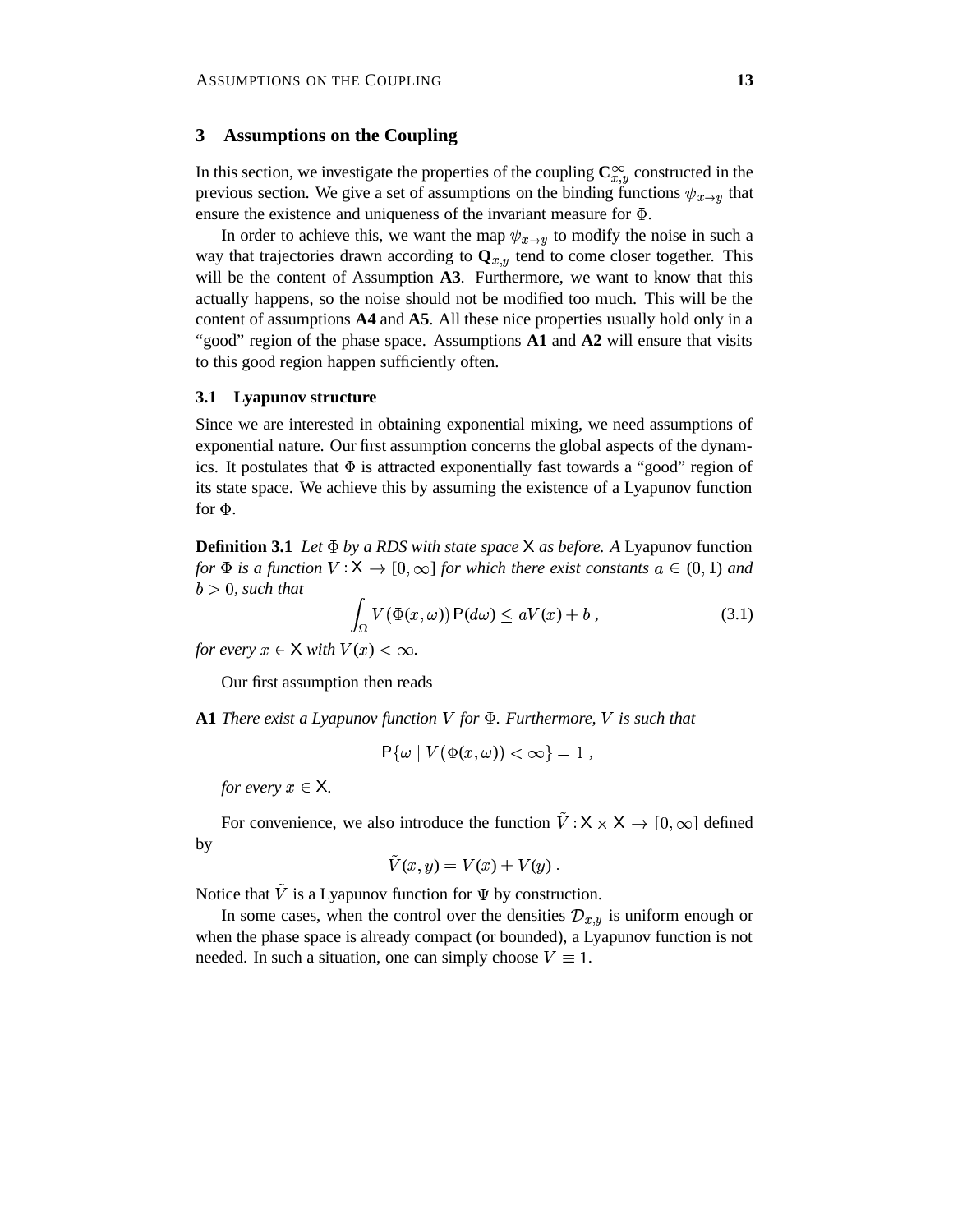# **3 Assumptions on the Coupling**

In this section, we investigate the properties of the coupling  $\mathbb{C}_{x,y}^{\infty}$  constructed in the previous section. We give a set of assumptions on the binding functions  $\psi_{x\to y}$  that ensure the existence and uniqueness of the invariant measure for  $\Phi$ .

In order to achieve this, we want the map  $\psi_{x\to y}$  to modify the noise in such a way that trajectories drawn according to  $\mathbf{Q}_{x,y}$  tend to come closer together. This will be the content of Assumption **A3**. Furthermore, we want to know that this actually happens, so the noise should not be modified too much. This will be the content of assumptions **A4** and **A5**. All these nice properties usually hold only in a "good" region of the phase space. Assumptions **A1** and **A2** will ensure that visits to this good region happen sufficiently often.

#### **3.1 Lyapunov structure**

Since we are interested in obtaining exponential mixing, we need assumptions of exponential nature. Our first assumption concerns the global aspects of the dynamics. It postulates that  $\Phi$  is attracted exponentially fast towards a "good" region of its state space. We achieve this by assuming the existence of a Lyapunov function for  $\Phi$ .

**Definition 3.1** *Let by a RDS with state space as before. A* Lyapunov function *for*  $\Phi$  *is a function*  $V: \mathsf{X} \to [0, \infty]$  *for which there exist constants*  $a \in (0, 1)$  *and*  $b > 0$ , *such that* 

$$
\int_{\Omega} V(\Phi(x,\omega)) P(d\omega) \le aV(x) + b , \qquad (3.1)
$$

*for every*  $x \in X$  *with*  $V(x) < \infty$ .

Our first assumption then reads

**A1** *There exist a Lyapunov function for . Furthermore, is such that*

$$
\mathsf{P}\{\omega \mid V(\Phi(x,\omega)) < \infty\} = 1\,,
$$

*for every*  $x \in X$ .

For convenience, we also introduce the function  $\tilde{V}: X \times X \to [0, \infty]$  defined by

$$
\tilde{V}(x,y) = V(x) + V(y) .
$$

Notice that  $\tilde{V}$  is a Lyapunov function for  $\Psi$  by construction.

In some cases, when the control over the densities  $\mathcal{D}_{x,y}$  is uniform enough or when the phase space is already compact (or bounded), a Lyapunov function is not needed. In such a situation, one can simply choose  $V \equiv 1$ .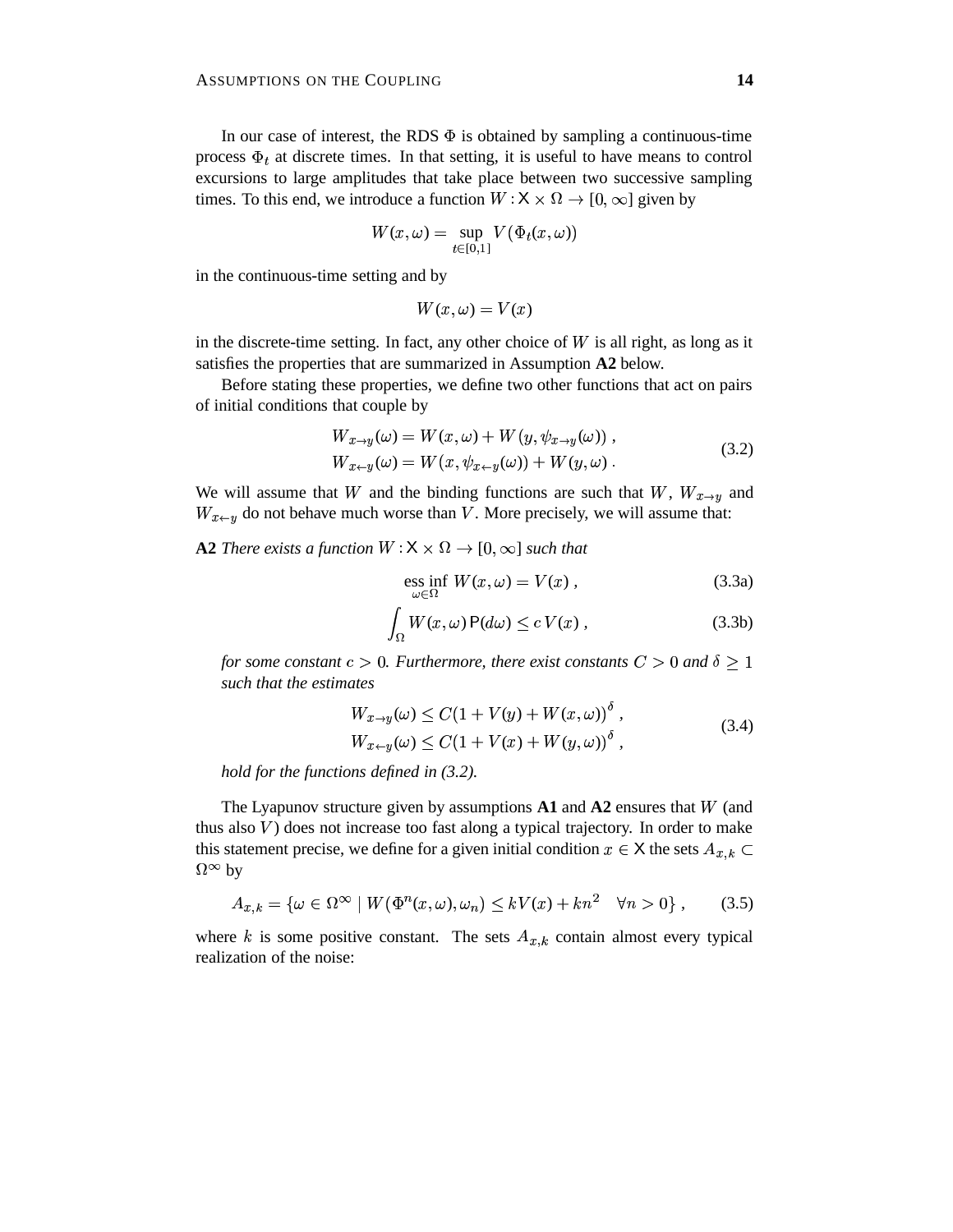In our case of interest, the RDS  $\Phi$  is obtained by sampling a continuous-time process  $\Phi_t$  at discrete times. In that setting, it is useful to have means to control excursions to large amplitudes that take place between two successive sampling times. To this end, we introduce a function  $W : X \times \Omega \to [0, \infty]$  given by

$$
W(x,\omega)=\sup_{t\in[0,1]}V(\Phi_t(x,\omega))
$$

in the continuous-time setting and by

$$
W(x,\omega) = V(x)
$$

in the discrete-time setting. In fact, any other choice of  $W$  is all right, as long as it satisfies the properties that are summarized in Assumption **A2** below.

Before stating these properties, we define two other functions that act on pairs of initial conditions that couple by

$$
W_{x \to y}(\omega) = W(x, \omega) + W(y, \psi_{x \to y}(\omega)),
$$
  
\n
$$
W_{x \to y}(\omega) = W(x, \psi_{x \to y}(\omega)) + W(y, \omega).
$$
\n(3.2)

We will assume that W and the binding functions are such that  $W$ ,  $W_{x\rightarrow y}$  and  $W_{x \leftarrow y}$  do not behave much worse than V. More precisely, we will assume that:

**A2** *There exists a function*  $W : \mathsf{X} \times \Omega \to [0, \infty]$  *such that* 

$$
\underset{\omega \in \Omega}{\text{ess inf }} W(x, \omega) = V(x) , \qquad (3.3a)
$$

$$
\int_{\Omega} W(x,\omega) P(d\omega) \le c V(x), \qquad (3.3b)
$$

*for some constant*  $c > 0$ . Furthermore, there exist constants  $C > 0$  and  $\delta \ge 1$ *such that the estimates*

$$
W_{x \to y}(\omega) \le C(1 + V(y) + W(x, \omega))^{\delta},
$$
  
\n
$$
W_{x \gets y}(\omega) \le C(1 + V(x) + W(y, \omega))^{\delta},
$$
\n(3.4)

*hold for the functions defined in (3.2).*

The Lyapunov structure given by assumptions  $A1$  and  $A2$  ensures that  $W$  (and thus also  $V$ ) does not increase too fast along a typical trajectory. In order to make this statement precise, we define for a given initial condition  $x \in X$  the sets  $A_{x,k} \subset Y$  $\Omega^{\infty}$  by

$$
A_{x,k} = \{ \omega \in \Omega^{\infty} \mid W(\Phi^n(x,\omega), \omega_n) \le kV(x) + kn^2 \quad \forall n > 0 \}, \qquad (3.5)
$$

where k is some positive constant. The sets  $A_{x,k}$  contain almost every typical realization of the noise: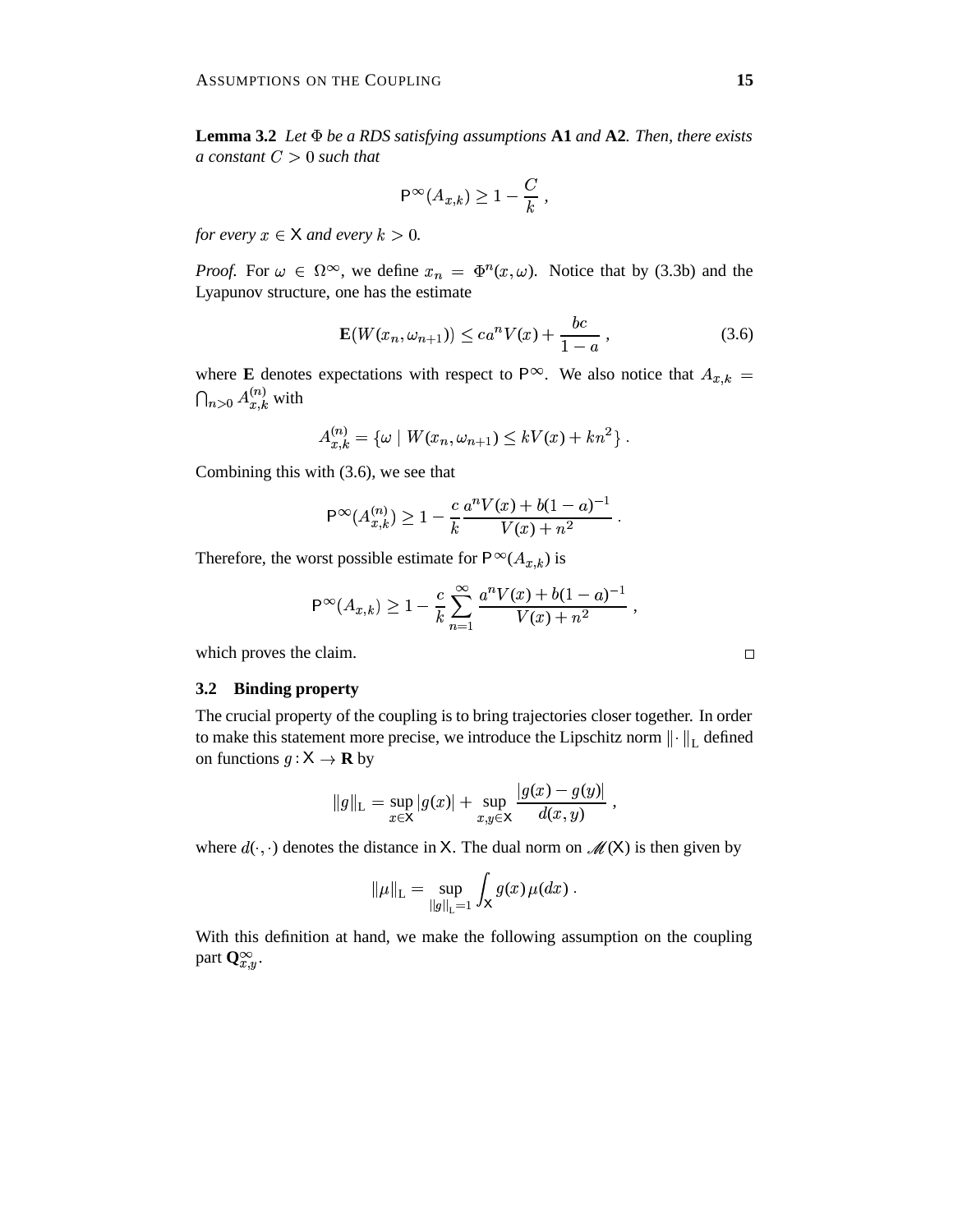**Lemma 3.2** *Let be a RDS satisfying assumptions* **A1** *and* **A2***. Then, there exists a* constant  $C > 0$  such that

$$
\mathsf{P}^\infty(A_{x,k}) \ge 1 - \frac{C}{k},
$$

*for every*  $x \in X$  *and every*  $k > 0$ .

*Proof.* For  $\omega \in \Omega^{\infty}$ , we define  $x_n = \Phi^n(x, \omega)$ . Notice that by (3.3b) and the Lyapunov structure, one has the estimate

$$
\mathbf{E}(W(x_n, \omega_{n+1})) \le c a^n V(x) + \frac{bc}{1-a} ,
$$
 (3.6)

where **E** denotes expectations with respect to  $P^{\infty}$ . We also notice that  $A_{x,k}$  =  $\bigcap_{n>0} A^{(n)}_{x,k}$  with

$$
A_{x,k}^{(n)} = \{ \omega \mid W(x_n, \omega_{n+1}) \leq kV(x) + kn^2 \} .
$$

Combining this with (3.6), we see that

$$
\mathsf{P}^{\infty}(A_{x,k}^{(n)}) \geq 1 - \frac{c}{k} \frac{a^n V(x) + b(1-a)^{-1}}{V(x) + n^2}.
$$

Therefore, the worst possible estimate for  $P^{\infty}(A_{x,k})$  is

$$
\mathsf{P}^\infty(A_{x,k}) \ge 1 - \frac{c}{k} \sum_{n=1}^\infty \frac{a^n V(x) + b(1-a)^{-1}}{V(x) + n^2} \,,
$$
 which proves the claim.

# **3.2 Binding property**

The crucial property of the coupling is to bring trajectories closer together. In order to make this statement more precise, we introduce the Lipschitz norm  $\left\| \cdot \right\|_{\text{L}}$  defined on functions  $g: \mathsf{X} \to \mathbf{R}$  by

$$
||g||_{\mathcal{L}} = \sup_{x \in \mathsf{X}} |g(x)| + \sup_{x,y \in \mathsf{X}} \frac{|g(x) - g(y)|}{d(x,y)},
$$

a a company and the company of the company of the company of the company of the company of the company of the

the contract of the contract of the contract of the contract of the contract of the contract of the contract of

where  $d(\cdot, \cdot)$  denotes the distance in X. The dual norm on  $\mathcal{M}(X)$  is then given by

$$
\|\mu\|_{\mathsf{L}} = \sup_{\|g\|_{\mathsf{L}} = 1} \int_{\mathsf{X}} g(x) \, \mu(dx) \; .
$$

With this definition at hand, we make the following assumption on the coupling part  $\mathbf{Q}_{x,y}^{\infty}$ .

 $\Box$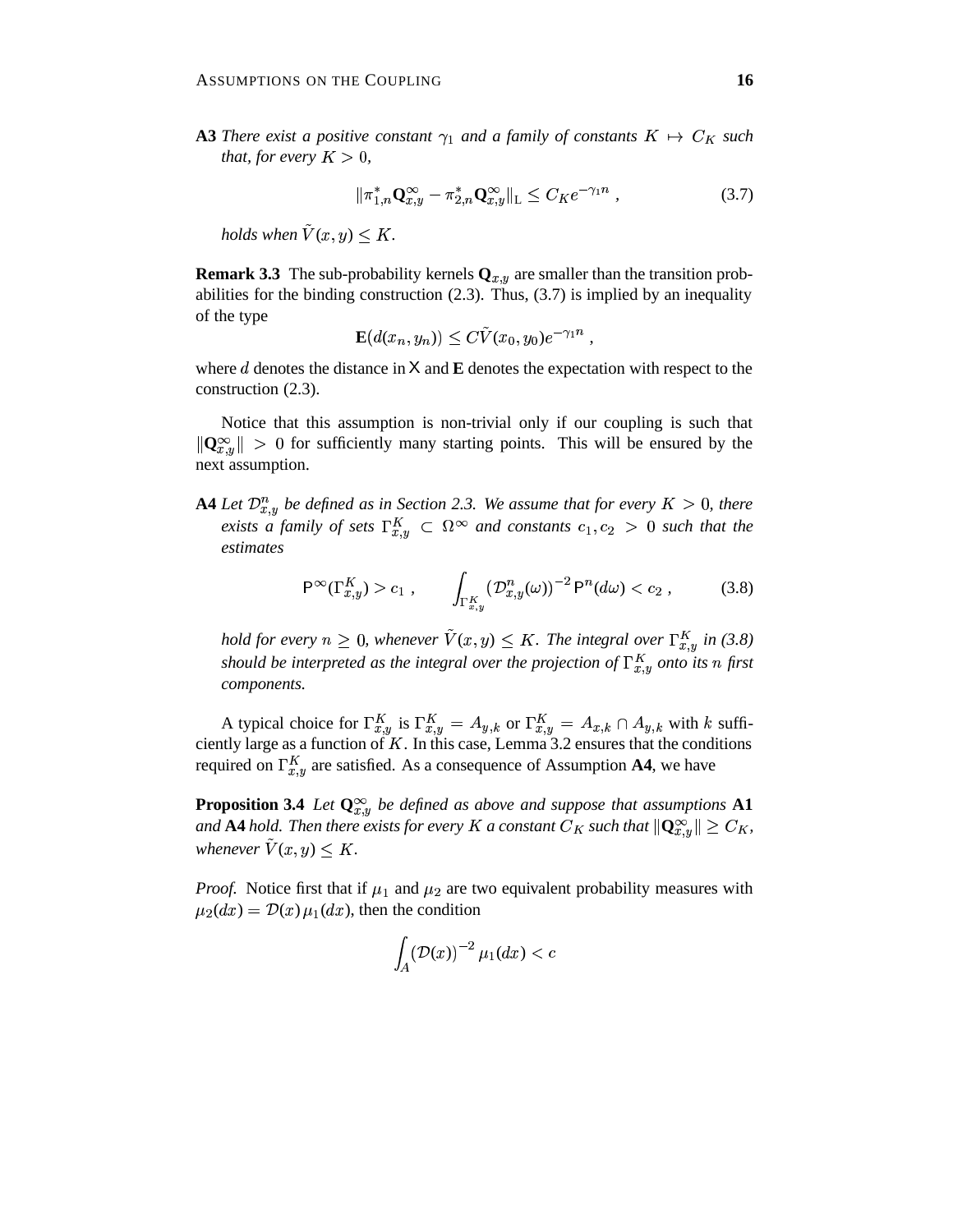**A3** There exist a positive constant  $\gamma_1$  and a family of constants  $K \mapsto C_K$  such *that, for every*  $K > 0$ ,

$$
\|\pi_{1,n}^*\mathbf{Q}_{x,y}^{\infty} - \pi_{2,n}^*\mathbf{Q}_{x,y}^{\infty}\|_{\mathcal{L}} \le C_K e^{-\gamma_1 n} \,,\tag{3.7}
$$

holds when  $\tilde{V}(x,y) \leq K$ .

**Remark 3.3** The sub-probability kernels  $Q_{x,y}$  are smaller than the transition probabilities for the binding construction  $(2.3)$ . Thus,  $(3.7)$  is implied by an inequality of the type

$$
\mathbf{E}(d(x_n,y_n)) \leq C\tilde{V}(x_0,y_0)e^{-\gamma_1 n},
$$

where  $d$  denotes the distance in  $X$  and  $E$  denotes the expectation with respect to the construction (2.3).

Notice that this assumption is non-trivial only if our coupling is such that  $\|\mathbf{Q}_{x,y}^{\infty}\| > 0$  for sufficiently many starting points. This will be ensured by the next assumption.

**A4** Let  $\mathcal{D}_{x,y}^n$  be defined as in Section 2.3. We assume that for every  $K > 0$ , there *exists* a family of sets  $\Gamma_{x,y}^K \subset \Omega_{\infty}$  and constants  $c_1, c_2 > 0$  such that the *estimates*

$$
\mathsf{P}^{\infty}(\Gamma_{x,y}^K) > c_1 , \qquad \int_{\Gamma_{x,y}^K} (\mathcal{D}_{x,y}^n(\omega))^{-2} \, \mathsf{P}^n(d\omega) < c_2 , \qquad (3.8)
$$

*hold* for every  $n \geq 0$ , whenever  $\tilde{V}(x, y) \leq K$ . The integral over  $\Gamma_{x,y}^{K}$  in (3.8) *should be interpreted as the integral over the projection of*  $\Gamma_{x,y}^K$  *onto its n* first *components.*

A typical choice for  $\Gamma_{x,y}^{K}$  is  $\Gamma_{x,y}^{K} = A_{y,k}$  or  $\Gamma_{x,y}^{K} = A_{x,k} \cap A_{y,k}$  with k sufficiently large as a function of  $K$ . In this case, Lemma 3.2 ensures that the conditions required on  $\Gamma_{x,y}^{K}$  are satisfied. As a consequence of Assumption **A4**, we have

**Proposition 3.4** *Let*  $\mathbf{Q}_{x,y}^{\infty}$  *be defined as above and suppose that assumptions* A1 and  ${\bf A4}$  hold. Then there exists for every  $K$  a constant  $C_K$  such that  $\|{\bf Q}^\infty_{x,y}\|\geq C_K,$ whenever  $\tilde{V}(x,y) \leq K$ .

*Proof.* Notice first that if  $\mu_1$  and  $\mu_2$  are two equivalent probability measures with  $\mu_2(dx) = \mathcal{D}(x) \mu_1(dx)$ , then the condition

$$
\int_A (\mathcal{D}(x))^{-2} \mu_1(dx) < c
$$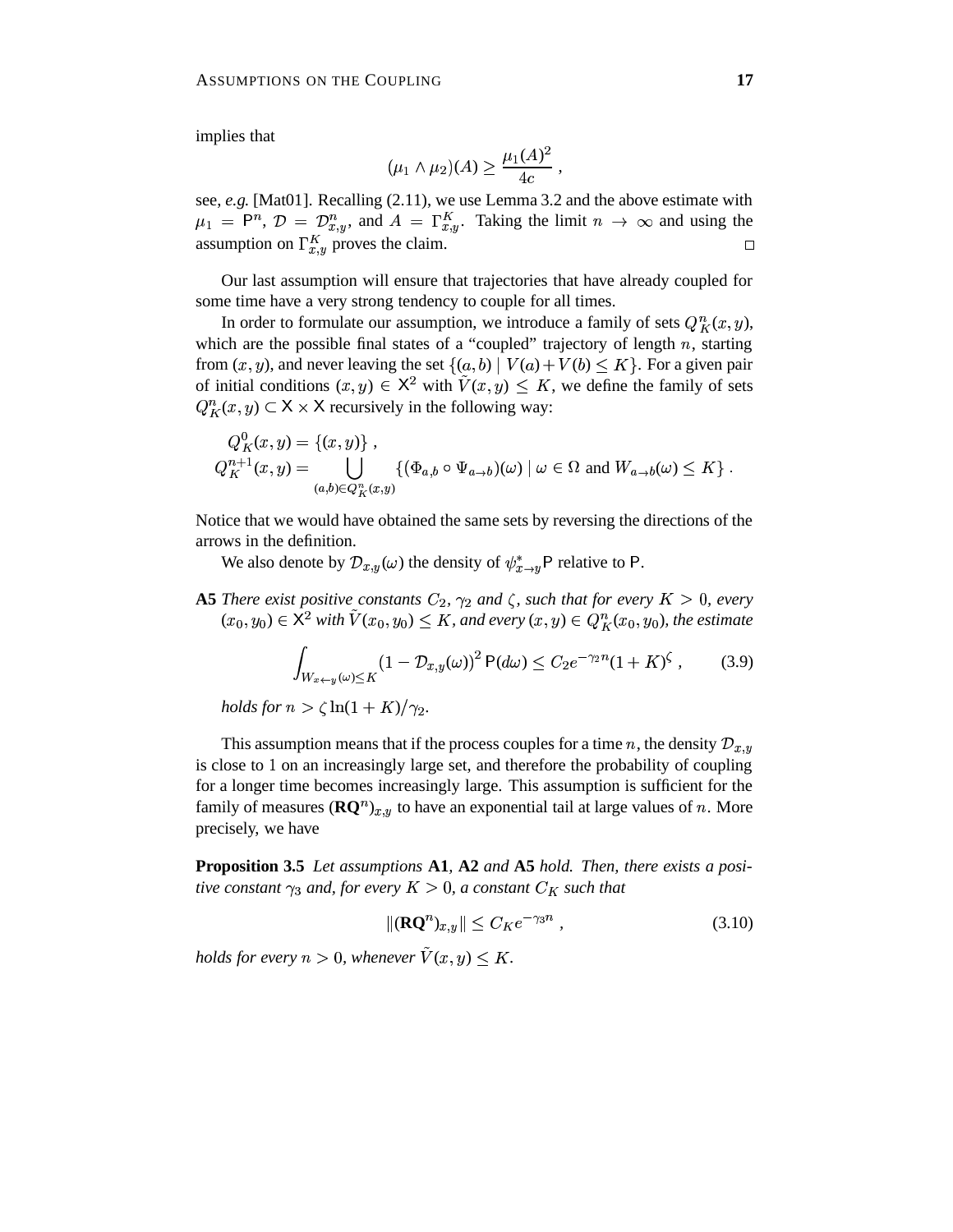implies that

$$
(\mu_1 \wedge \mu_2)(A) \ge \frac{\mu_1(A)^2}{4c} ,
$$

see, *e.g.* [Mat01]. Recalling (2.11), we use Lemma 3.2 and the above estimate with  $\mu_1 = P^n$ ,  $\mathcal{D} = \mathcal{D}_{x,y}^n$ , and  $A = \Gamma_{x,y}^K$ . Taking the limit  $n \to \infty$  and using the assumption on  $\Gamma_{x,y}^{K}$  proves the claim.  $\Box$ 

Our last assumption will ensure that trajectories that have already coupled for some time have a very strong tendency to couple for all times.

In order to formulate our assumption, we introduce a family of sets  $Q_K^n(x, y)$ , which are the possible final states of a "coupled" trajectory of length  $n$ , starting from  $(x, y)$ , and never leaving the set  $\{(a, b) | V(a) + V(b) \leq K\}$ . For a given pair of initial conditions  $(x, y) \in X^2$  with  $\tilde{V}(x, y) \leq K$ , we define the family of sets  $Q_K^n(x, y) \subset X \times X$  recursively in the following way:

$$
Q_K^0(x, y) = \{ (x, y) \},
$$
  
\n
$$
Q_K^{n+1}(x, y) = \bigcup_{(a, b) \in Q_K^n(x, y)} \{ (\Phi_{a,b} \circ \Psi_{a \to b})(\omega) \mid \omega \in \Omega \text{ and } W_{a \to b}(\omega) \le K \}.
$$

Notice that we would have obtained the same sets by reversing the directions of the arrows in the definition.

We also denote by  $\mathcal{D}_{x,y}(\omega)$  the density of  $\psi_{x\to y}^*$  P relative to P.

**A5** There exist positive constants  $C_2$ ,  $\gamma_2$  and  $\zeta$ , such that for every  $K > 0$ , every  $(x_0, y_0) \in \mathsf{X}^2$  with  $\tilde{V}(x_0, y_0) \leq K$ , and every  $(x, y) \in Q_K^n(x_0, y_0)$ , the estimate

$$
\int_{W_{x+y}(\omega)\leq K} (1 - \mathcal{D}_{x,y}(\omega))^2 P(d\omega) \leq C_2 e^{-\gamma_2 n} (1 + K)^\zeta ,\qquad(3.9)
$$

*holds for*  $n > \zeta \ln(1 + K)/\gamma_2$ .

This assumption means that if the process couples for a time n, the density  $\mathcal{D}_{x,y}$ is close to 1 on an increasingly large set, and therefore the probability of coupling for a longer time becomes increasingly large. This assumption is sufficient for the family of measures  $(\mathbf{R}\mathbf{Q}^n)_{x,y}$  to have an exponential tail at large values of n. More precisely, we have

**Proposition 3.5** *Let assumptions* **A1***,* **A2** *and* **A5** *hold. Then, there exists a positive constant*  $\gamma_3$  *and, for every*  $K > 0$ *, a constant*  $C_K$  *such that* 

$$
\|\mathbf{R}\mathbf{Q}^n_{x,y}\| \le C_K e^{-\gamma_3 n} \,,\tag{3.10}
$$

holds for every  $n > 0$ , whenever  $\tilde{V}(x, y) \leq K$ .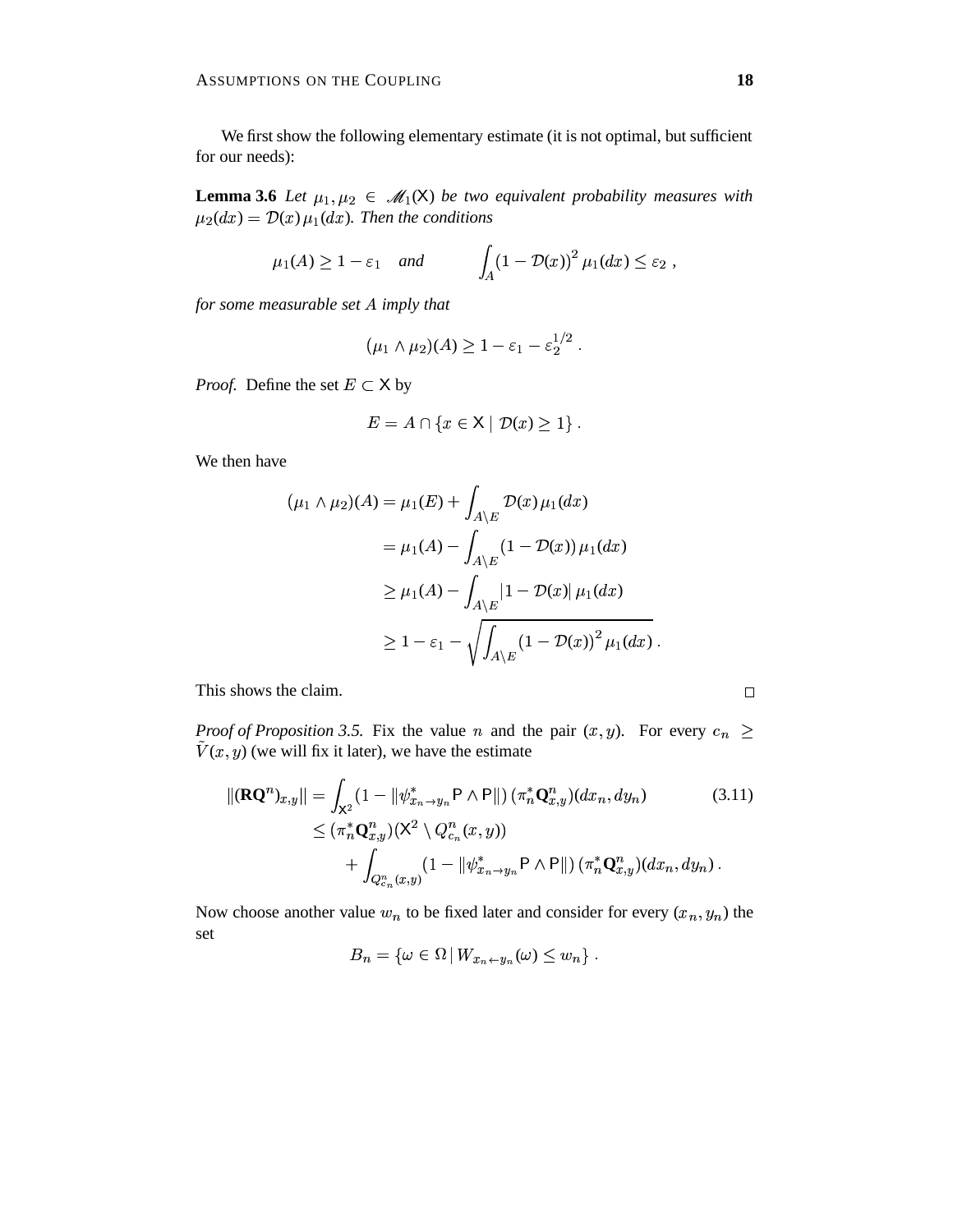We first show the following elementary estimate (it is not optimal, but sufficient for our needs):

**Lemma 3.6** Let  $\mu_1, \mu_2 \in \mathcal{M}_1(\mathsf{X})$  be two equivalent probability measures with  $\mu_2(dx) = \mathcal{D}(x) \mu_1(dx)$ . Then the conditions

$$
\mu_1(A) \ge 1 - \varepsilon_1
$$
 and  $\int_A (1 - \mathcal{D}(x))^2 \mu_1(dx) \le \varepsilon_2$ ,

*for some measurable set imply that*

$$
(\mu_1 \wedge \mu_2)(A) \geq 1 - \varepsilon_1 - \varepsilon_2^{1/2} .
$$

*Proof.* Define the set  $E \subset X$  by

$$
E = A \cap \{x \in \mathsf{X} \mid \mathcal{D}(x) \geq 1\}.
$$

We then have

$$
(\mu_1 \wedge \mu_2)(A) = \mu_1(E) + \int_{A \backslash E} \mathcal{D}(x) \mu_1(dx)
$$
  
=  $\mu_1(A) - \int_{A \backslash E} (1 - \mathcal{D}(x)) \mu_1(dx)$   
 $\ge \mu_1(A) - \int_{A \backslash E} |1 - \mathcal{D}(x)| \mu_1(dx)$   
 $\ge 1 - \varepsilon_1 - \sqrt{\int_{A \backslash E} (1 - \mathcal{D}(x))^2 \mu_1(dx)}$ .

This shows the claim.

*Proof of Proposition* 3.5. Fix the value *n* and the pair  $(x, y)$ . For every  $c_n \ge$  $\tilde{V}(x, y)$  (we will fix it later), we have the estimate

$$
\|(\mathbf{R}\mathbf{Q}^{n})_{x,y}\| = \int_{\mathbf{X}^{2}} (1 - \|\psi^{*}_{x_{n} \to y_{n}} \mathbf{P} \wedge \mathbf{P}\|) \, (\pi^{*}_{n} \mathbf{Q}^{n}_{x,y}) (dx_{n}, dy_{n}) \qquad (3.11)
$$
  
\$\leq (\pi^{\*}\_{n} \mathbf{Q}^{n}\_{x,y}) (\mathbf{X}^{2} \setminus Q^{n}\_{c\_{n}}(x, y))\$  
\$+ \int\_{Q^{n}\_{c\_{n}}(x,y)} (1 - \|\psi^{\*}\_{x\_{n} \to y\_{n}} \mathbf{P} \wedge \mathbf{P}\|) \, (\pi^{\*}\_{n} \mathbf{Q}^{n}\_{x,y}) (dx\_{n}, dy\_{n})\$ .

Now choose another value  $w_n$  to be fixed later and consider for every  $(x_n, y_n)$  the set

$$
B_n = \{ \omega \in \Omega \, | \, W_{x_n \leftarrow y_n}(\omega) \leq w_n \} .
$$

 $\Box$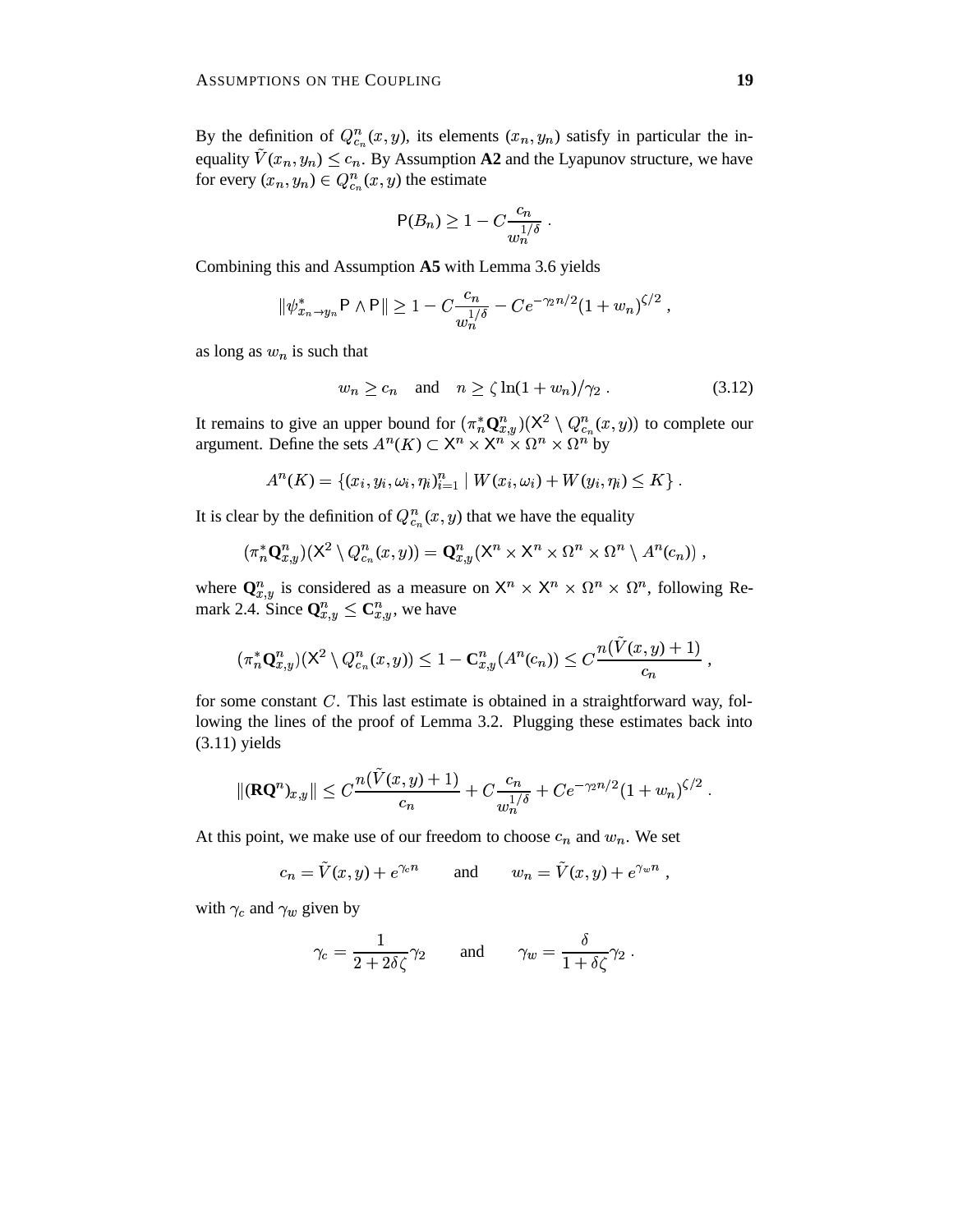By the definition of  $Q_{\epsilon_n}^n(x, y)$ , its elements  $(x_n, y_n)$  satisfy in particular the inequality  $\tilde{V}(x_n, y_n) \le c_n$ . By Assumption **A2** and the Lyapunov structure, we have for every  $(x_n, y_n) \in Q_{\epsilon_n}^n(x, y)$  the estimate

$$
\mathsf{P}(B_n) \ge 1 - C \frac{c_n}{w_n^{1/\delta}} \; .
$$

Combining this and Assumption **A5** with Lemma 3.6 yields

$$
\|\psi^*_{x_n \to y_n} \mathsf{P} \wedge \mathsf{P} \| \ge 1 - C \frac{c_n}{w_n^{1/\delta}} - C e^{-\gamma_2 n/2} (1 + w_n)^{\zeta/2},
$$

as long as  $w_n$  is such that

$$
w_n \ge c_n \quad \text{and} \quad n \ge \zeta \ln(1 + w_n) / \gamma_2 \,. \tag{3.12}
$$

It remains to give an upper bound for  $(\pi_n^* \mathbf{Q}_{x,y}^n)(\mathsf{X}^2 \setminus \mathcal{O}_{x,y}^2)$  $(X^2 \setminus Q^n_{c_n}(x, y))$  to complete our argument. Define the sets  $A^n(K) \subset X^n \times X^n \times \Omega^n \times \Omega^n$  by

$$
A^{n}(K) = \{(x_{i}, y_{i}, \omega_{i}, \eta_{i})_{i=1}^{n} | W(x_{i}, \omega_{i}) + W(y_{i}, \eta_{i}) \leq K\}.
$$

It is clear by the definition of  $Q_{\epsilon_n}^n(x,y)$  that we have the equality

$$
(\pi_n^* \mathbf{Q}_{x,y}^n)(\mathsf{X}^2 \setminus Q_{c_n}^n(x,y)) = \mathbf{Q}_{x,y}^n(\mathsf{X}^n \times \mathsf{X}^n \times \Omega^n \times \Omega^n \setminus A^n(c_n)),
$$

where  $\mathbf{Q}_{x,y}^n$  is considered as a measure on  $\mathsf{X}^n \times \mathsf{X}^n \times \Omega^n \times \Omega^n$ , following Remark 2.4. Since  $\mathbf{Q}_{x,y}^n \leq \mathbf{C}_{x,y}^n$ , we have

$$
(\pi_n^*\mathbf{Q}_{x,y}^n)(\mathsf{X}^2\setminus Q_{c_n}^n(x,y))\leq 1-\mathbf{C}_{x,y}^n(A^n(c_n))\leq C\frac{n(\tilde V(x,y)+1)}{c_n}\;,
$$

for some constant  $C$ . This last estimate is obtained in a straightforward way, following the lines of the proof of Lemma 3.2. Plugging these estimates back into (3.11) yields

$$
\|(\mathbf{R}\mathbf{Q}^n)_{x,y}\| \leq C \frac{n(\tilde{V}(x,y)+1)}{c_n} + C \frac{c_n}{w_n^{1/\delta}} + Ce^{-\gamma_2 n/2} (1+w_n)^{\zeta/2} .
$$

At this point, we make use of our freedom to choose  $c_n$  and  $w_n$ . We set

$$
c_n = \tilde{V}(x, y) + e^{\gamma_c n}
$$
 and  $w_n = \tilde{V}(x, y) + e^{\gamma_w n}$ ,

with  $\gamma_c$  and  $\gamma_w$  given by

$$
\gamma_c = \frac{1}{2 + 2\delta\zeta}\gamma_2 \quad \text{and} \quad \gamma_w = \frac{\delta}{1 + \delta\zeta}\gamma_2 \ .
$$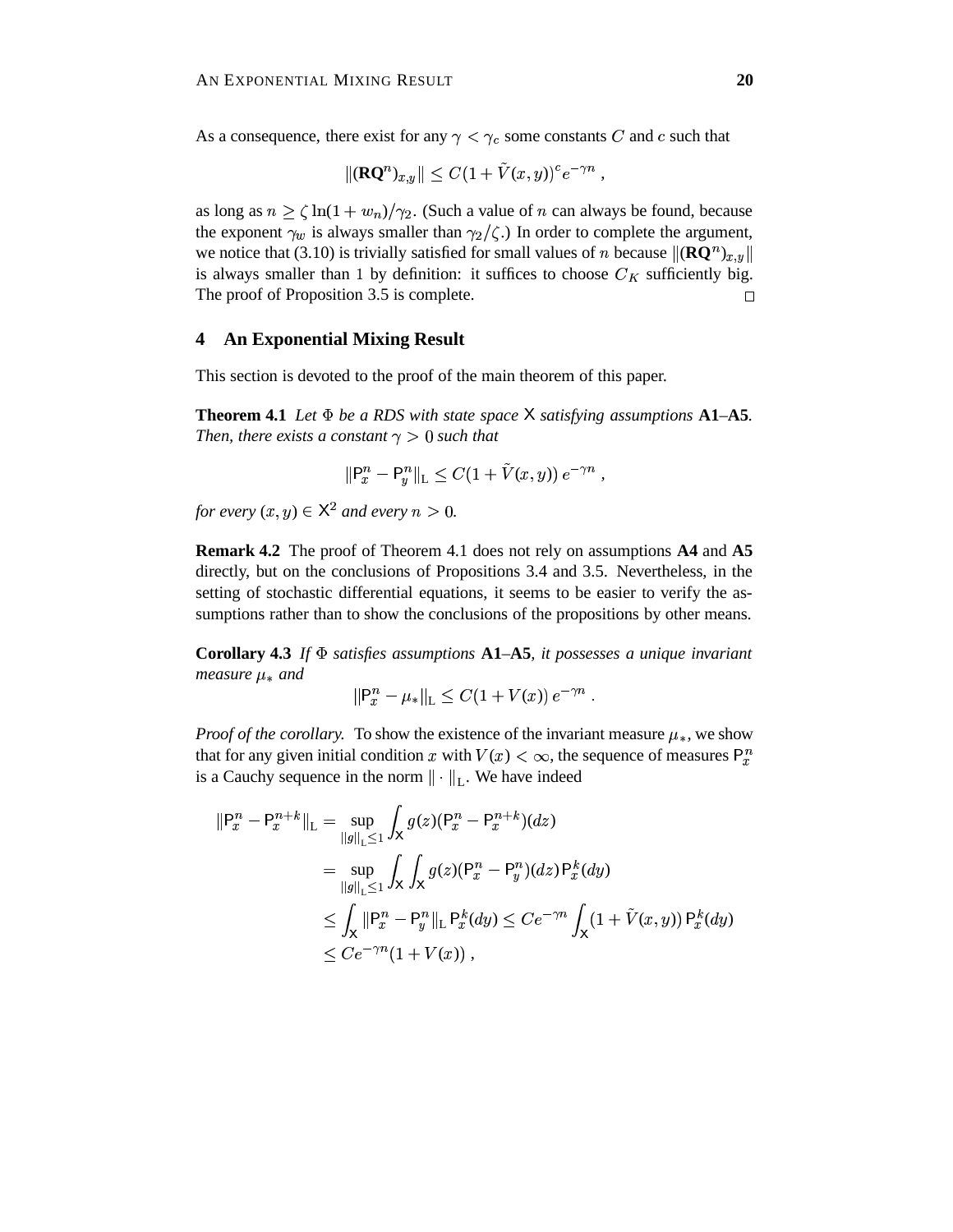As a consequence, there exist for any  $\gamma < \gamma_c$  some constants C and c such that

$$
\|(\mathbf{R}\mathbf{Q}^n)_{x,y}\| \leq C(1+\tilde{V}(x,y))^c e^{-\gamma n},
$$

as long as  $n \ge \zeta \ln(1 + w_n)/\gamma_2$ . (Such a value of *n* can always be found, because the exponent  $\gamma_w$  is always smaller than  $\gamma_2/\zeta$ .) In order to complete the argument, we notice that (3.10) is trivially satisfied for small values of *n* because  $\|(\mathbf{R}\mathbf{Q}^n)_{x,y}\|$ is always smaller than 1 by definition: it suffices to choose  $C_K$  sufficiently big. The proof of Proposition 3.5 is complete.  $\Box$ 

## **4 An Exponential Mixing Result**

This section is devoted to the proof of the main theorem of this paper.

**Theorem 4.1** *Let be a RDS with state space satisfying assumptions* **A1***–***A5***. Then, there exists a constant*  $\gamma > 0$  *such that* 

$$
\|P_x^n - P_y^n\|_{L} \le C(1 + \tilde{V}(x, y)) e^{-\gamma n},
$$

*for every*  $(x, y) \in \mathsf{X}^2$  and every  $n > 0$ .

**Remark 4.2** The proof of Theorem 4.1 does not rely on assumptions **A4** and **A5** directly, but on the conclusions of Propositions 3.4 and 3.5. Nevertheless, in the setting of stochastic differential equations, it seems to be easier to verify the assumptions rather than to show the conclusions of the propositions by other means.

**Corollary 4.3** *If satisfies assumptions* **A1***–***A5***, it possesses a unique invariant measure*  $\mu_*$  *and* 

$$
||P_x^n - \mu_*||_L \leq C(1 + V(x)) e^{-\gamma n} .
$$

*Proof of the corollary.* To show the existence of the invariant measure  $\mu_*$ , we show that for any given initial condition x with  $V(x) < \infty$ , the sequence of measures  $P_x^n$ is a Cauchy sequence in the norm  $\|\cdot\|_{L}$ . We have indeed

$$
\begin{aligned} ||\mathsf{P}_{x}^{n} - \mathsf{P}_{x}^{n+k}||_{\mathsf{L}} &= \sup_{||g||_{\mathsf{L}} \leq 1} \int_{\mathsf{X}} g(z) (\mathsf{P}_{x}^{n} - \mathsf{P}_{x}^{n+k}) (dz) \\ &= \sup_{||g||_{\mathsf{L}} \leq 1} \int_{\mathsf{X}} \int_{\mathsf{X}} g(z) (\mathsf{P}_{x}^{n} - \mathsf{P}_{y}^{n}) (dz) \mathsf{P}_{x}^{k} (dy) \\ &\leq \int_{\mathsf{X}} ||\mathsf{P}_{x}^{n} - \mathsf{P}_{y}^{n}||_{\mathsf{L}} \mathsf{P}_{x}^{k} (dy) \leq C e^{-\gamma n} \int_{\mathsf{X}} (1 + \tilde{V}(x, y)) \mathsf{P}_{x}^{k} (dy) \\ &\leq C e^{-\gamma n} (1 + V(x)) \,, \end{aligned}
$$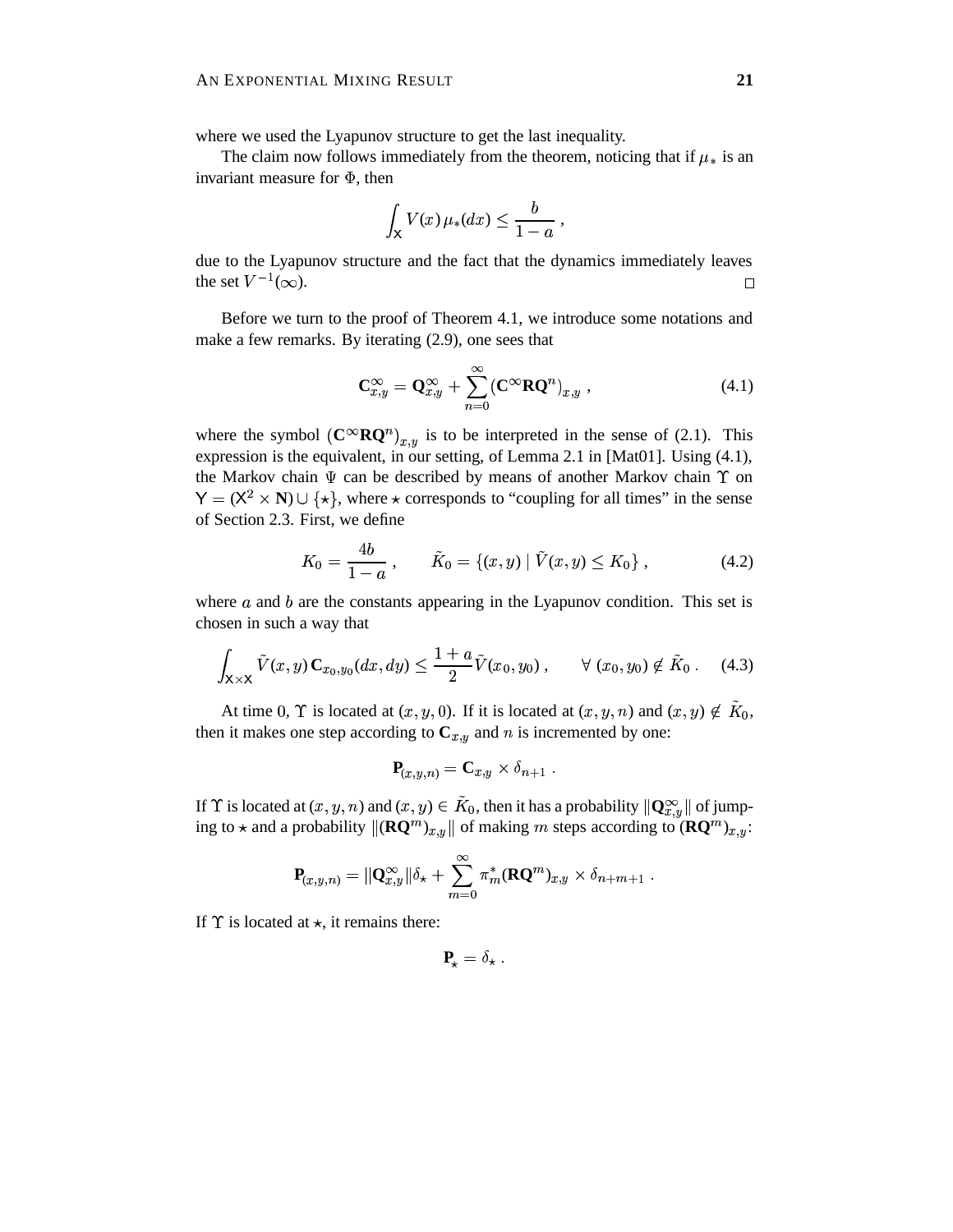where we used the Lyapunov structure to get the last inequality.

The claim now follows immediately from the theorem, noticing that if  $\mu_*$  is an invariant measure for  $\Phi$ , then

$$
\int_{\mathsf{X}} V(x) \,\mu_*(dx) \leq \frac{b}{1-a} \,,
$$

due to the Lyapunov structure and the fact that the dynamics immediately leaves the set  $V^{-1}(\infty)$ .  $\Box$ 

Before we turn to the proof of Theorem 4.1, we introduce some notations and make a few remarks. By iterating (2.9), one sees that

$$
\mathbf{C}_{x,y}^{\infty} = \mathbf{Q}_{x,y}^{\infty} + \sum_{n=0}^{\infty} (\mathbf{C}^{\infty} \mathbf{R} \mathbf{Q}^n)_{x,y} , \qquad (4.1)
$$

where the symbol  $(C^{\infty}RQ^n)_{x,y}$  is to be interpreted in the sense of (2.1). This expression is the equivalent, in our setting, of Lemma 2.1 in [Mat01]. Using  $(4.1)$ , the Markov chain  $\Psi$  can be described by means of another Markov chain  $\Upsilon$  on  $Y = (X^2 \times N) \cup \{ \star \},$  where  $\star$  corresponds to "coupling for all times" in the sense of Section 2.3. First, we define

$$
K_0 = \frac{4b}{1-a}, \qquad \tilde{K}_0 = \{(x, y) \mid \tilde{V}(x, y) \le K_0\}, \tag{4.2}
$$

where  $a$  and  $b$  are the constants appearing in the Lyapunov condition. This set is chosen in such a way that

$$
\int_{\mathsf{X}\times\mathsf{X}} \tilde{V}(x,y) \mathbf{C}_{x_0,y_0}(dx,dy) \le \frac{1+a}{2} \tilde{V}(x_0,y_0) , \qquad \forall (x_0,y_0) \notin \tilde{K}_0 . \tag{4.3}
$$

At time 0,  $\Upsilon$  is located at  $(x, y, 0)$ . If it is located at  $(x, y, n)$  and  $(x, y) \notin \tilde{K}_0$ , then it makes one step according to  $C_{x,y}$  and *n* is incremented by one:

$$
\mathbf{P}_{(x,y,n)} = \mathbf{C}_{x,y} \times \delta_{n+1} .
$$

If  $\Upsilon$  is located at  $(x, y, n)$  and  $(x, y) \in \tilde{K}_0$ , then it has a probability  $\|\mathbf{Q}_{x,y}^{\infty}\|$  of jumping to  $\star$  and a probability  $\|(\mathbf{RQ}^m)_{x,y}\|$  of making m steps according to  $(\mathbf{RQ}^m)_{x,y}$ :

$$
\mathbf{P}_{(x,y,n)} = \|\mathbf{Q}_{x,y}^{\infty}\| \delta_{\star} + \sum_{m=0}^{\infty} \pi_m^*(\mathbf{R}\mathbf{Q}^m)_{x,y} \times \delta_{n+m+1} .
$$

If  $\Upsilon$  is located at  $\star$ , it remains there:

$$
\mathbf{P}_{\star} = \delta_{\star} \; .
$$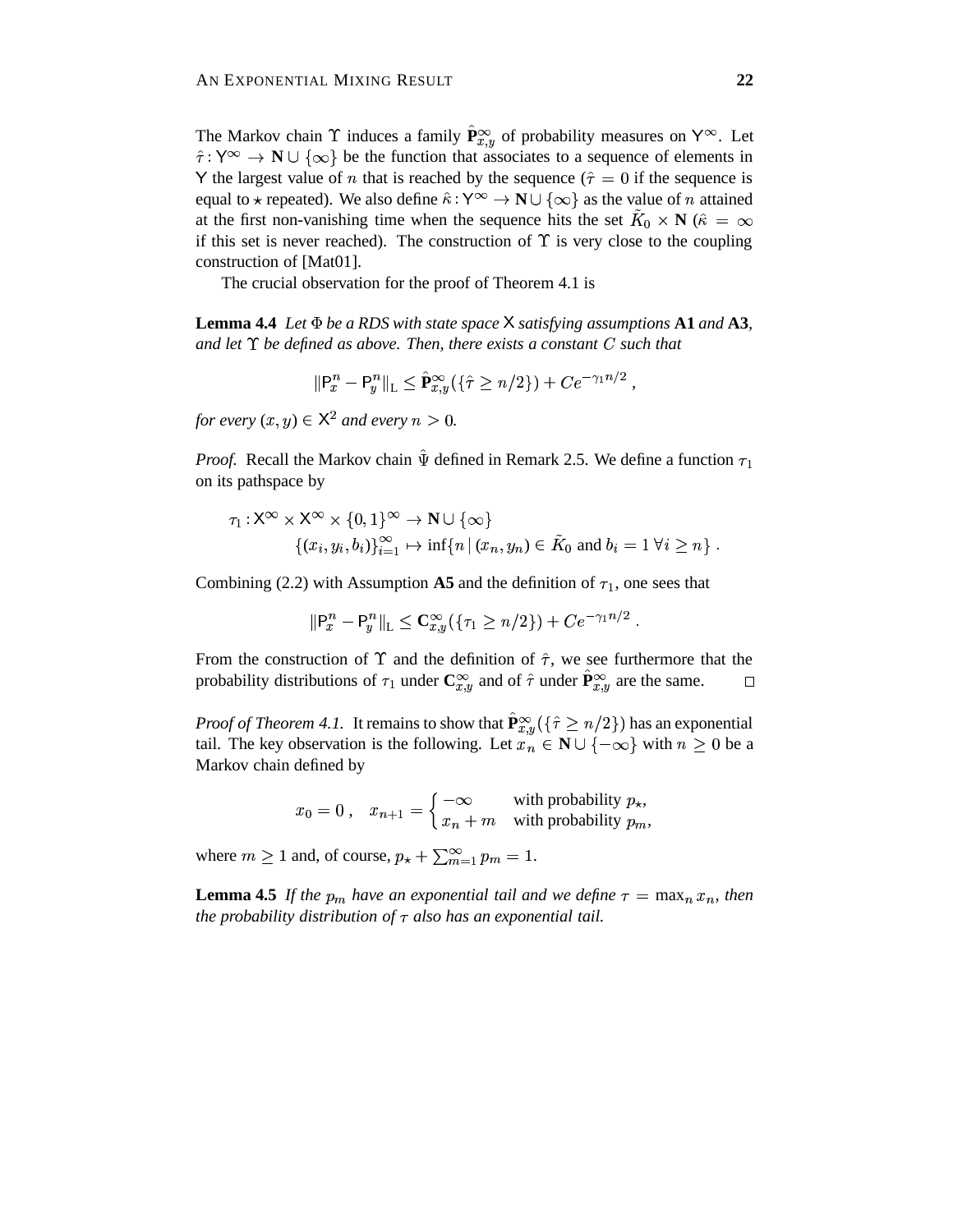The Markov chain  $\Upsilon$  induces a family  $\hat{P}_{x,y}^{\infty}$  of probability measures on  $Y^{\infty}$ . Let  $\hat{\tau}: Y^{\infty} \to \mathbb{N} \cup \{\infty\}$  be the function that associates to a sequence of elements in Y the largest value of *n* that is reached by the sequence ( $\hat{\tau} = 0$  if the sequence is equal to  $\star$  repeated). We also define  $\hat{\kappa}: Y^{\infty} \to \mathbb{N} \cup {\infty}$  as the value of *n* attained at the first non-vanishing time when the sequence hits the set  $K_0 \times N$  ( $\hat{\kappa} = \infty$ if this set is never reached). The construction of  $\Upsilon$  is very close to the coupling construction of [Mat01].

The crucial observation for the proof of Theorem 4.1 is

**Lemma 4.4** *Let be a RDS with state space satisfying assumptions* **A1** *and* **A3***, and let be defined as above. Then, there exists a constant such that*

$$
\|\mathsf{P}^n_x - \mathsf{P}^n_y\|_{\mathrm{L}} \leq \hat{\mathbf{P}}^{\infty}_{x,y}(\{\hat{\tau} \geq n/2\}) + Ce^{-\gamma_1 n/2},
$$

*,*

*for every*  $(x, y) \in \mathsf{X}^2$  and every  $n > 0$ .

*Proof.* Recall the Markov chain  $\hat{\Psi}$  defined in Remark 2.5. We define a function  $\tau_1$ on its pathspace by

$$
\tau_1: \mathsf{X}^\infty \times \mathsf{X}^\infty \times \{0,1\}^\infty \to \mathbf{N} \cup \{\infty\}
$$
  

$$
\{(x_i, y_i, b_i)\}_{i=1}^\infty \mapsto \inf\{n \,|\, (x_n, y_n) \in \tilde{K}_0 \text{ and } b_i = 1 \,\forall i \geq n\}.
$$

Combining (2.2) with Assumption **A5** and the definition of  $\tau_1$ , one sees that

$$
\|\mathsf{P}^n_x - \mathsf{P}^n_y\|_{\mathsf{L}} \leq \mathbf{C}^{\infty}_{x,y}(\{\tau_1 \geq n/2\}) + Ce^{-\gamma_1 n/2}.
$$

From the construction of  $\Upsilon$  and the definition of  $\hat{\tau}$ , we see furthermore that the probability distributions of  $\tau_1$  under  $\mathbb{C}_{x,y}^{\infty}$  and of  $\hat{\tau}$  under  $\hat{\mathbf{P}}_{x,y}^{\infty}$  are the same.  $\Box$ 

*Proof of Theorem 4.1.* It remains to show that  $\hat{P}_{x,y}^{\infty}(\{\hat{\tau} \geq n/2\})$  has an exponential tail. The key observation is the following. Let  $x_n \in \mathbb{N} \cup \{-\infty\}$  with  $n \geq 0$  be a Markov chain defined by

$$
x_0 = 0, \quad x_{n+1} = \begin{cases} -\infty & \text{with probability } p_\star, \\ x_n + m & \text{with probability } p_m, \end{cases}
$$

where  $m \ge 1$  and, of course,  $p_{\star} + \sum_{m=1}^{\infty} p_m$  $x + \sum_{m=1}^{\infty} p_m = 1.$ 

**Lemma 4.5** If the  $p_m$  have an exponential tail and we define  $\tau = \max_n x_n$ , then *the probability distribution of*  $\tau$  *also has an exponential tail.*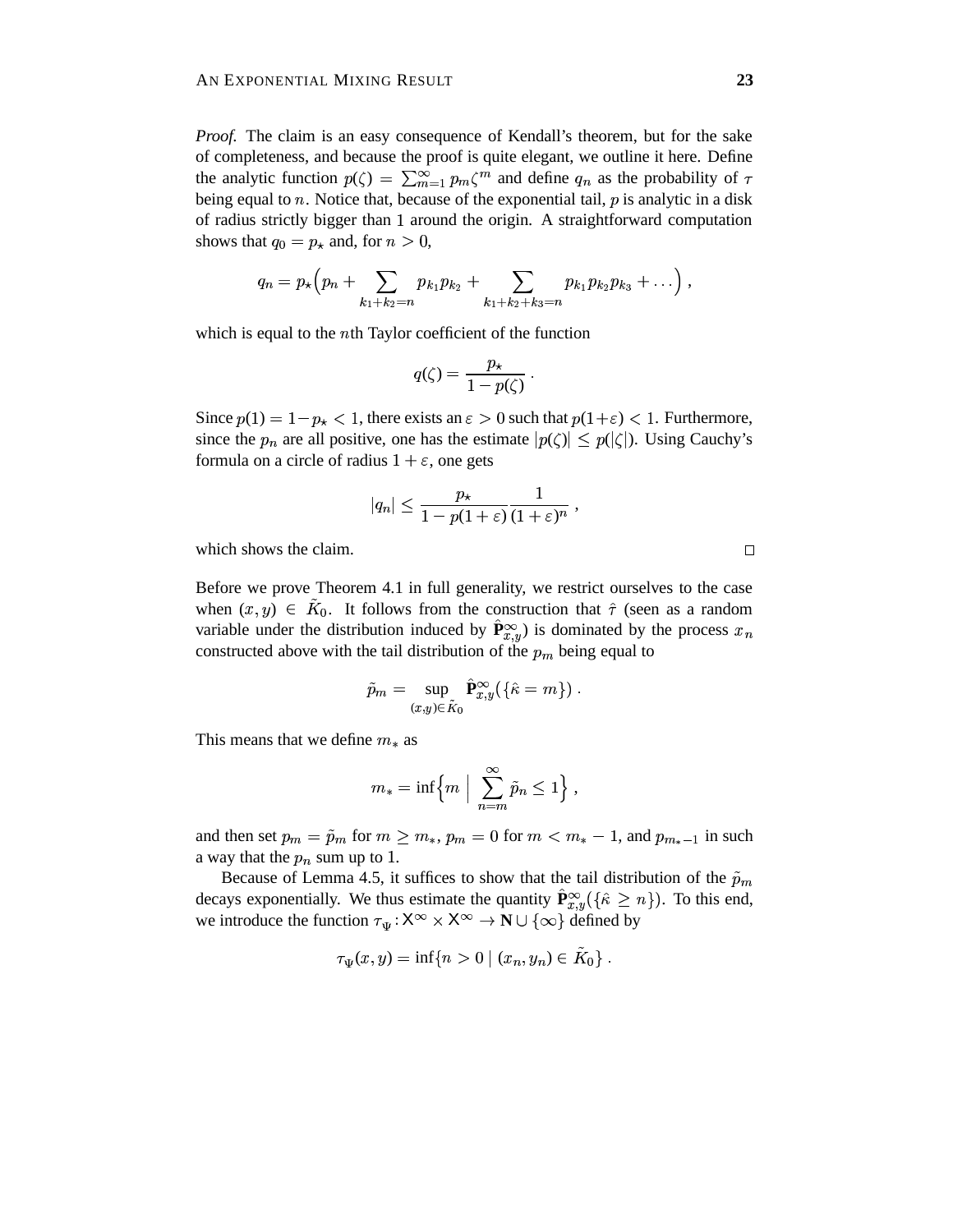*Proof.* The claim is an easy consequence of Kendall's theorem, but for the sake of completeness, and because the proof is quite elegant, we outline it here. Define the analytic function  $p(\zeta) = \sum_{m=1}^{\infty} p_m \zeta^m$  and define  $q_n$  as the probability of  $\tau$ being equal to *n*. Notice that, because of the exponential tail,  $p$  is analytic in a disk of radius strictly bigger than 1 around the origin. A straightforward computation shows that  $q_0 = p_{\star}$  and, for  $n >$  $\star$  and, for  $n > 0$ ,

$$
q_n = p_\star \Big( p_n + \sum_{k_1 + k_2 = n} p_{k_1} p_{k_2} + \sum_{k_1 + k_2 + k_3 = n} p_{k_1} p_{k_2} p_{k_3} + \ldots \Big) ,
$$

which is equal to the  $nth$  Taylor coefficient of the function

$$
q(\zeta) = \frac{p_{\star}}{1 - p(\zeta)} \ .
$$

Since  $p(1) = 1 - p_{\star} < 1$ , there exists an  $\varepsilon > 0$  such that  $p(1+\varepsilon) < 1$ . Furthermore, since the  $p_n$  are all positive, one has the estimate  $|p(\zeta)| \leq p(|\zeta|)$ . Using  $p(\vert \zeta$  ). Using Cauchy's formula on a circle of radius  $1 + \varepsilon$ , one gets

$$
|q_n|\leq \frac{p_\star}{1-p(1+\varepsilon)}\frac{1}{(1+\varepsilon)^n}\;,
$$

which shows the claim.

Before we prove Theorem 4.1 in full generality, we restrict ourselves to the case when  $(x, y) \in \tilde{K}_0$ . It follows from the construction that  $\hat{\tau}$  (seen as a random variable under the distribution induced by  $\hat{P}_{x,y}^{\infty}$  is dominated by the process  $x_n$ constructed above with the tail distribution of the  $p_m$  being equal to

$$
\tilde{p}_m = \sup_{(x,y)\in \tilde{K}_0} \hat{\mathbf{P}}^{\infty}_{x,y}(\{\hat{\kappa} = m\})\ .
$$

This means that we define  $m_*$  as

$$
m_*=\inf\Bigl\{m\;\Big|\;\sum_{n=m}^\infty \tilde{p}_n\leq 1\Bigr\}\;,
$$

and then set  $p_m = \tilde{p}_m$  for  $m \ge m_*, p_m = 0$  for  $m < m_* - 1$ , and  $p_{m_*-1}$  in such a way that the  $p_n$  sum up to 1.

Because of Lemma 4.5, it suffices to show that the tail distribution of the  $\tilde{p}_m$ decays exponentially. We thus estimate the quantity  $\hat{\mathbf{P}}_{x,y}^{\infty}(\{\hat{\kappa} \geq n\})$ . To this end, we introduce the function  $\tau_{\Psi} : X^{\infty} \times X^{\infty} \to \mathbb{N} \cup \{\infty\}$  defined by

$$
\tau_{\Psi}(x, y) = \inf\{n > 0 \mid (x_n, y_n) \in \tilde{K}_0\} .
$$

 $\Box$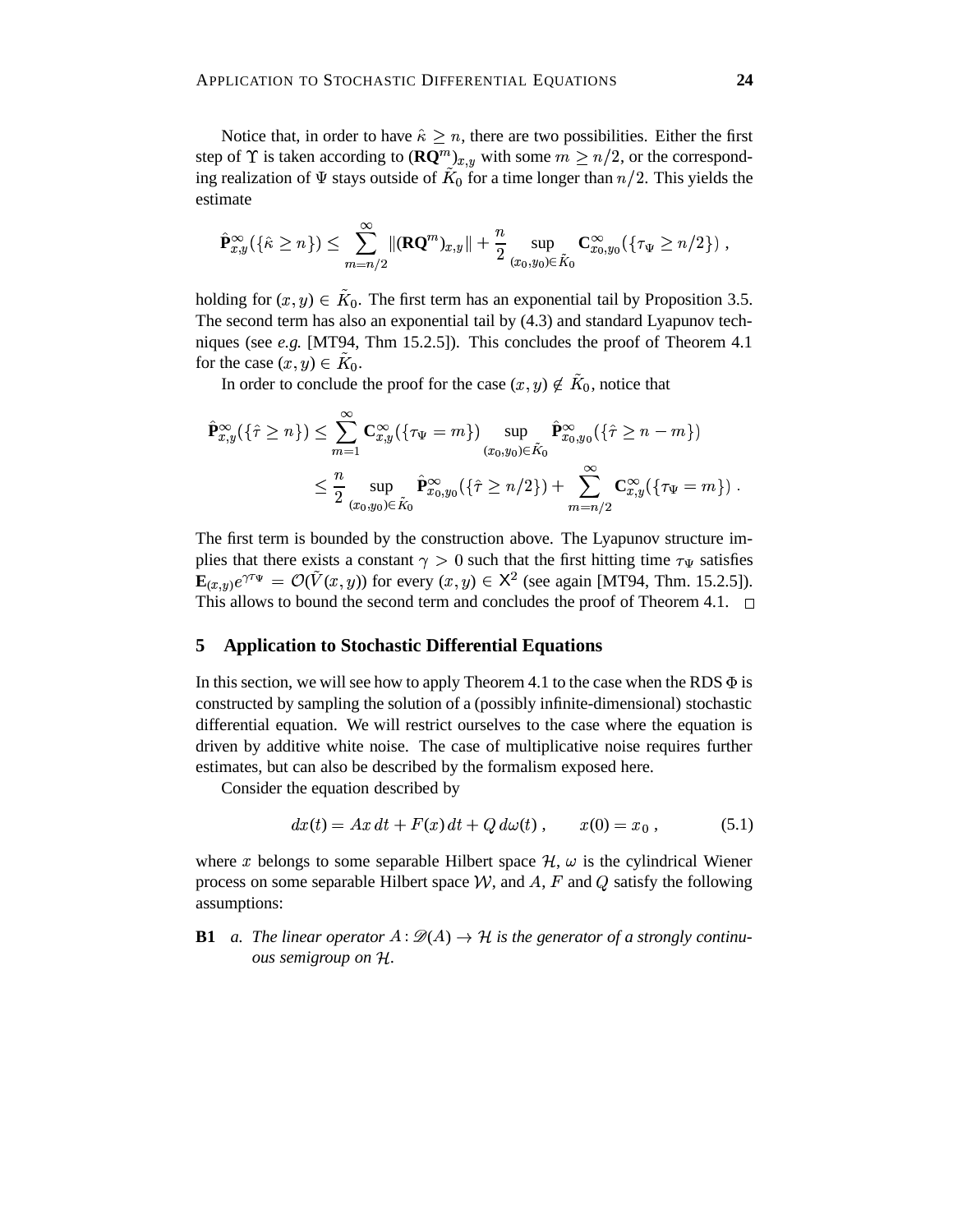Notice that, in order to have  $\hat{\kappa} \geq n$ , there are two possibilities. Either the first step of  $\Upsilon$  is taken according to  $(\mathbf{RQ}^m)_{x,y}$  with some  $m \geq n/2$ , or the corresponding realization of  $\Psi$  stays outside of  $\tilde K_0$  for a time longer than  $n/2$ . This yields the estimate

$$
\hat{\mathbf{P}}^{\infty}_{x,y}(\{\hat{\kappa}\geq n\}) \leq \sum_{m=n/2}^{\infty} \|(\mathbf{R}\mathbf{Q}^m)_{x,y}\| + \frac{n}{2}\sup_{(x_0,y_0)\in \tilde{K}_0} \mathbf{C}^{\infty}_{x_0,y_0}(\{\tau_\Psi\geq n/2\}) ,
$$

holding for  $(x, y) \in \tilde{K}_0$ . The first term has an exponential tail by Proposition 3.5. The second term has also an exponential tail by (4.3) and standard Lyapunov techniques (see *e.g.* [MT94, Thm 15.2.5]). This concludes the proof of Theorem 4.1 for the case  $(x, y) \in \tilde{K}_0$ .

In order to conclude the proof for the case  $(x, y) \notin \tilde{K}_0$ , notice that

$$
\hat{\mathbf{P}}_{x,y}^{\infty}(\{\hat{\tau} \geq n\}) \leq \sum_{m=1}^{\infty} \mathbf{C}_{x,y}^{\infty}(\{\tau_{\Psi} = m\}) \sup_{(x_0,y_0) \in \tilde{K}_0} \hat{\mathbf{P}}_{x_0,y_0}^{\infty}(\{\hat{\tau} \geq n-m\})
$$
\n
$$
\leq \frac{n}{2} \sup_{(x_0,y_0) \in \tilde{K}_0} \hat{\mathbf{P}}_{x_0,y_0}^{\infty}(\{\hat{\tau} \geq n/2\}) + \sum_{m=n/2}^{\infty} \mathbf{C}_{x,y}^{\infty}(\{\tau_{\Psi} = m\}) .
$$

The first term is bounded by the construction above. The Lyapunov structure implies that there exists a constant  $\gamma > 0$  such that the first hitting time  $\tau_{\Psi}$  satisfies  $\mathbf{E}_{(x,y)}e^{\gamma \tau_{\Psi}} = \mathcal{O}(\tilde{V}(x,y))$  for every  $(x,y) \in \mathsf{X}^2$  (see again [MT94, Thm. 15.2.5]). This allows to bound the second term and concludes the proof of Theorem 4.1.  $\Box$ 

## **5 Application to Stochastic Differential Equations**

In this section, we will see how to apply Theorem 4.1 to the case when the RDS  $\Phi$  is constructed by sampling the solution of a (possibly infinite-dimensional) stochastic differential equation. We will restrict ourselves to the case where the equation is driven by additive white noise. The case of multiplicative noise requires further estimates, but can also be described by the formalism exposed here.

Consider the equation described by

$$
dx(t) = Ax dt + F(x) dt + Q d\omega(t), \qquad x(0) = x_0 , \qquad (5.1)
$$

where x belongs to some separable Hilbert space  $H$ ,  $\omega$  is the cylindrical Wiener process on some separable Hilbert space  $W$ , and  $A$ ,  $F$  and  $Q$  satisfy the following assumptions:

**B1** *a. The linear operator*  $A : \mathcal{D}(A) \rightarrow \mathcal{H}$  *is the generator of a strongly continuous semigroup on .*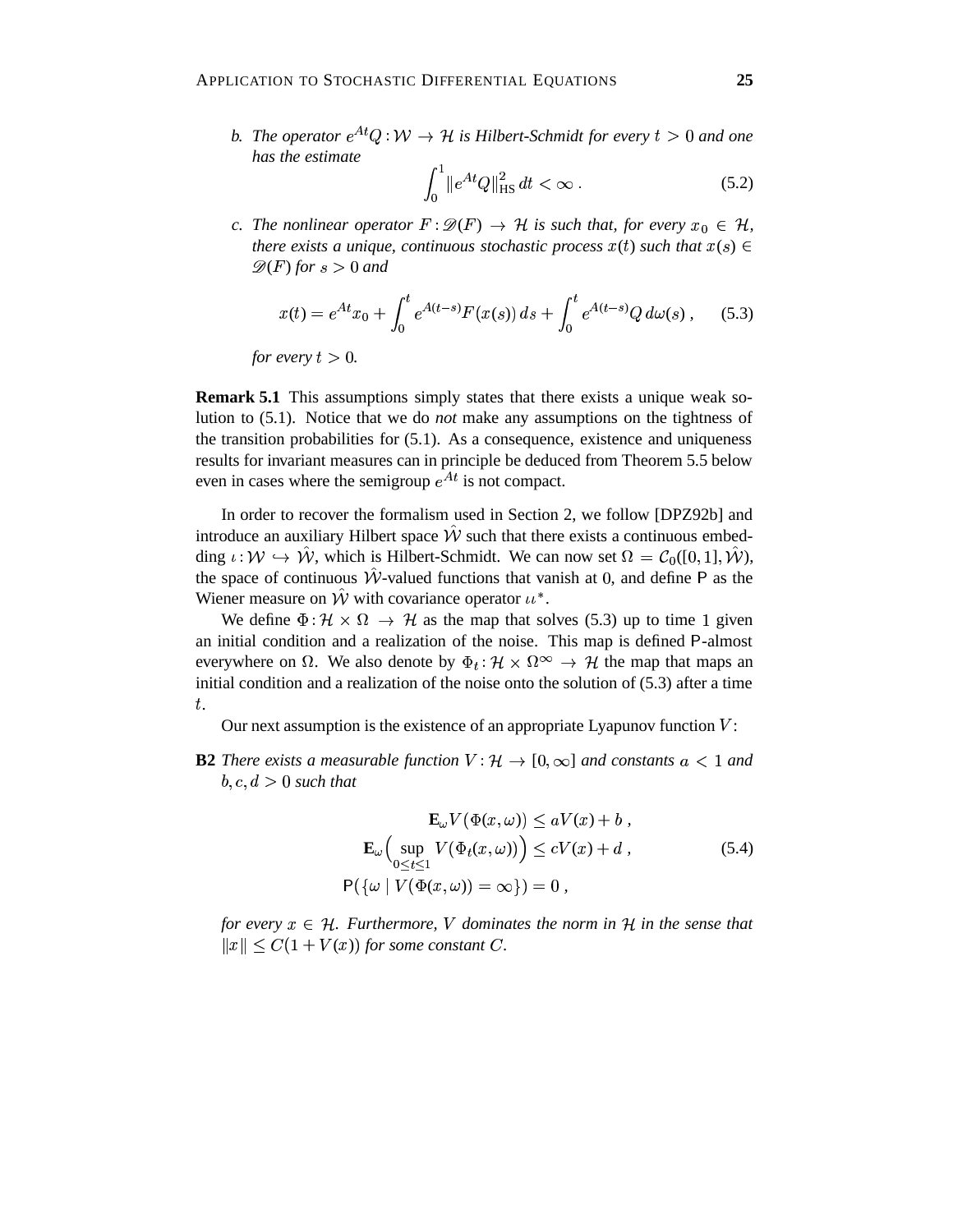*b.* The operator  $e^{At}Q:W \to H$  is Hilbert-Schmidt for every  $t > 0$  and one *has the estimate*

$$
\int_0^1 \|e^{At}Q\|_{\text{HS}}^2 dt < \infty \tag{5.2}
$$

*c.* The nonlinear operator  $F : \mathscr{D}(F) \to \mathcal{H}$  is such that, for every  $x_0 \in \mathcal{H}$ , *there exists a unique, continuous stochastic process*  $x(t)$  such that  $x(s) \in$  $\mathscr{D}(F)$  for  $s > 0$  and

$$
x(t) = e^{At}x_0 + \int_0^t e^{A(t-s)} F(x(s)) ds + \int_0^t e^{A(t-s)} Q d\omega(s), \quad (5.3)
$$

*for every*  $t > 0$ .

**Remark 5.1** This assumptions simply states that there exists a unique weak solution to (5.1). Notice that we do *not* make any assumptions on the tightness of the transition probabilities for  $(5.1)$ . As a consequence, existence and uniqueness results for invariant measures can in principle be deduced from Theorem 5.5 below even in cases where the semigroup  $e^{At}$  is not compact.

In order to recover the formalism used in Section 2, we follow [DPZ92b] and introduce an auxiliary Hilbert space  $\hat{W}$  such that there exists a continuous embedding  $\iota: \mathcal{W} \hookrightarrow \hat{\mathcal{W}}$ , which is Hilbert-Schmidt. We can now set  $\Omega = \mathcal{C}_0([0,1], \hat{\mathcal{W}})$ , the space of continuous  $\hat{W}$ -valued functions that vanish at 0, and define P as the Wiener measure on  $\hat{W}$  with covariance operator  $u^*$ .

We define  $\Phi : \mathcal{H} \times \Omega \rightarrow \mathcal{H}$  as the  $\alpha \times \Omega \rightarrow \mathcal{H}$  as the map that solves (5.3) up to time 1 given an initial condition and a realization of the noise. This map is defined P-almost everywhere on  $\Omega$ . We also denote by  $\Phi_t : \mathcal{H} \times \Omega^{\infty} \to \mathcal{H}$  the initial condition and a realization of the noise onto the solution of (5.3) after a time  $\times \Omega^{\infty} \to \mathcal{H}$  the map that maps an .

Our next assumption is the existence of an appropriate Lyapunov function  $V$ :

**B2** *There exists a measurable function*  $V : \mathcal{H} \to [0, \infty]$  *and constants*  $a < 1$  *and*  $b, c, d > 0$  such that

$$
\mathbf{E}_{\omega}V(\Phi(x,\omega)) \le aV(x) + b,
$$
  
\n
$$
\mathbf{E}_{\omega}\Big(\sup_{0 \le t \le 1} V(\Phi_t(x,\omega))\Big) \le cV(x) + d,
$$
  
\n
$$
\mathsf{P}(\{\omega \mid V(\Phi(x,\omega)) = \infty\}) = 0,
$$
\n(5.4)

*for every*  $x \in \mathcal{H}$ *. Furthermore,* V dominates the norm in  $\mathcal{H}$  in the sense that  $||x|| \leq C(1 + V(x))$  for some constant C.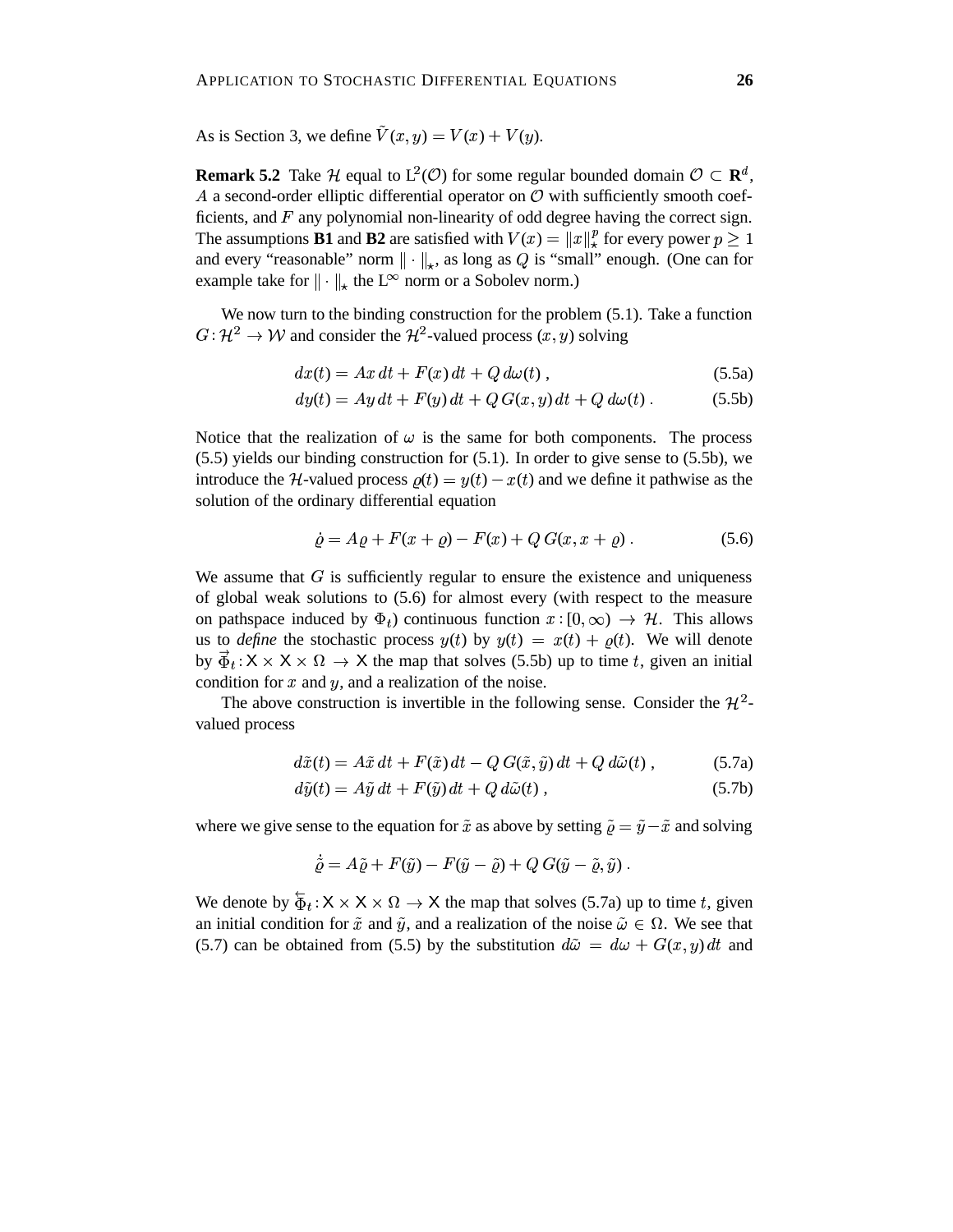As is Section 3, we define  $\tilde{V}(x, y) = V(x) + V(y)$ .

**Remark 5.2** Take H equal to  $L^2(\mathcal{O})$  for some regular bounded domain  $\mathcal{O} \subset \mathbb{R}^d$ , A a second-order elliptic differential operator on  $O$  with sufficiently smooth coefficients, and  $F$  any polynomial non-linearity of odd degree having the correct sign. The assumptions **B1** and **B2** are satisfied with  $V(x) = ||x||_*^p$  for every power  $p \ge 1$ and every "reasonable" norm  $\|\cdot\|_{\star}$ , as long as Q is "small" enough. (One can for example take for  $\|\cdot\|_{\star}$  the L<sup> $\infty$ </sup> norm or a Sobolev norm.)

We now turn to the binding construction for the problem (5.1). Take a function  $G: \mathcal{H}^2 \to \mathcal{W}$  and consi  $a^2 \rightarrow W$  and consider the  $\mathcal{H}^2$ -valued process  $(x, y)$  solving

$$
dx(t) = Ax dt + F(x) dt + Q d\omega(t), \qquad (5.5a)
$$

$$
dy(t) = Ay dt + F(y) dt + Q G(x, y) dt + Q d\omega(t).
$$
 (5.5b)

Notice that the realization of  $\omega$  is the same for both components. The process (5.5) yields our binding construction for (5.1). In order to give sense to (5.5b), we introduce the H-valued process  $\rho(t) = y(t) - x(t)$  and we define it pathwise as the solution of the ordinary differential equation

$$
\dot{\varrho} = A\varrho + F(x + \varrho) - F(x) + Q G(x, x + \varrho) \,. \tag{5.6}
$$

We assume that  $G$  is sufficiently regular to ensure the existence and uniqueness of global weak solutions to (5.6) for almost every (with respect to the measure on pathspace induced by  $\Phi_t$ ) continuous function  $x:[0,\infty) \to \mathcal{H}$ . This allows us to *define* the stochastic process  $y(t)$  by  $y(t) = x(t) + \rho(t)$ . We will denote by  $\vec{\Phi}_t$  :  $X \times X \times \Omega \rightarrow X$  the map condition for  $x$  and  $y$ , and a realization of the noise.  $\rightarrow$  X the map that solves (5.5b) up to time t, given an initial

The above construction is invertible in the following sense. Consider the  $\mathcal{H}^2$ valued process

$$
d\tilde{x}(t) = A\tilde{x} dt + F(\tilde{x}) dt - Q G(\tilde{x}, \tilde{y}) dt + Q d\tilde{\omega}(t) , \qquad (5.7a)
$$

$$
d\tilde{y}(t) = A\tilde{y} dt + F(\tilde{y}) dt + Q d\tilde{\omega}(t) ,
$$
\n(5.7b)

where we give sense to the equation for  $\tilde{x}$  as above by setting  $\tilde{\varrho} = \tilde{y} - \tilde{x}$  and solving

$$
\tilde{\varrho} = A\tilde{\varrho} + F(\tilde{y}) - F(\tilde{y} - \tilde{\varrho}) + Q G(\tilde{y} - \tilde{\varrho}, \tilde{y}).
$$

We denote by  $\overleftarrow{\Phi}_t : \mathsf{X} \times \mathsf{X} \times \Omega \to \mathsf{X}$  the map an initial condition for  $\tilde{x}$  and  $\tilde{y}$ , and a realization of the noise  $\tilde{\omega} \in \Omega$ . We see that  $\rightarrow$  X the map that solves (5.7a) up to time t, given (5.7) can be obtained from (5.5) by the substitution  $d\tilde{\omega} = d\omega + G(x, y) dt$  and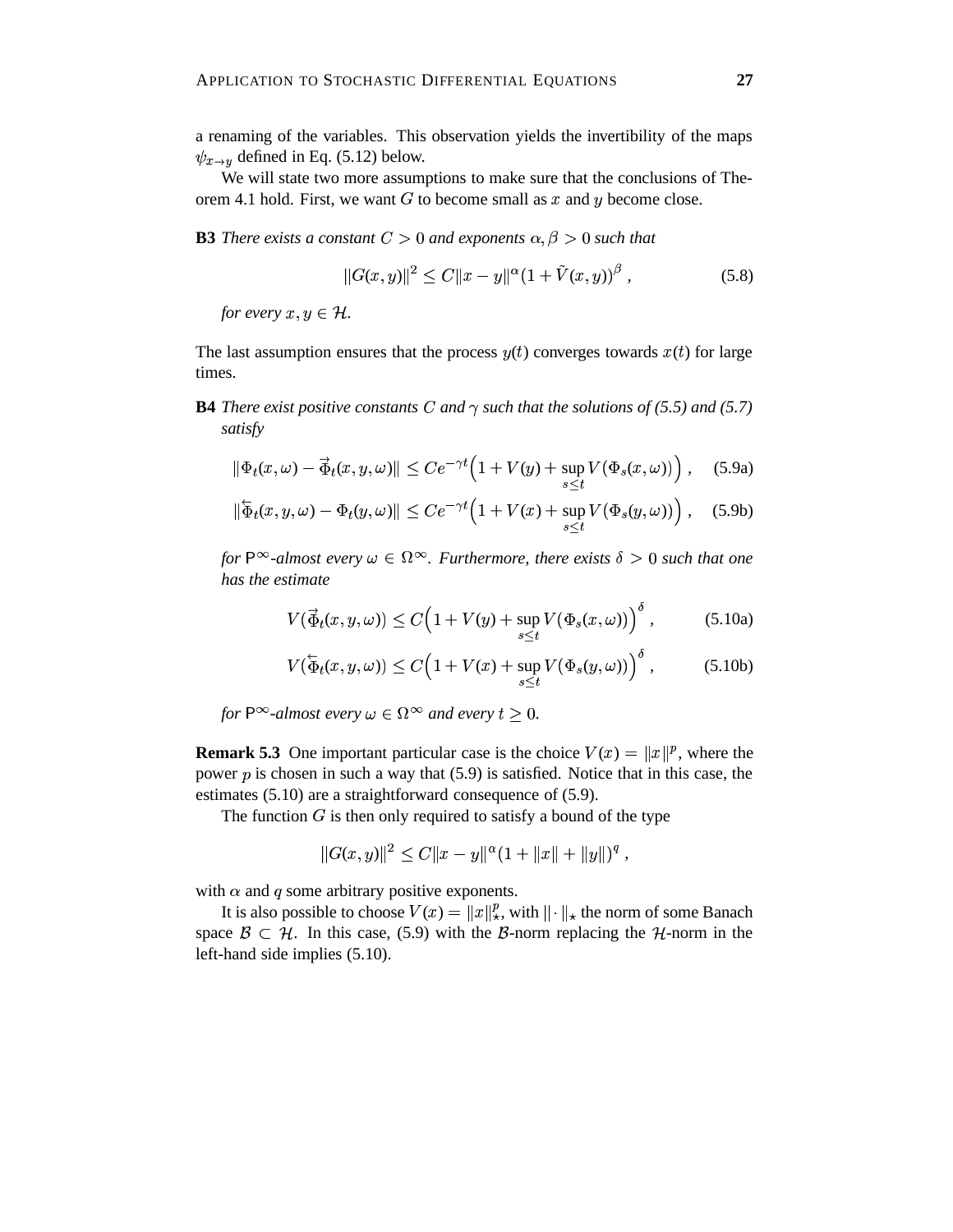We will state two more assumptions to make sure that the conclusions of Theorem 4.1 hold. First, we want  $G$  to become small as  $x$  and  $y$  become close.

# **B3** *There exists a constant*  $C > 0$  *and exponents*  $\alpha, \beta > 0$  *such that*

$$
||G(x,y)||^{2} \leq C||x-y||^{\alpha} (1 + \tilde{V}(x,y))^{\beta}, \qquad (5.8)
$$

*for every*  $x, y \in \mathcal{H}$ .

The last assumption ensures that the process  $y(t)$  converges towards  $x(t)$  for large times.

**B4** There exist positive constants C and  $\gamma$  such that the solutions of (5.5) and (5.7) *satisfy*

$$
\|\Phi_t(x,\omega)-\vec{\Phi}_t(x,y,\omega)\| \le Ce^{-\gamma t} \Big(1+V(y)+\sup_{s\le t}V(\Phi_s(x,\omega))\Big),\quad(5.9a)
$$

$$
\|\overline{\Phi}_t(x,y,\omega)-\Phi_t(y,\omega)\| \le Ce^{-\gamma t} \Big(1+V(x)+\sup_{s\le t}V(\Phi_s(y,\omega))\Big),\quad(5.9b)
$$

for  $P^{\infty}$ -almost every  $\omega \in \Omega^{\infty}$ . Furthermore, there exists  $\delta > 0$  such that one *has the estimate*

$$
V(\vec{\Phi}_t(x, y, \omega)) \le C \left( 1 + V(y) + \sup_{s \le t} V(\Phi_s(x, \omega)) \right)^{\delta}, \tag{5.10a}
$$

$$
V(\overleftarrow{\Phi}_t(x,y,\omega)) \le C\Big(1 + V(x) + \sup_{s \le t} V(\Phi_s(y,\omega))\Big)^{\delta}, \tag{5.10b}
$$

*for*  $P^{\infty}$ *-almost every*  $\omega \in \Omega^{\infty}$  *and every*  $t > 0$ *.* 

**Remark 5.3** One important particular case is the choice  $V(x) = ||x||^p$ , where the power  $p$  is chosen in such a way that (5.9) is satisfied. Notice that in this case, the estimates (5.10) are a straightforward consequence of (5.9).

The function  $G$  is then only required to satisfy a bound of the type

$$
||G(x,y)||^2 \leq C||x-y||^{\alpha}(1+||x||+||y||)^q,
$$

with  $\alpha$  and  $q$  some arbitrary positive exponents.

It is also possible to choose  $V(x) = ||x||_x^p$ , with  $|| \cdot ||_x$  the norm of some Banach space  $\mathcal{B} \subset \mathcal{H}$ . In this case, (5.9) with the B-norm replacing the H-norm in the left-hand side implies (5.10).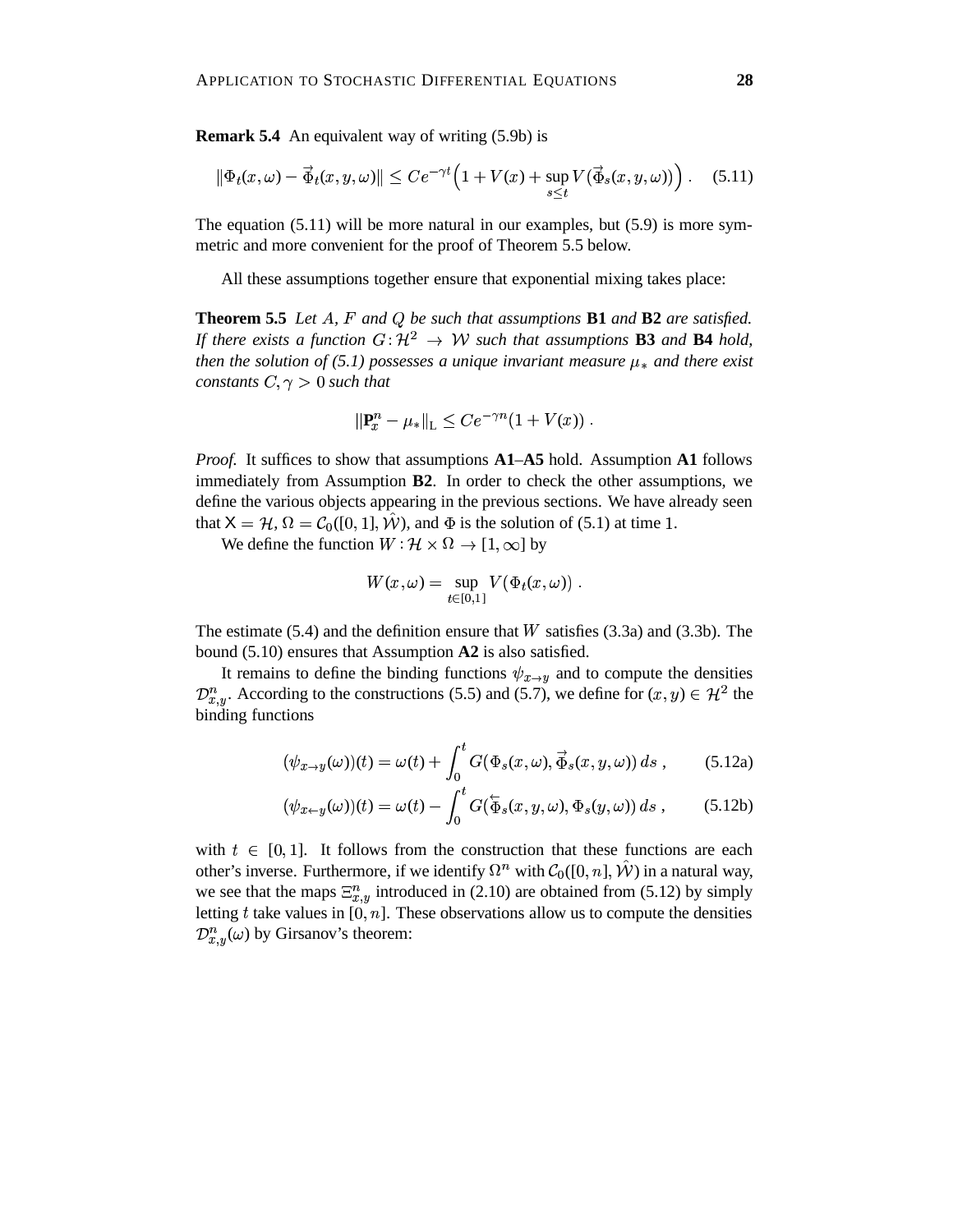**Remark 5.4** An equivalent way of writing (5.9b) is

$$
\|\Phi_t(x,\omega) - \vec{\Phi}_t(x,y,\omega)\| \le Ce^{-\gamma t} \left(1 + V(x) + \sup_{s \le t} V(\vec{\Phi}_s(x,y,\omega))\right). \tag{5.11}
$$

The equation  $(5.11)$  will be more natural in our examples, but  $(5.9)$  is more symmetric and more convenient for the proof of Theorem 5.5 below.

All these assumptions together ensure that exponential mixing takes place:

**Theorem 5.5** Let A, F and Q be such that assumptions **B1** and **B2** are satisfied. *If there exists a function*  $G: \mathcal{H}^2 \to \mathcal{W}$  such the  $^2$   $\rightarrow$  *W* such that assumptions **B3** and **B4** hold, *then the solution of* (5.1) *possesses a unique invariant measure*  $\mu_*$  *and there exist constants*  $C, \gamma > 0$  *such that* 

$$
\|\mathbf{P}_{x}^{n}-\mu_{*}\|_{\mathcal{L}}\leq Ce^{-\gamma n}(1+V(x))\;.
$$

*Proof.* It suffices to show that assumptions **A1**–**A5** hold. Assumption **A1** follows immediately from Assumption **B2**. In order to check the other assumptions, we define the various objects appearing in the previous sections. We have already seen that  $X = H$ ,  $\Omega = C_0([0, 1], \hat{W})$ , and  $\Phi$  is the solution of (5.1) at time 1.

We define the function  $W : \mathcal{H} \times \Omega \to [1, \infty]$  by

$$
W(x,\omega) = \sup_{t \in [0,1]} V(\Phi_t(x,\omega)) \ .
$$

The estimate  $(5.4)$  and the definition ensure that W satisfies  $(3.3a)$  and  $(3.3b)$ . The bound (5.10) ensures that Assumption **A2** is also satisfied.

It remains to define the binding functions  $\psi_{x\to y}$  and to compute the densities  $\mathcal{D}_{x,y}^n$ . According to the constructions (5.5) and (5.7), we define for  $(x,y) \in \mathcal{H}^2$  the binding functions

$$
(\psi_{x \to y}(\omega))(t) = \omega(t) + \int_0^t G(\Phi_s(x, \omega), \vec{\Phi}_s(x, y, \omega)) ds , \qquad (5.12a)
$$

$$
(\psi_{x \leftarrow y}(\omega))(t) = \omega(t) - \int_0^t G(\overleftarrow{\Phi}_s(x, y, \omega), \Phi_s(y, \omega)) ds , \qquad (5.12b)
$$

with  $t \in [0, 1]$ . It follows from the construction that these functions are each other's inverse. Furthermore, if we identify  $\Omega^n$  with  $C_0([0, n], \hat{W})$  in a natural way, we see that the maps  $\Xi_{x,y}^n$  introduced in (2.10) are obtained from (5.12) by simply letting t take values in  $[0, n]$ . These observations allow us to compute the densities  $\mathcal{D}_{x,y}^n(\omega)$  by Girsanov's theorem: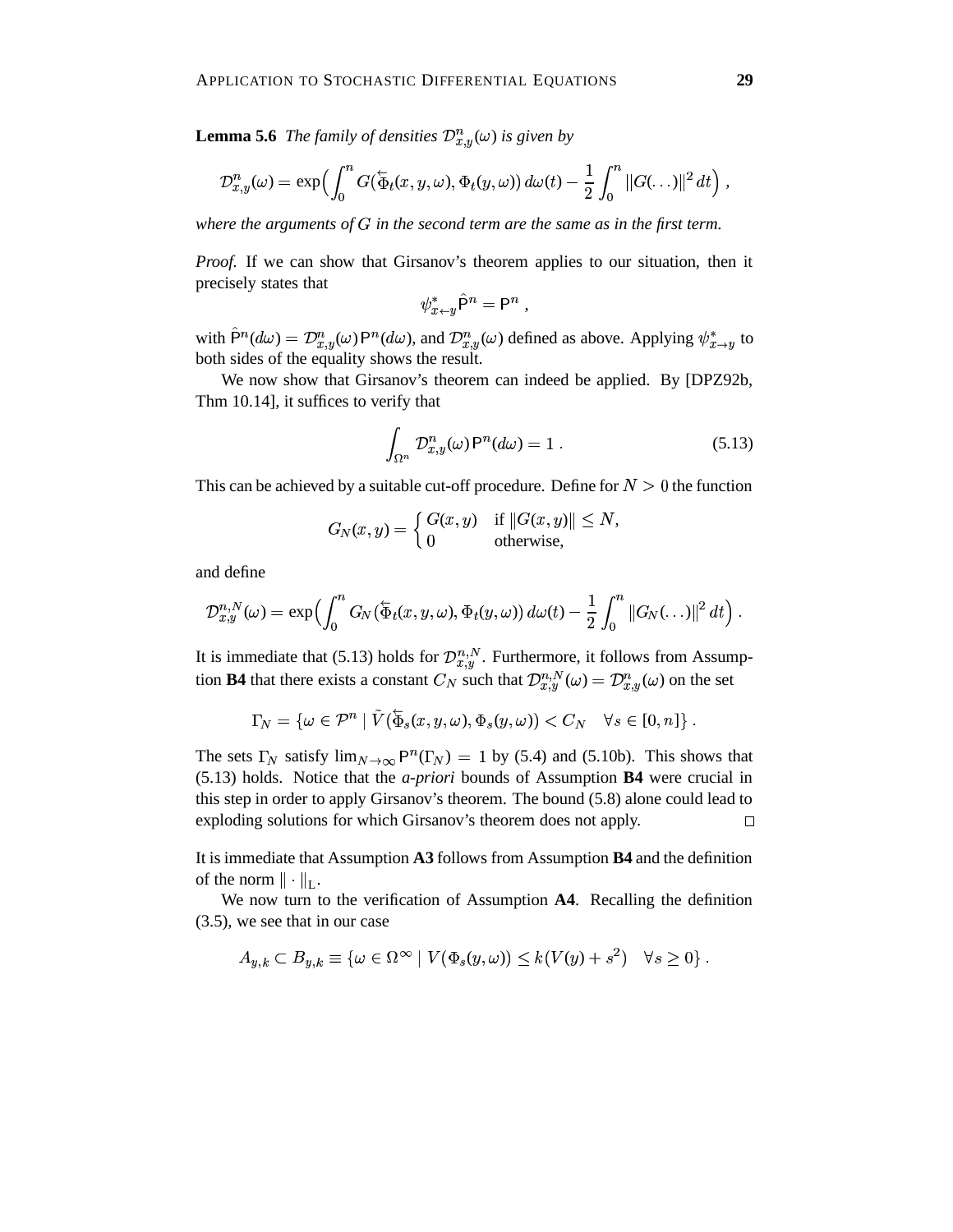**Lemma 5.6** *The family of densities*  $\mathcal{D}_{x,y}^n(\omega)$  *is given by* 

$$
\mathcal{D}_{x,y}^n(\omega) = \exp\Bigl(\int_0^n G(\overleftarrow{\Phi}_t(x,y,\omega),\Phi_t(y,\omega))\,d\omega(t) - \frac{1}{2}\int_0^n\|G(\ldots)\|^2\,dt\Bigr)\,,
$$

where the arguments of  $G$  in the second term are the same as in the first term.

*Proof.* If we can show that Girsanov's theorem applies to our situation, then it precisely states that

$$
\psi_{x \leftarrow y}^* \hat{\mathsf{P}}^n = \mathsf{P}^n ,
$$

with  $\hat{P}^n(d\omega) = \mathcal{D}_{x,y}^n(\omega) P^n(d\omega)$ , and  $\mathcal{D}_{x,y}^n(\omega)$  defined as above. Applying  $\psi_{x\to y}^*$  to both sides of the equality shows the result.

We now show that Girsanov's theorem can indeed be applied. By [DPZ92b, Thm 10.14], it suffices to verify that

$$
\int_{\Omega^n} \mathcal{D}^n_{x,y}(\omega) \mathsf{P}^n(d\omega) = 1 . \tag{5.13}
$$

This can be achieved by a suitable cut-off procedure. Define for  $N > 0$  the function

$$
G_N(x, y) = \begin{cases} G(x, y) & \text{if } ||G(x, y)|| \leq N, \\ 0 & \text{otherwise,} \end{cases}
$$

and define

$$
\mathcal{D}_{x,y}^{n,N}(\omega)=\exp\Bigl(\int_0^nG_N(\overleftarrow{\Phi}_t(x,y,\omega),\Phi_t(y,\omega))\,d\omega(t)-\frac{1}{2}\int_0^n\|G_N(\ldots)\|^2\,dt\Bigr)\;.
$$

It is immediate that (5.13) holds for  $\mathcal{D}_{x,y}^{n,N}$ . Furthermore, it follows from Assumption **B4** that there exists a constant  $C_N$  such that  $\mathcal{D}_{x,y}^{n,N}(\omega) = \mathcal{D}_{x,y}^n(\omega)$  on the set

$$
\Gamma_N = \{ \omega \in \mathcal{P}^n \mid \tilde{V}(\overleftarrow{\Phi}_s(x, y, \omega), \Phi_s(y, \omega)) < C_N \quad \forall s \in [0, n] \} .
$$

The sets  $\Gamma_N$  satisfy  $\lim_{N\to\infty} P^n(\Gamma_N) = 1$  by (5.4) and (5.10b). This shows that (5.13) holds. Notice that the *a-priori* bounds of Assumption **B4** were crucial in this step in order to apply Girsanov's theorem. The bound (5.8) alone could lead to exploding solutions for which Girsanov's theorem does not apply.  $\Box$ 

It is immediate that Assumption **A3** follows from Assumption **B4** and the definition of the norm  $\|\cdot\|_{L}$ .

We now turn to the verification of Assumption **A4**. Recalling the definition (3.5), we see that in our case

$$
A_{y,k} \subset B_{y,k} \equiv \{ \omega \in \Omega^{\infty} \mid V(\Phi_s(y,\omega)) \leq k(V(y) + s^2) \quad \forall s \geq 0 \} .
$$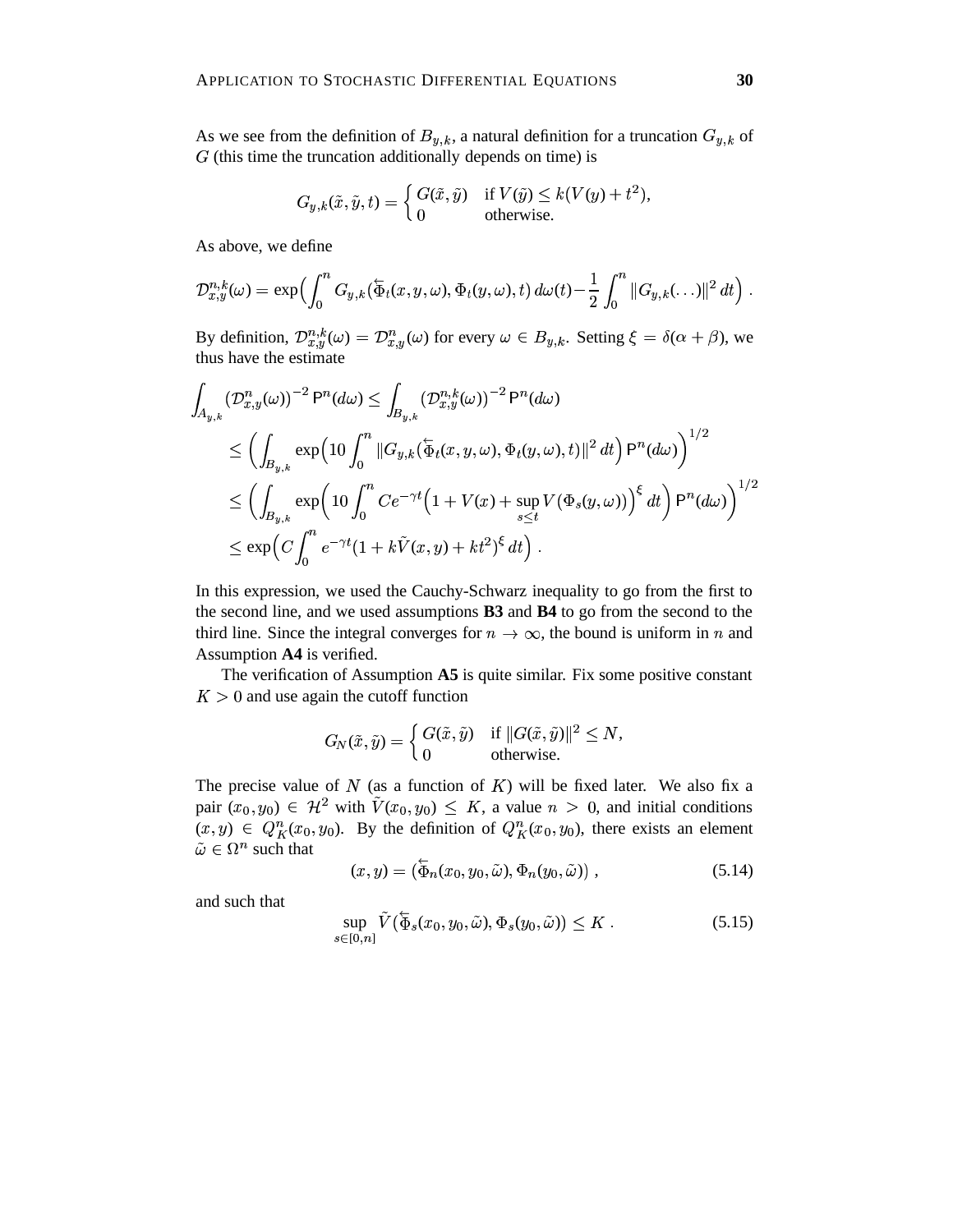As we see from the definition of  $B_{v,k}$ , a natural definition for a truncation  $G_{v,k}$  of  $G$  (this time the truncation additionally depends on time) is

$$
G_{y,k}(\tilde{x}, \tilde{y}, t) = \begin{cases} G(\tilde{x}, \tilde{y}) & \text{if } V(\tilde{y}) \le k(V(y) + t^2), \\ 0 & \text{otherwise.} \end{cases}
$$

As above, we define

$$
\mathcal{D}_{x,y}^{n,k}(\omega)=\exp\Bigl(\int_0^n G_{y,k}(\overleftarrow{\Phi}_t(x,y,\omega),\Phi_t(y,\omega),t)\ d\omega(t)-\frac{1}{2}\int_0^n\|G_{y,k}(\ldots)\|^2\ dt\Bigr)\ .
$$

By definition,  $\mathcal{D}_{x,y}^{n,k}(\omega) = \mathcal{D}_{x,y}^n(\omega)$  for every  $\omega \in B_{y,k}$ . Setting  $\xi = \delta(\alpha + \beta)$ , we thus have the estimate

$$
\int_{A_{y,k}} (\mathcal{D}_{x,y}^n(\omega))^{-2} P^n(d\omega) \le \int_{B_{y,k}} (\mathcal{D}_{x,y}^{n,k}(\omega))^{-2} P^n(d\omega)
$$
\n
$$
\le \left( \int_{B_{y,k}} \exp\left(10 \int_0^n \|G_{y,k}(\overline{\Phi}_t(x,y,\omega), \Phi_t(y,\omega), t)\|^2 dt \right) P^n(d\omega) \right)^{1/2}
$$
\n
$$
\le \left( \int_{B_{y,k}} \exp\left(10 \int_0^n C e^{-\gamma t} \left(1 + V(x) + \sup_{s \le t} V(\Phi_s(y,\omega))\right)^{\xi} dt \right) P^n(d\omega) \right)^{1/2}
$$
\n
$$
\le \exp\left(C \int_0^n e^{-\gamma t} (1 + k\tilde{V}(x,y) + kt^2)^{\xi} dt\right).
$$

In this expression, we used the Cauchy-Schwarz inequality to go from the first to the second line, and we used assumptions **B3** and **B4** to go from the second to the third line. Since the integral converges for  $n \to \infty$ , the bound is uniform in *n* and Assumption **A4** is verified.

The verification of Assumption **A5** is quite similar. Fix some positive constant  $K > 0$  and use again the cutoff function

$$
G_N(\tilde{x},\tilde{y})=\left\{\begin{matrix}G(\tilde{x},\tilde{y})&\text{if }\|G(\tilde{x},\tilde{y})\|^2\leq N,\\0&\text{otherwise.}\end{matrix}\right.
$$

The precise value of  $N$  (as a function of  $K$ ) will be fixed later. We also fix a pair  $(x_0, y_0) \in \mathcal{H}^2$  with  $\tilde{V}(x_0, y_0) \leq K$ , a value  $n > 0$ , and initial conditions  $(x, y) \in Q_K^n(x_0, y_0)$ . By the definition of  $Q_K^n(x_0, y_0)$ , there exists an element  $\tilde{\omega} \in \Omega^n$  such that

$$
(x, y) = (\overleftarrow{\Phi}_n(x_0, y_0, \tilde{\omega}), \Phi_n(y_0, \tilde{\omega})) , \qquad (5.14)
$$

and such that

$$
\sup_{s \in [0,n]} \tilde{V}(\overleftarrow{\Phi}_s(x_0, y_0, \tilde{\omega}), \Phi_s(y_0, \tilde{\omega})) \leq K.
$$
\n(5.15)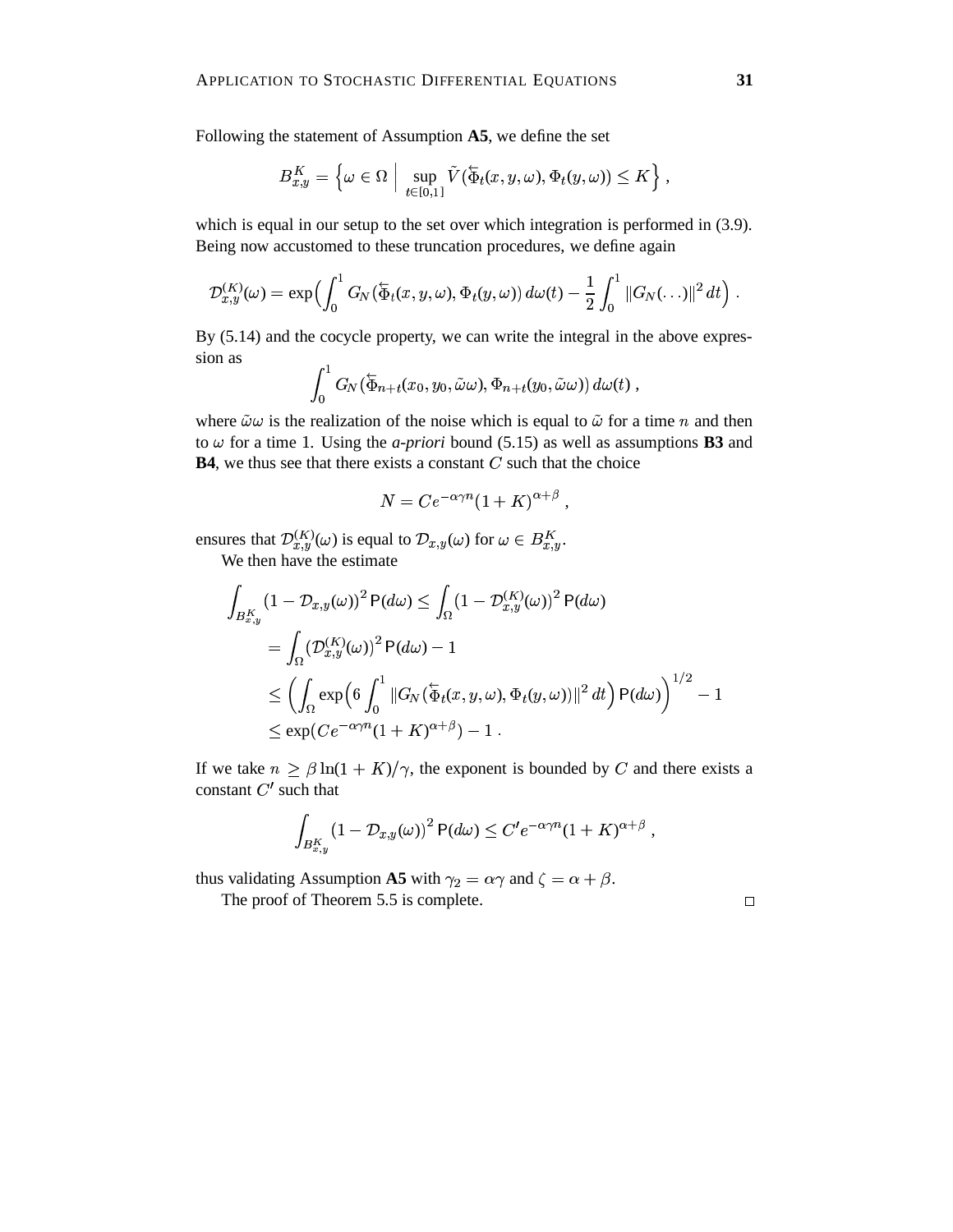Following the statement of Assumption **A5**, we define the set

$$
B_{x,y}^K = \left\{ \omega \in \Omega \; \Big| \; \sup_{t \in [0,1]} \tilde{V}(\overline{\Phi}_t(x,y,\omega),\Phi_t(y,\omega)) \leq K \right\},\,
$$

which is equal in our setup to the set over which integration is performed in (3.9). Being now accustomed to these truncation procedures, we define again

$$
\mathcal{D}_{x,y}^{(K)}(\omega)=\exp\Bigl(\int_0^1G_N(\overleftarrow{\Phi}_t(x,y,\omega),\Phi_t(y,\omega))\,d\omega(t)-\frac{1}{2}\int_0^1\|G_N(\ldots)\|^2\,dt\Bigr)\;.
$$

By (5.14) and the cocycle property, we can write the integral in the above expression as

$$
\int_0^1 G_N(\overleftarrow{\Phi}_{n+t}(x_0,y_0,\tilde{\omega}\omega),\Phi_{n+t}(y_0,\tilde{\omega}\omega))\,d\omega(t)\;,
$$

where  $\tilde{\omega}\omega$  is the realization of the noise which is equal to  $\tilde{\omega}$  for a time n and then to  $\omega$  for a time 1. Using the *a-priori* bound (5.15) as well as assumptions **B3** and **B4**, we thus see that there exists a constant  $C$  such that the choice

$$
N = Ce^{-\alpha \gamma n} (1 + K)^{\alpha + \beta} ,
$$

ensures that  $\mathcal{D}_{x,y}^{(K)}(\omega)$  is equal to  $\mathcal{D}_{x,y}(\omega)$  for  $\omega \in B_{x,y}^K$ . We then have the estimate

$$
\int_{B_{x,y}^{K}} (1 - \mathcal{D}_{x,y}(\omega))^{2} P(d\omega) \le \int_{\Omega} (1 - \mathcal{D}_{x,y}^{(K)}(\omega))^{2} P(d\omega)
$$
\n
$$
= \int_{\Omega} (\mathcal{D}_{x,y}^{(K)}(\omega))^{2} P(d\omega) - 1
$$
\n
$$
\le \left( \int_{\Omega} \exp\left( 6 \int_{0}^{1} ||G_{N}(\overline{\Phi}_{t}(x, y, \omega), \Phi_{t}(y, \omega))||^{2} dt \right) P(d\omega) \right)^{1/2} - 1
$$
\n
$$
\le \exp(C e^{-\alpha \gamma n} (1 + K)^{\alpha + \beta}) - 1.
$$

If we take  $n \geq \beta \ln(1 + K)/\gamma$ , the exponent is bounded by C and there exists a constant  $C'$  such that

$$
\int_{B_{x,y}^K} (1-\mathcal D_{x,y}(\omega))^2\, \mathsf P(d\omega) \leq C'e^{-\alpha\gamma n}(1+K)^{\alpha+\beta} \,\, ,
$$

thus validating Assumption **A5** with  $\gamma_2 = \alpha \gamma$  and  $\zeta = \alpha + \beta$ .

The proof of Theorem 5.5 is complete.

 $\Box$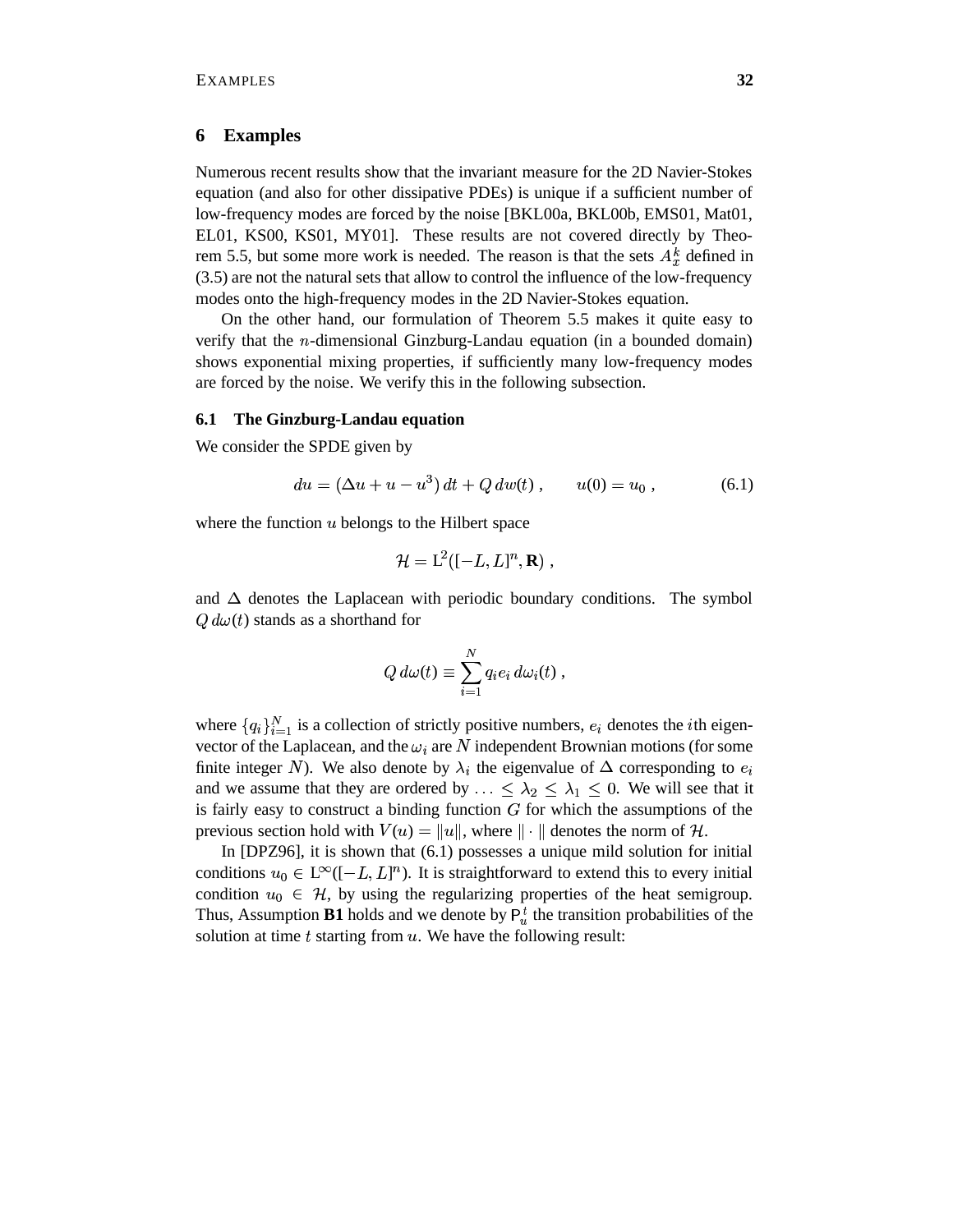# **6 Examples**

Numerous recent results show that the invariant measure for the 2D Navier-Stokes equation (and also for other dissipative PDEs) is unique if a sufficient number of low-frequency modes are forced by the noise [BKL00a, BKL00b, EMS01, Mat01, EL01, KS00, KS01, MY01]. These results are not covered directly by Theorem 5.5, but some more work is needed. The reason is that the sets  $A_{\tau}^{k}$  defined in (3.5) are not the natural sets that allow to control the influence of the low-frequency modes onto the high-frequency modes in the 2D Navier-Stokes equation.

On the other hand, our formulation of Theorem 5.5 makes it quite easy to verify that the  $n$ -dimensional Ginzburg-Landau equation (in a bounded domain) shows exponential mixing properties, if sufficiently many low-frequency modes are forced by the noise. We verify this in the following subsection.

# **6.1 The Ginzburg-Landau equation**

We consider the SPDE given by

$$
du = (\Delta u + u - u^3) dt + Q dw(t) , \t u(0) = u_0 , \t (6.1)
$$

where the function  $u$  belongs to the Hilbert space

$$
\mathcal{H} = \mathrm{L}^2([-L,L]^n,\mathbf{R})\;,
$$

and  $\Delta$  denotes the Laplacean with periodic boundary conditions. The symbol  $Q d\omega(t)$  stands as a shorthand for

$$
Q d\omega(t) \equiv \sum_{i=1}^N q_i e_i d\omega_i(t) ,
$$

 $Q d\omega(t) \equiv \sum_{i=1} q_i e_i d\omega_i(t)$ ,<br>where  $\{q_i\}_{i=1}^N$  is a collection of strictly positive numbers,  $e_i$  denotes the *i*th eigenvector of the Laplacean, and the  $\omega_i$  are N independent Brownian motions (for some finite integer N). We also denote by  $\lambda_i$  the eigenvalue of  $\Delta$  corresponding to  $e_i$ and we assume that they are ordered by  $\ldots \leq \lambda_2 \leq \lambda_1 \leq 0$ . We  $_1 \leq 0$ . We will see that it is fairly easy to construct a binding function  $G$  for which the assumptions of the previous section hold with  $V(u) = ||u||$ , where  $|| \cdot ||$  denotes the norm of H.

In [DPZ96], it is shown that (6.1) possesses a unique mild solution for initial conditions  $u_0 \in L^{\infty}([-L, L]^n)$ . It is straightforward to extend this to every initial condition  $u_0 \in \mathcal{H}$ , by using the regularizing properties of the heat semigroup. Thus, Assumption **B1** holds and we denote by  $P_u^t$  the transition probabilities of the solution at time  $t$  starting from  $u$ . We have the following result: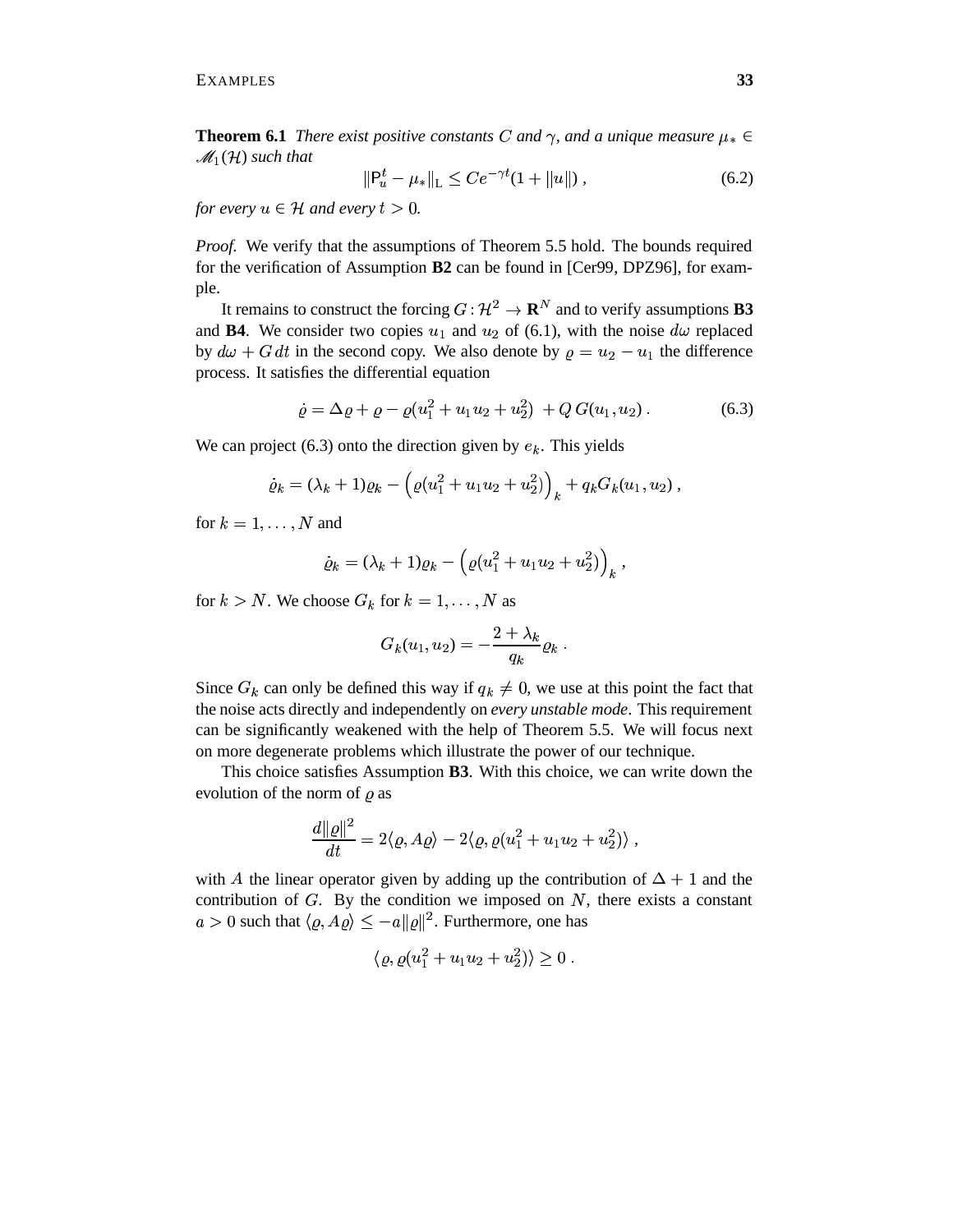**Theorem 6.1** *There exist positive constants* C and  $\gamma$ , and a unique measure  $\mu_* \in$  $\mathscr{M}_1(\mathcal{H})$  such that

$$
\|\mathbf{P}_u^t - \mu_*\|_{\mathcal{L}} \le C e^{-\gamma t} (1 + \|u\|), \tag{6.2}
$$

*for every*  $u \in \mathcal{H}$  *and every*  $t > 0$ *.* 

*Proof.* We verify that the assumptions of Theorem 5.5 hold. The bounds required for the verification of Assumption **B2** can be found in [Cer99, DPZ96], for example.

It remains to construct the forcing  $G: \mathcal{H}^2 \to \mathbf{R}^N$  and to v  $P^2 \to \mathbf{R}^N$  and to verify assumptions **B3** and **B4**. We consider two copies  $u_1$  and  $u_2$  of (6.1), with the noise  $d\omega$  replaced by  $d\omega + G dt$  in the second copy. We also denote by  $\rho = u_2 - u_1$  the difference process. It satisfies the differential equation

$$
\dot{\varrho} = \Delta \varrho + \varrho - \varrho (u_1^2 + u_1 u_2 + u_2^2) + Q G(u_1, u_2) \,. \tag{6.3}
$$

We can project (6.3) onto the direction given by  $e_k$ . This yields

$$
\dot{\varrho}_k = (\lambda_k + 1)\varrho_k - \left(\varrho(u_1^2 + u_1u_2 + u_2^2)\right)_k + q_k G_k(u_1, u_2),
$$

for  $k = 1, \dots, N$  and

$$
\dot{\varrho}_k = (\lambda_k + 1)\varrho_k - \left(\varrho(u_1^2 + u_1u_2 + u_2^2)\right)_k,
$$

for  $k > N$ . We choose  $G_k$  for  $k = 1, ..., N$  as

$$
G_k(u_1, u_2) = -\frac{2+\lambda_k}{q_k} \varrho_k.
$$

Since  $G_k$  can only be defined this way if  $q_k \neq 0$ , we use at this point the fact that the noise acts directly and independently on *every unstable mode*. This requirement can be significantly weakened with the help of Theorem 5.5. We will focus next on more degenerate problems which illustrate the power of our technique.

This choice satisfies Assumption **B3**. With this choice, we can write down the evolution of the norm of  $\rho$  as

$$
\frac{d\|\varrho\|^2}{dt}=2\langle\varrho,A\varrho\rangle-2\langle\varrho,\varrho(u_1^2+u_1u_2+u_2^2)\rangle\;,
$$

with A the linear operator given by adding up the contribution of  $\Delta + 1$  and the contribution of  $G$ . By the condition we imposed on  $N$ , there exists a constant  $a > 0$  such that  $\langle \varrho, A \varrho \rangle \le -a ||\varrho||^2$ . Furthermore, one has

$$
\langle \varrho, \varrho(u_1^2 + u_1 u_2 + u_2^2) \rangle \ge 0.
$$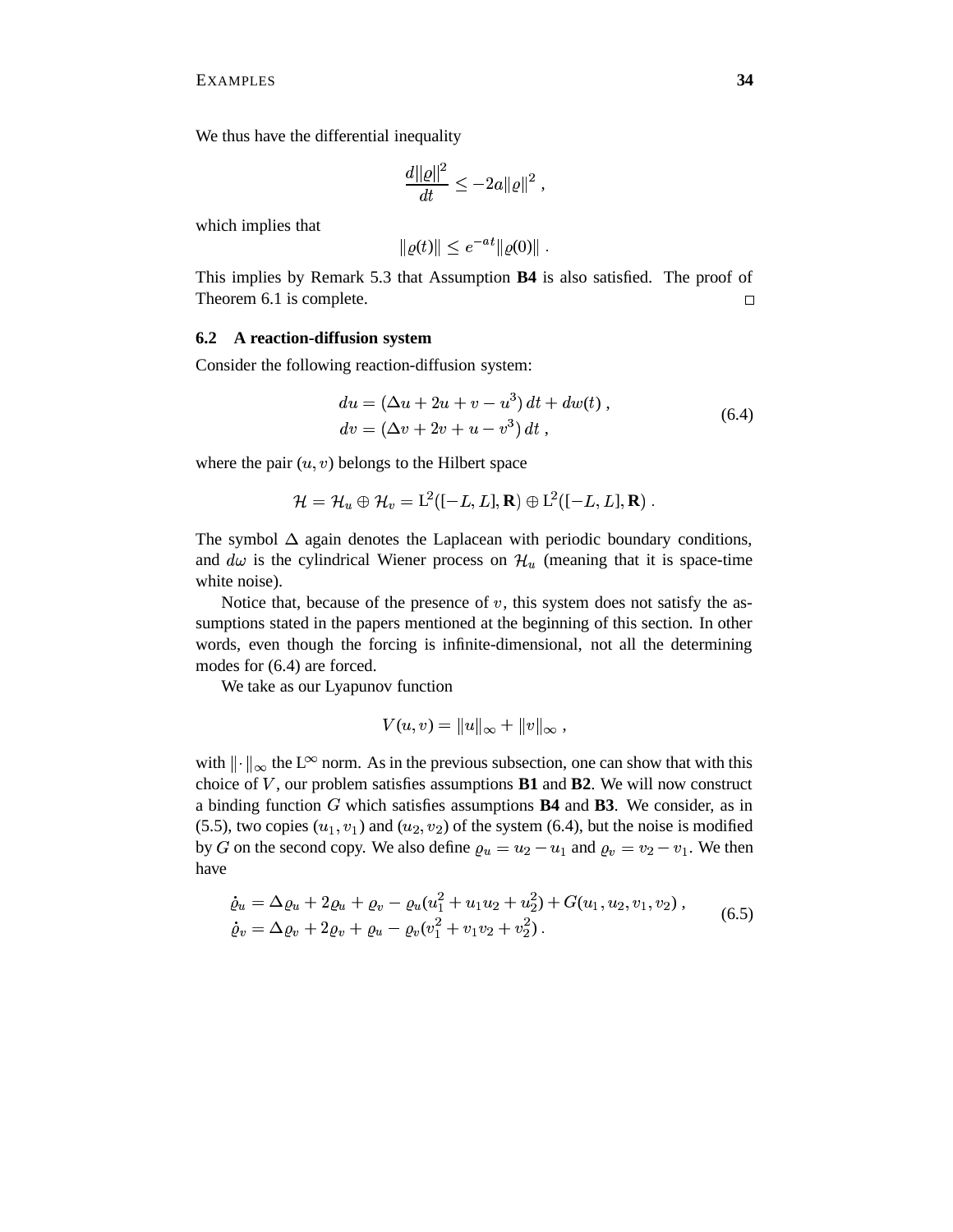We thus have the differential inequality

$$
\frac{d\|\varrho\|^2}{dt}\leq -2a\|\varrho\|^2\;,
$$

which implies that

$$
\|\varrho(t)\| \le e^{-at} \|\varrho(0)\| .
$$

This implies by Remark 5.3 that Assumption **B4** is also satisfied. The proof of Theorem 6.1 is complete.  $\Box$ 

# **6.2 A reaction-diffusion system**

Consider the following reaction-diffusion system:

$$
du = (\Delta u + 2u + v - u^{3}) dt + dw(t),
$$
  
\n
$$
dv = (\Delta v + 2v + u - v^{3}) dt,
$$
\n(6.4)

where the pair  $(u, v)$  belongs to the Hilbert space

$$
\mathcal{H}=\mathcal{H}_u\oplus \mathcal{H}_v= \text{L}^2([-L,L],\mathbf{R})\oplus \text{L}^2([-L,L],\mathbf{R})\;.
$$

The symbol  $\Delta$  again denotes the Laplacean with periodic boundary conditions, and  $d\omega$  is the cylindrical Wiener process on  $\mathcal{H}_u$  (meaning that it is space-time white noise).

Notice that, because of the presence of  $v$ , this system does not satisfy the assumptions stated in the papers mentioned at the beginning of this section. In other words, even though the forcing is infinite-dimensional, not all the determining modes for (6.4) are forced.

We take as our Lyapunov function

$$
V(u,v) = ||u||_{\infty} + ||v||_{\infty} ,
$$

with  $\|\cdot\|_{\infty}$  the L<sup> $\infty$ </sup> norm. As in the previous subsection, one can show that with this choice of  $V$ , our problem satisfies assumptions  $B1$  and  $B2$ . We will now construct a binding function G which satisfies assumptions **B4** and **B3**. We consider, as in (5.5), two copies  $(u_1, v_1)$  and  $(u_2, v_2)$  of the system (6.4), but the noise is modified by G on the second copy. We also define  $\varrho_u = u_2 - u_1$  and  $\varrho_v = v_2 - v_1$ . We then have

$$
\dot{\varrho}_u = \Delta \varrho_u + 2\varrho_u + \varrho_v - \varrho_u (u_1^2 + u_1 u_2 + u_2^2) + G(u_1, u_2, v_1, v_2) ,
$$
  
\n
$$
\dot{\varrho}_v = \Delta \varrho_v + 2\varrho_v + \varrho_u - \varrho_v (v_1^2 + v_1 v_2 + v_2^2) .
$$
\n(6.5)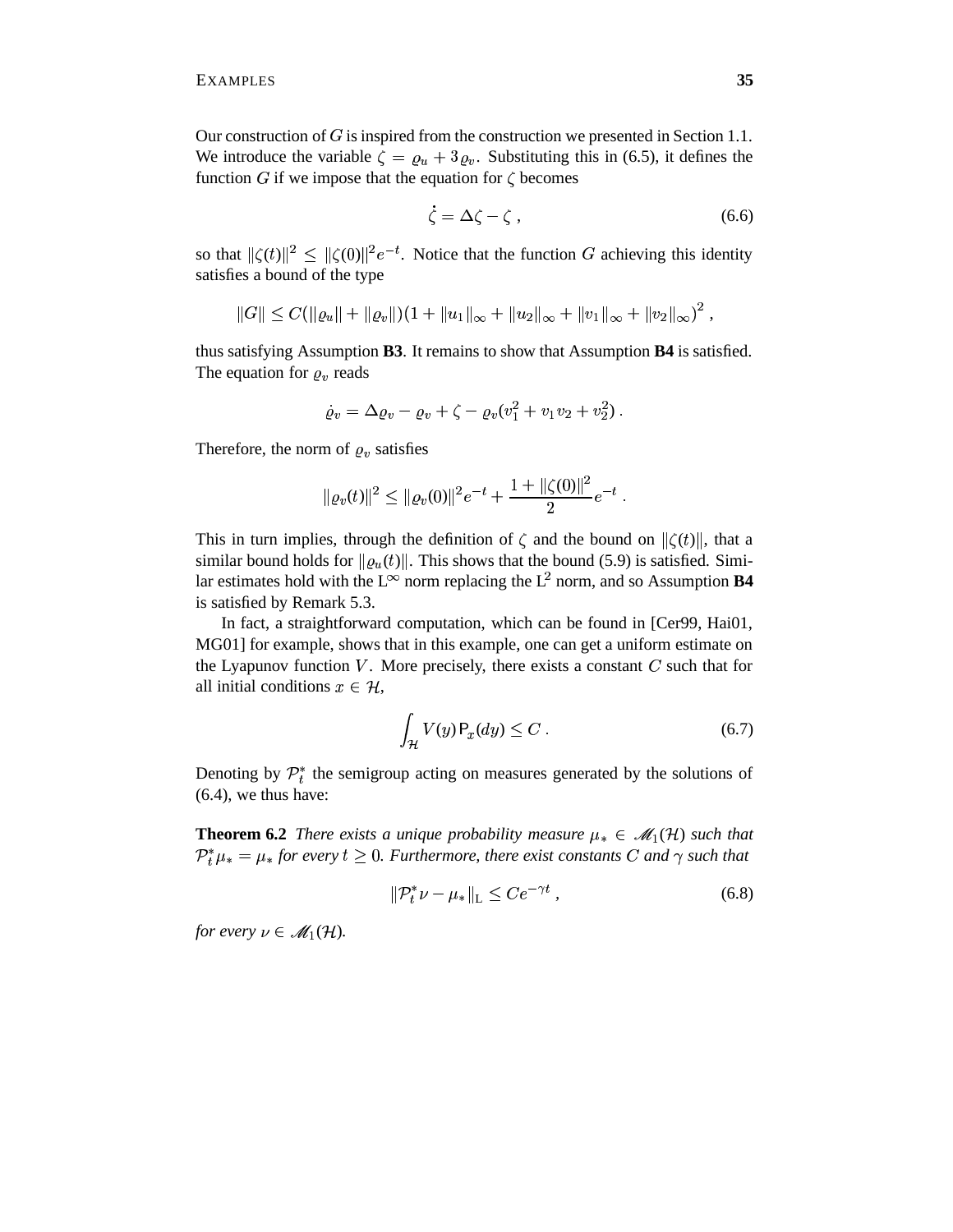Our construction of  $G$  is inspired from the construction we presented in Section 1.1. We introduce the variable  $\zeta = \varrho_u + 3\varrho_v$ . Substituting this in (6.5), it defines the function G if we impose that the equation for  $\zeta$  becomes

$$
\zeta = \Delta \zeta - \zeta \,,\tag{6.6}
$$

so that  $\|\zeta(t)\|^2 \le \|\zeta(0)\|^2 e^{-t}$ . Notice that the function G achieving this identity satisfies a bound of the type

$$
||G|| \leq C(||\varrho_u|| + ||\varrho_v||)(1 + ||u_1||_{\infty} + ||u_2||_{\infty} + ||v_1||_{\infty} + ||v_2||_{\infty})^2,
$$

thus satisfying Assumption **B3**. It remains to show that Assumption **B4** is satisfied. The equation for  $\rho_v$  reads

$$
\dot\varrho_v=\Delta\varrho_v-\varrho_v+\zeta-\varrho_v(v_1^2+v_1v_2+v_2^2)\,.
$$

Therefore, the norm of  $\rho_v$  satisfies

$$
\|\varrho_v(t)\|^2 \le \|\varrho_v(0)\|^2 e^{-t} + \frac{1 + \| \zeta(0) \|^2}{2} e^{-t}.
$$

This in turn implies, through the definition of  $\zeta$  and the bound on  $\|\zeta(t)\|$ , that a similar bound holds for  $\|\varrho_u(t)\|$ . This shows that the bound (5.9) is satisfied. Similar estimates hold with the L<sup> $\infty$ </sup> norm replacing the L<sup>2</sup> norm, and so Assumption **B4** is satisfied by Remark 5.3.

In fact, a straightforward computation, which can be found in [Cer99, Hai01, MG01] for example, shows that in this example, one can get a uniform estimate on the Lyapunov function  $V$ . More precisely, there exists a constant  $C$  such that for all initial conditions  $x \in \mathcal{H}$ ,

$$
\int_{\mathcal{H}} V(y) P_x(dy) \le C \tag{6.7}
$$

Denoting by  $\mathcal{P}_t^*$  the semigroup acting on measures generated by the solutions of (6.4), we thus have:

**Theorem 6.2** *There exists a unique probability measure*  $\mu_* \in \mathcal{M}_1(\mathcal{H})$  *such that*  $\mathcal{P}_t^* \mu_* = \mu_*$  *for every*  $t \geq 0$ *. Furthermore, there exist constants*  $C$  *and*  $\gamma$  *such that* 

$$
\|\mathcal{P}_t^* \nu - \mu_* \|_{\mathcal{L}} \le C e^{-\gamma t} \,, \tag{6.8}
$$

*for every*  $\nu \in \mathscr{M}_1(\mathcal{H})$ .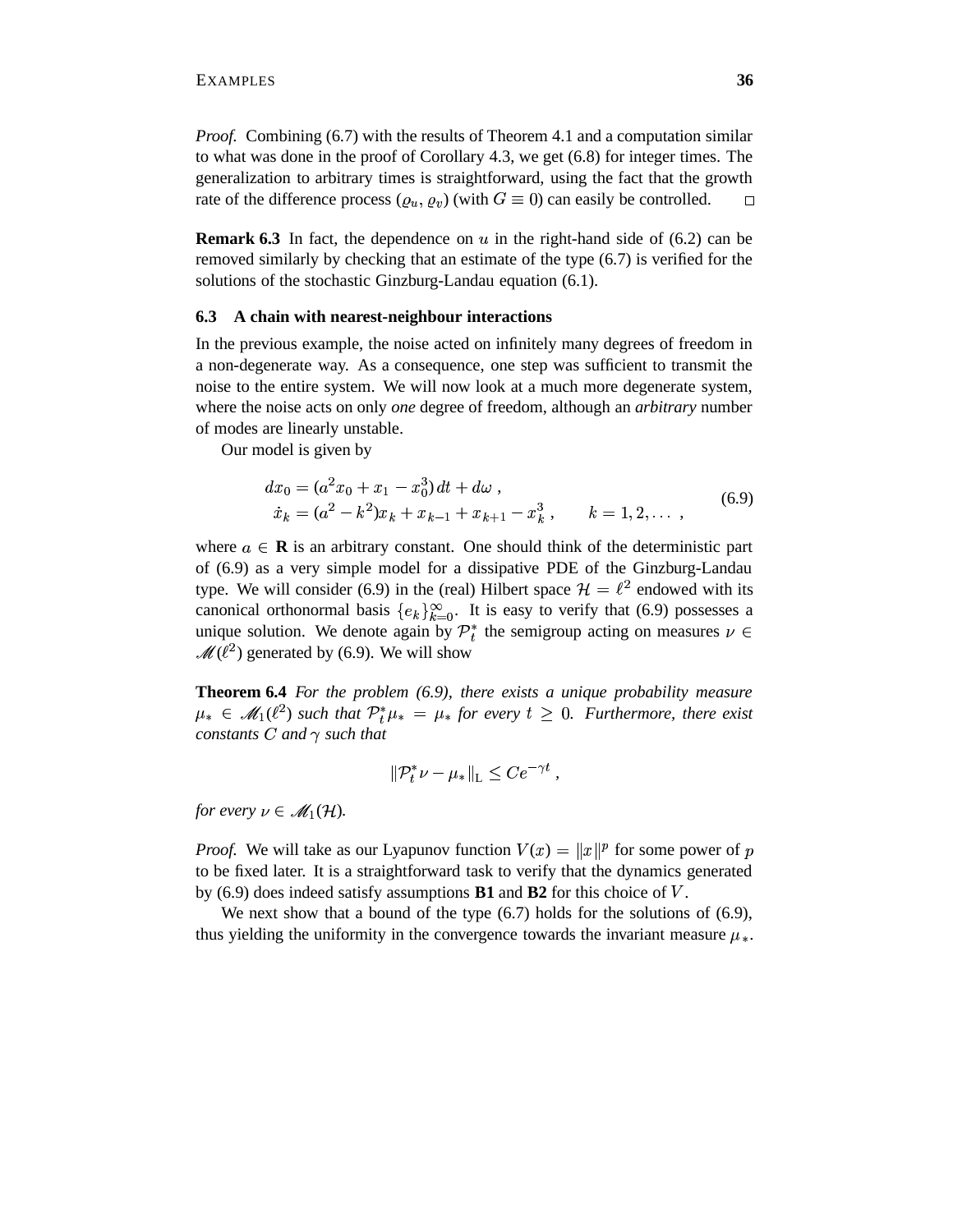*Proof.* Combining (6.7) with the results of Theorem 4.1 and a computation similar to what was done in the proof of Corollary 4.3, we get (6.8) for integer times. The generalization to arbitrary times is straightforward, using the fact that the growth rate of the difference process  $(\varrho_u, \varrho_v)$  (with  $G \equiv 0$ ) can easily be controlled.  $\Box$ 

**Remark 6.3** In fact, the dependence on  $u$  in the right-hand side of  $(6.2)$  can be removed similarly by checking that an estimate of the type (6.7) is verified for the solutions of the stochastic Ginzburg-Landau equation (6.1).

# **6.3 A chain with nearest-neighbour interactions**

In the previous example, the noise acted on infinitely many degrees of freedom in a non-degenerate way. As a consequence, one step was sufficient to transmit the noise to the entire system. We will now look at a much more degenerate system, where the noise acts on only *one* degree of freedom, although an *arbitrary* number of modes are linearly unstable.

Our model is given by

$$
dx_0 = (a^2x_0 + x_1 - x_0^3) dt + d\omega ,
$$
  
\n
$$
\dot{x}_k = (a^2 - k^2)x_k + x_{k-1} + x_{k+1} - x_k^3, \qquad k = 1, 2, \dots,
$$
\n(6.9)

where  $a \in \mathbf{R}$  is an arbitrary constant. One should think of the deterministic part of (6.9) as a very simple model for a dissipative PDE of the Ginzburg-Landau type. We will consider (6.9) in the (real) Hilbert space  $\mathcal{H} = \ell^2$  endowed with its canonical orthonormal basis  ${e_k}_{k=0}^{\infty}$ . It is easy to verify that (6.9) possesses a unique solution. We denote again by  $\mathcal{P}_t^*$  the semigroup acting on measures  $\nu \in$  $\mathscr{M}(\ell^2)$  generated by (6.9). We will show

**Theorem 6.4** *For the problem (6.9), there exists a unique probability measure*  $\mu_* \in M_1(\ell^2)$  such that  $\mathcal{P}_t^* \mu_* = \mu_*$  for every  $t \geq 0$ . Furthermore, there exist *constants*  $C$  *and*  $\gamma$  *such that* 

$$
\|\mathcal{P}_t^*\nu-\mu_*\|_{\mathcal{L}}\leq Ce^{-\gamma t}\,,
$$

*for every*  $\nu \in \mathscr{M}_1(\mathcal{H})$ .

*Proof.* We will take as our Lyapunov function  $V(x) = ||x||^p$  for some power of to be fixed later. It is a straightforward task to verify that the dynamics generated by (6.9) does indeed satisfy assumptions **B1** and **B2** for this choice of .

We next show that a bound of the type (6.7) holds for the solutions of (6.9), thus yielding the uniformity in the convergence towards the invariant measure  $\mu_*$ .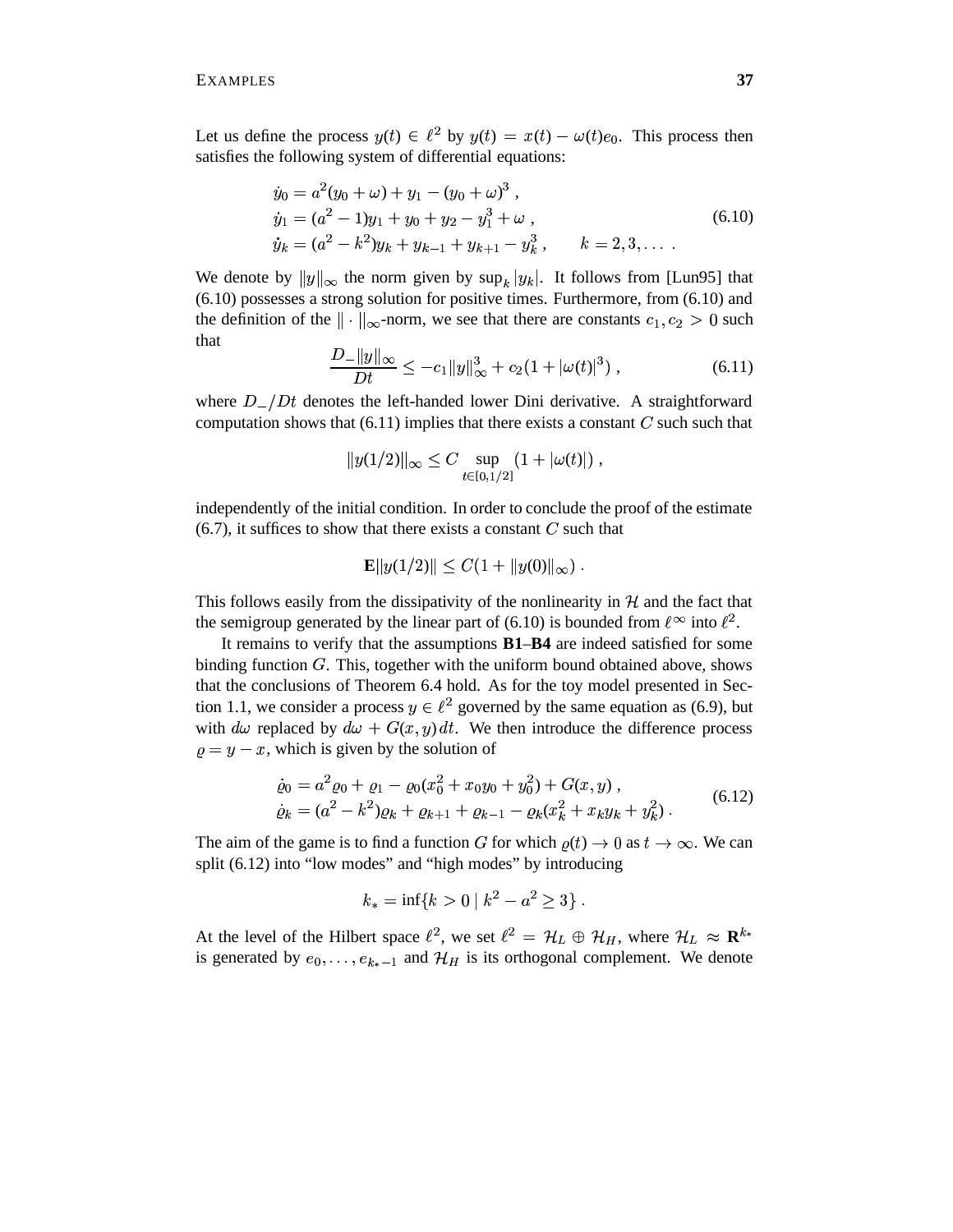Let us define the process  $y(t) \in \ell^2$  by  $y(t) = x(t) - \omega(t)e_0$ . This process then satisfies the following system of differential equations:

$$
\dot{y}_0 = a^2(y_0 + \omega) + y_1 - (y_0 + \omega)^3 ,
$$
  
\n
$$
\dot{y}_1 = (a^2 - 1)y_1 + y_0 + y_2 - y_1^3 + \omega ,
$$
  
\n
$$
\dot{y}_k = (a^2 - k^2)y_k + y_{k-1} + y_{k+1} - y_k^3 , \qquad k = 2, 3, ...
$$
\n(6.10)

We denote by  $||y||_{\infty}$  the norm given by  $\sup_k |y_k|$ . It follows from [Lun95] that (6.10) possesses a strong solution for positive times. Furthermore, from (6.10) and the definition of the  $\|\cdot\|_{\infty}$ -norm, we see that there are constants  $c_1, c_2 > 0$  such that

$$
\frac{D_{-}||y||_{\infty}}{Dt} \leq -c_{1}||y||_{\infty}^{3} + c_{2}(1 + |\omega(t)|^{3}), \qquad (6.11)
$$

where  $D_-/Dt$  denotes the left-handed lower Dini derivative. A straightforward computation shows that  $(6.11)$  implies that there exists a constant  $C$  such such that

$$
||y(1/2)||_{\infty} \leq C \sup_{t \in [0,1/2]} (1 + |\omega(t)|),
$$

independently of the initial condition. In order to conclude the proof of the estimate  $(6.7)$ , it suffices to show that there exists a constant  $C$  such that

$$
\mathbf{E} \|y(1/2)\| \leq C(1 + \|y(0)\|_{\infty}) \ .
$$

This follows easily from the dissipativity of the nonlinearity in  $\mathcal{H}$  and the fact that the semigroup generated by the linear part of (6.10) is bounded from  $\ell^{\infty}$  into  $\ell^{2}$ .

It remains to verify that the assumptions **B1**–**B4** are indeed satisfied for some binding function  $G$ . This, together with the uniform bound obtained above, shows that the conclusions of Theorem 6.4 hold. As for the toy model presented in Section 1.1, we consider a process  $y \in \ell^2$  governed by the same equation as (6.9), but with  $d\omega$  replaced by  $d\omega + G(x, y) dt$ . We then introduce the difference process  $\rho = y - x$ , which is given by the solution of

$$
\dot{\varrho}_0 = a^2 \varrho_0 + \varrho_1 - \varrho_0 (x_0^2 + x_0 y_0 + y_0^2) + G(x, y) ,
$$
\n
$$
\dot{\varrho}_k = (a^2 - k^2) \varrho_k + \varrho_{k+1} + \varrho_{k-1} - \varrho_k (x_k^2 + x_k y_k + y_k^2) .
$$
\n(6.12)

The aim of the game is to find a function G for which  $\rho(t) \to 0$  as  $t \to \infty$ . We can split (6.12) into "low modes" and "high modes" by introducing

$$
k_* = \inf\{k > 0 \mid k^2 - a^2 \ge 3\} .
$$

At the level of the Hilbert space  $\ell^2$ , we set  $\ell^2 = H_L \oplus H_H$ , where  $H_L \approx \mathbf{R}^{k_*}$ is generated by  $e_0, \ldots, e_{k_*-1}$  and  $\mathcal{H}_H$  is its orthogonal complement. We denote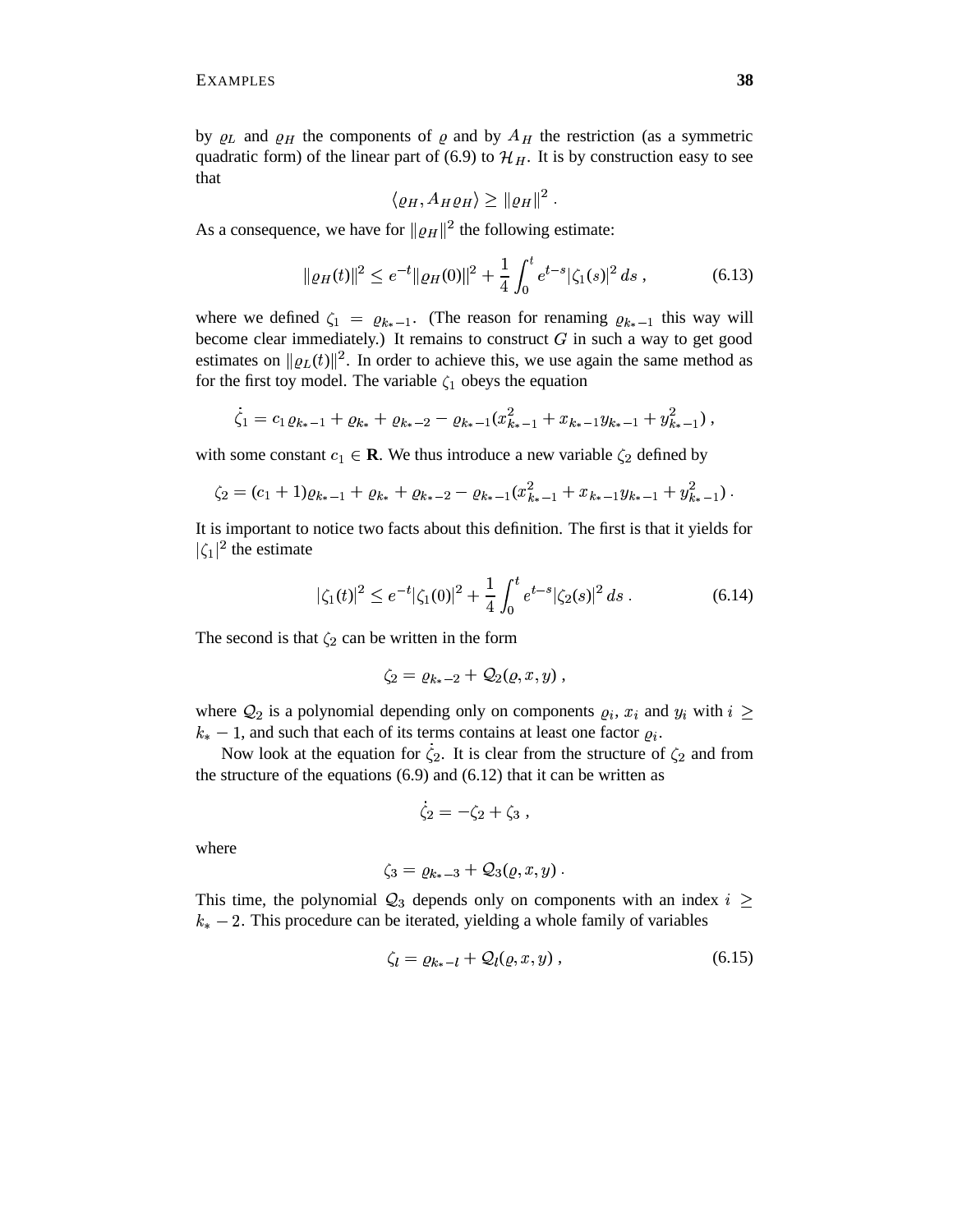by  $\rho_L$  and  $\rho_H$  the components of  $\rho$  and by  $A_H$  the restriction (as a symmetric quadratic form) of the linear part of (6.9) to  $\mathcal{H}_H$ . It is by construction easy to see that

$$
\langle \varrho_H, A_H \varrho_H \rangle \geq ||\varrho_H||^2.
$$

As a consequence, we have for  $\|\varrho_H\|^2$  the following estimate:

$$
\|\varrho_H(t)\|^2 \le e^{-t} \|\varrho_H(0)\|^2 + \frac{1}{4} \int_0^t e^{t-s} |\zeta_1(s)|^2 ds , \qquad (6.13)
$$

where we defined  $\zeta_1 = \varrho_{k_*-1}$ . (The reason for renaming  $\varrho_{k_*-1}$  this way will become clear immediately.) It remains to construct  $G$  in such a way to get good estimates on  $\|\varrho_L(t)\|^2$ . In order to achieve this, we use again the same method as for the first toy model. The variable  $\zeta_1$  obeys the equation

$$
\dot{\zeta}_1 = c_1 \varrho_{k_*-1} + \varrho_{k_*} + \varrho_{k_*-2} - \varrho_{k_*-1}(x_{k_*-1}^2 + x_{k_*-1}y_{k_*-1} + y_{k_*-1}^2),
$$

with some constant  $c_1 \in \mathbf{R}$ . We thus introduce a new variable  $\zeta_2$  defined by

$$
\zeta_2 = (c_1 + 1)\varrho_{k_*-1} + \varrho_{k_*} + \varrho_{k_*-2} - \varrho_{k_*-1}(x_{k_*-1}^2 + x_{k_*-1}y_{k_*-1} + y_{k_*-1}^2).
$$

It is important to notice two facts about this definition. The first is that it yields for . .  $t_1$ <sup>2</sup> the estimate

$$
|\zeta_1(t)|^2 \le e^{-t} |\zeta_1(0)|^2 + \frac{1}{4} \int_0^t e^{t-s} |\zeta_2(s)|^2 ds . \tag{6.14}
$$

The second is that  $\zeta_2$  can be written in the form

$$
\zeta_2 = \varrho_{k_*-2} + \mathcal{Q}_2(\varrho, x, y) ,
$$

where  $\mathcal{Q}_2$  is a polynomial depending only on components  $\rho_i$ ,  $x_i$  and  $y_i$  with  $i \geq$  $k_{*} - 1$ , and such that each of its terms contains at least one factor  $\rho_{i}$ .

Now look at the equation for  $\zeta_2$ . It is clear from the structure of  $\zeta_2$  and from the structure of the equations  $(6.9)$  and  $(6.12)$  that it can be written as

$$
\dot{\zeta}_2 = -\zeta_2 + \zeta_3 \; , \qquad
$$

where

$$
\zeta_3=\varrho_{k_*-3}+\mathcal{Q}_3(\varrho,x,y)\ .
$$

This time, the polynomial  $\mathcal{Q}_3$  depends only on components with an index  $i \geq$  $_{*}$  – 2. This procedure can be iterated, yielding a whole family of variables

$$
\zeta_l = \varrho_{k_*-l} + \mathcal{Q}_l(\varrho, x, y) , \qquad (6.15)
$$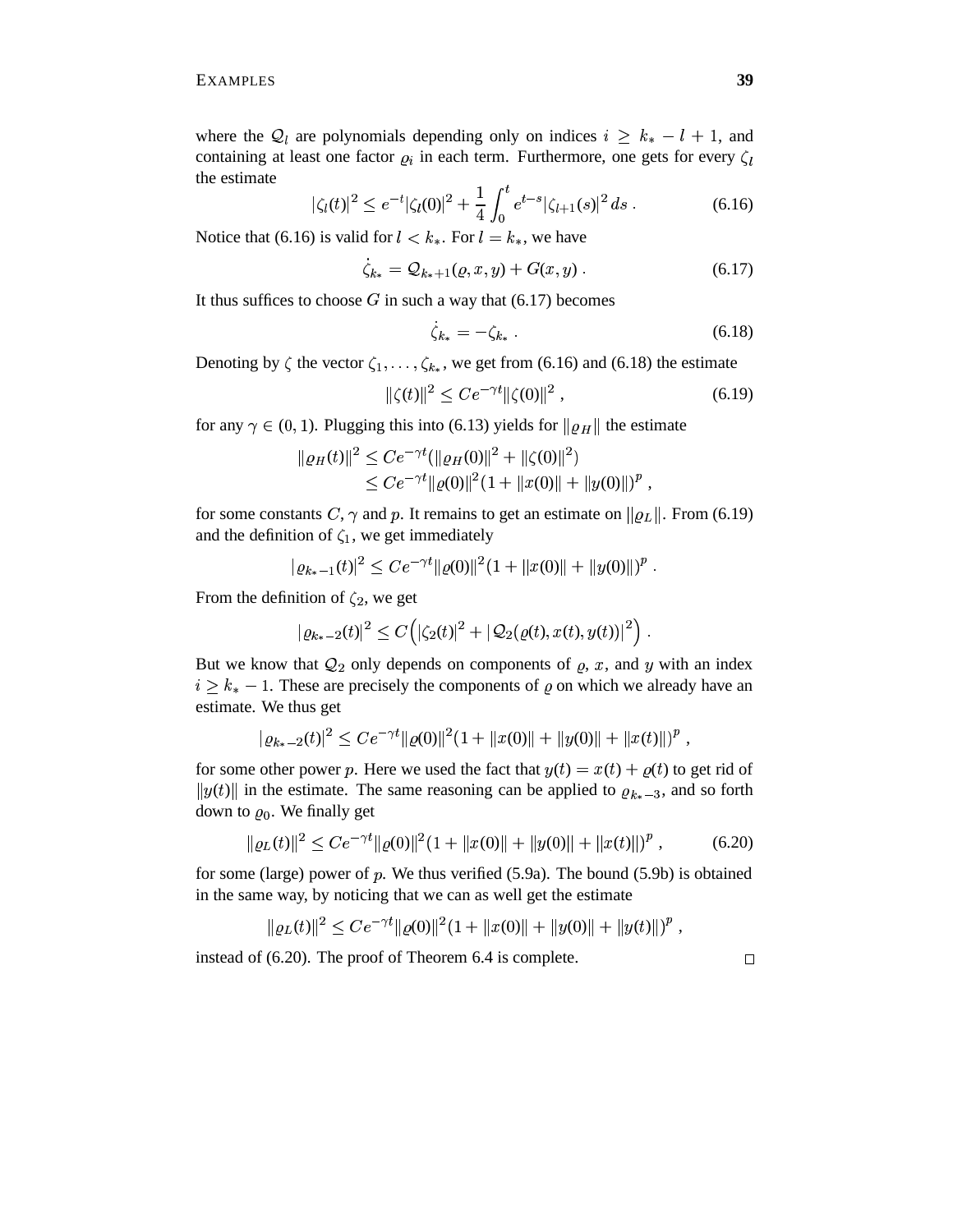where the  $Q_l$  are polynomials depending only on indices  $i \geq k_* - l + 1$ , and containing at least one factor  $\rho_i$  in each term. Furthermore, one gets for every  $\zeta_i$ the estimate

$$
|\zeta_l(t)|^2 \le e^{-t} |\zeta_l(0)|^2 + \frac{1}{4} \int_0^t e^{t-s} |\zeta_{l+1}(s)|^2 ds . \tag{6.16}
$$

Notice that (6.16) is valid for  $l < k_*$ . For  $l = k_*$ , we have

$$
\zeta_{k_*} = \mathcal{Q}_{k_*+1}(\varrho, x, y) + G(x, y) \,. \tag{6.17}
$$

It thus suffices to choose  $G$  in such a way that  $(6.17)$  becomes

$$
\zeta_{k_*} = -\zeta_{k_*} \tag{6.18}
$$

Denoting by  $\zeta$  the vector  $\zeta_1, \ldots, \zeta_{k_*}$ , we get from (6.16) and (6.18) the estimate

$$
\|\zeta(t)\|^2 \le Ce^{-\gamma t} \|\zeta(0)\|^2 \,,\tag{6.19}
$$

for any  $\gamma \in (0, 1)$ . Plugging this into (6.13) yields for  $\|\varrho_H\|$  the estimate

$$
\| \varrho_H(t) \|^2 \leq C e^{-\gamma t} (\|\varrho_H(0)\|^2 + \|\zeta(0)\|^2)
$$
  
\n
$$
\leq C e^{-\gamma t} \|\varrho(0)\|^2 (1 + \|x(0)\| + \|y(0)\|)^p,
$$

for some constants C,  $\gamma$  and p. It remains to get an estimate on  $\|\varrho_L\|$ . From (6.19) and the definition of  $\zeta_1$ , we get immediately

$$
|\varrho_{k_*-1}(t)|^2 \le Ce^{-\gamma t} \|\varrho(0)\|^2 (1 + \|x(0)\| + \|y(0)\|)^p.
$$

From the definition of  $\zeta_2$ , we get

$$
|\varrho_{k_*-2}(t)|^2\leq C\Big(|\zeta_2(t)|^2+|\mathcal{Q}_2(\varrho(t),x(t),y(t))|^2\Big)\;.
$$

But we know that  $Q_2$  only depends on components of  $\rho$ , x, and y with an index  $i \geq k_* - 1$ . These are precisely the components of  $\varrho$  on which we already have an estimate. We thus get

$$
|\varrho_{k_*-2}(t)|^2 \le Ce^{-\gamma t} \|\varrho(0)\|^2 (1 + \|x(0)\| + \|y(0)\| + \|x(t)\|)^p,
$$

for some other power p. Here we used the fact that  $y(t) = x(t) + \rho(t)$  to get rid of  $||y(t)||$  in the estimate. The same reasoning can be applied to  $\varrho_{k_{*}-3}$ , and so forth down to  $\varrho_0$ . We finally get

$$
\| \varrho_L(t) \|^2 \le C e^{-\gamma t} \| \varrho(0) \|^2 (1 + \| x(0) \| + \| y(0) \| + \| x(t) \|)^p , \qquad (6.20)
$$

for some (large) power of  $p$ . We thus verified (5.9a). The bound (5.9b) is obtained in the same way, by noticing that we can as well get the estimate

$$
\|\varrho_L(t)\|^2 \le Ce^{-\gamma t} \|\varrho(0)\|^2 (1 + \|x(0)\| + \|y(0)\| + \|y(t)\|)^p,
$$

instead of (6.20). The proof of Theorem 6.4 is complete.

 $\Box$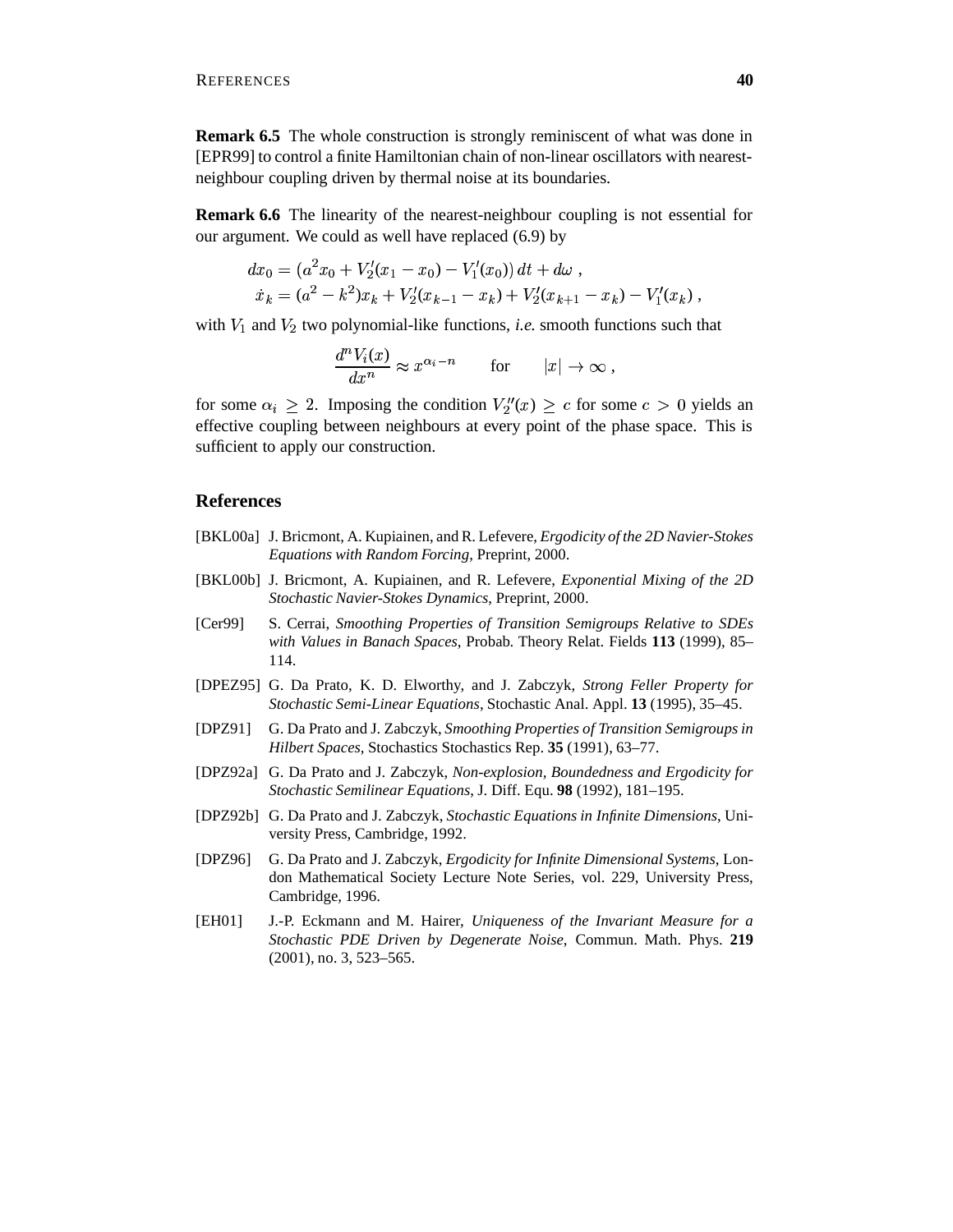**Remark 6.5** The whole construction is strongly reminiscent of what was done in [EPR99] to control a finite Hamiltonian chain of non-linear oscillators with nearestneighbour coupling driven by thermal noise at its boundaries.

**Remark 6.6** The linearity of the nearest-neighbour coupling is not essential for our argument. We could as well have replaced (6.9) by

$$
dx_0 = (a^2x_0 + V'_2(x_1 - x_0) - V'_1(x_0)) dt + d\omega,
$$
  
\n
$$
\dot{x}_k = (a^2 - k^2)x_k + V'_2(x_{k-1} - x_k) + V'_2(x_{k+1} - x_k) - V'_1(x_k),
$$

with  $V_1$  and  $V_2$  two polynomial-like functions, *i.e.* smooth functions such that

$$
\frac{d^n V_i(x)}{dx^n} \approx x^{\alpha_i - n} \qquad \text{for} \qquad |x| \to \infty ,
$$

for some  $\alpha_i \geq 2$ . Imposing the condition  $V''_2(x) \geq c$  for some  $c > 0$  yields an effective coupling between neighbours at every point of the phase space. This is sufficient to apply our construction.

#### **References**

- [BKL00a] J. Bricmont, A. Kupiainen, and R. Lefevere, *Ergodicity of the 2D Navier-Stokes Equations with Random Forcing*, Preprint, 2000.
- [BKL00b] J. Bricmont, A. Kupiainen, and R. Lefevere, *Exponential Mixing of the 2D Stochastic Navier-Stokes Dynamics*, Preprint, 2000.
- [Cer99] S. Cerrai, *Smoothing Properties of Transition Semigroups Relative to SDEs with Values in Banach Spaces*, Probab. Theory Relat. Fields **113** (1999), 85– 114.
- [DPEZ95] G. Da Prato, K. D. Elworthy, and J. Zabczyk, *Strong Feller Property for Stochastic Semi-Linear Equations*, Stochastic Anal. Appl. **13** (1995), 35–45.
- [DPZ91] G. Da Prato and J. Zabczyk, *Smoothing Properties of Transition Semigroups in Hilbert Spaces*, Stochastics Stochastics Rep. **35** (1991), 63–77.
- [DPZ92a] G. Da Prato and J. Zabczyk, *Non-explosion, Boundedness and Ergodicity for Stochastic Semilinear Equations*, J. Diff. Equ. **98** (1992), 181–195.
- [DPZ92b] G. Da Prato and J. Zabczyk, *Stochastic Equations in Infinite Dimensions*, University Press, Cambridge, 1992.
- [DPZ96] G. Da Prato and J. Zabczyk, *Ergodicity for Infinite Dimensional Systems*, London Mathematical Society Lecture Note Series, vol. 229, University Press, Cambridge, 1996.
- [EH01] J.-P. Eckmann and M. Hairer, *Uniqueness of the Invariant Measure for a Stochastic PDE Driven by Degenerate Noise*, Commun. Math. Phys. **219** (2001), no. 3, 523–565.